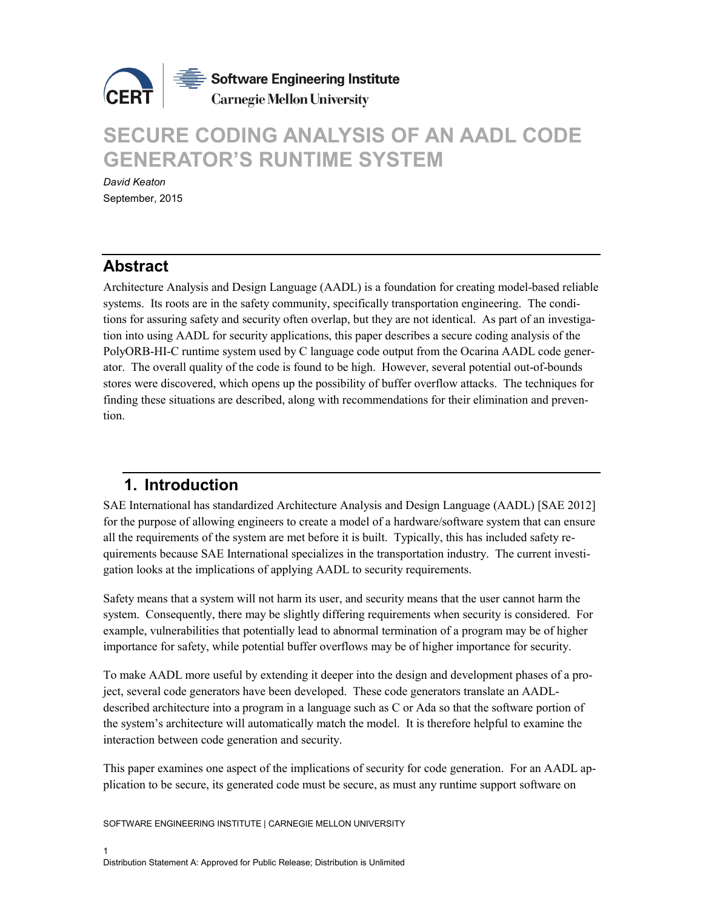

# **SECURE CODING ANALYSIS OF AN AADL CODE GENERATOR'S RUNTIME SYSTEM**

*David Keaton* September, 2015

# **Abstract**

Architecture Analysis and Design Language (AADL) is a foundation for creating model-based reliable systems. Its roots are in the safety community, specifically transportation engineering. The conditions for assuring safety and security often overlap, but they are not identical. As part of an investigation into using AADL for security applications, this paper describes a secure coding analysis of the PolyORB-HI-C runtime system used by C language code output from the Ocarina AADL code generator. The overall quality of the code is found to be high. However, several potential out-of-bounds stores were discovered, which opens up the possibility of buffer overflow attacks. The techniques for finding these situations are described, along with recommendations for their elimination and prevention.

# **1. Introduction**

SAE International has standardized Architecture Analysis and Design Language (AADL) [SAE 2012] for the purpose of allowing engineers to create a model of a hardware/software system that can ensure all the requirements of the system are met before it is built. Typically, this has included safety requirements because SAE International specializes in the transportation industry. The current investigation looks at the implications of applying AADL to security requirements.

Safety means that a system will not harm its user, and security means that the user cannot harm the system. Consequently, there may be slightly differing requirements when security is considered. For example, vulnerabilities that potentially lead to abnormal termination of a program may be of higher importance for safety, while potential buffer overflows may be of higher importance for security.

To make AADL more useful by extending it deeper into the design and development phases of a project, several code generators have been developed. These code generators translate an AADLdescribed architecture into a program in a language such as C or Ada so that the software portion of the system's architecture will automatically match the model. It is therefore helpful to examine the interaction between code generation and security.

This paper examines one aspect of the implications of security for code generation. For an AADL application to be secure, its generated code must be secure, as must any runtime support software on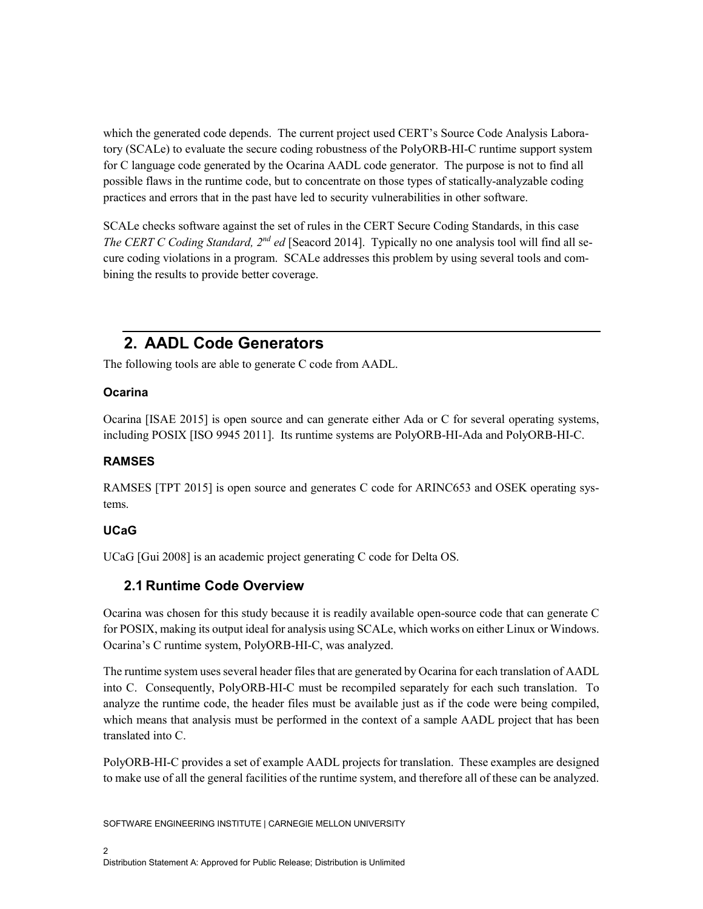which the generated code depends. The current project used CERT's Source Code Analysis Laboratory (SCALe) to evaluate the secure coding robustness of the PolyORB-HI-C runtime support system for C language code generated by the Ocarina AADL code generator. The purpose is not to find all possible flaws in the runtime code, but to concentrate on those types of statically-analyzable coding practices and errors that in the past have led to security vulnerabilities in other software.

SCALe checks software against the set of rules in the CERT Secure Coding Standards, in this case *The CERT C Coding Standard, 2nd ed* [Seacord 2014]. Typically no one analysis tool will find all secure coding violations in a program. SCALe addresses this problem by using several tools and combining the results to provide better coverage.

# **2. AADL Code Generators**

The following tools are able to generate C code from AADL.

### **Ocarina**

Ocarina [ISAE 2015] is open source and can generate either Ada or C for several operating systems, including POSIX [ISO 9945 2011]. Its runtime systems are PolyORB-HI-Ada and PolyORB-HI-C.

### **RAMSES**

RAMSES [TPT 2015] is open source and generates C code for ARINC653 and OSEK operating systems.

### **UCaG**

UCaG [Gui 2008] is an academic project generating C code for Delta OS.

# **2.1 Runtime Code Overview**

Ocarina was chosen for this study because it is readily available open-source code that can generate C for POSIX, making its output ideal for analysis using SCALe, which works on either Linux or Windows. Ocarina's C runtime system, PolyORB-HI-C, was analyzed.

The runtime system uses several header files that are generated by Ocarina for each translation of AADL into C. Consequently, PolyORB-HI-C must be recompiled separately for each such translation. To analyze the runtime code, the header files must be available just as if the code were being compiled, which means that analysis must be performed in the context of a sample AADL project that has been translated into C.

PolyORB-HI-C provides a set of example AADL projects for translation. These examples are designed to make use of all the general facilities of the runtime system, and therefore all of these can be analyzed.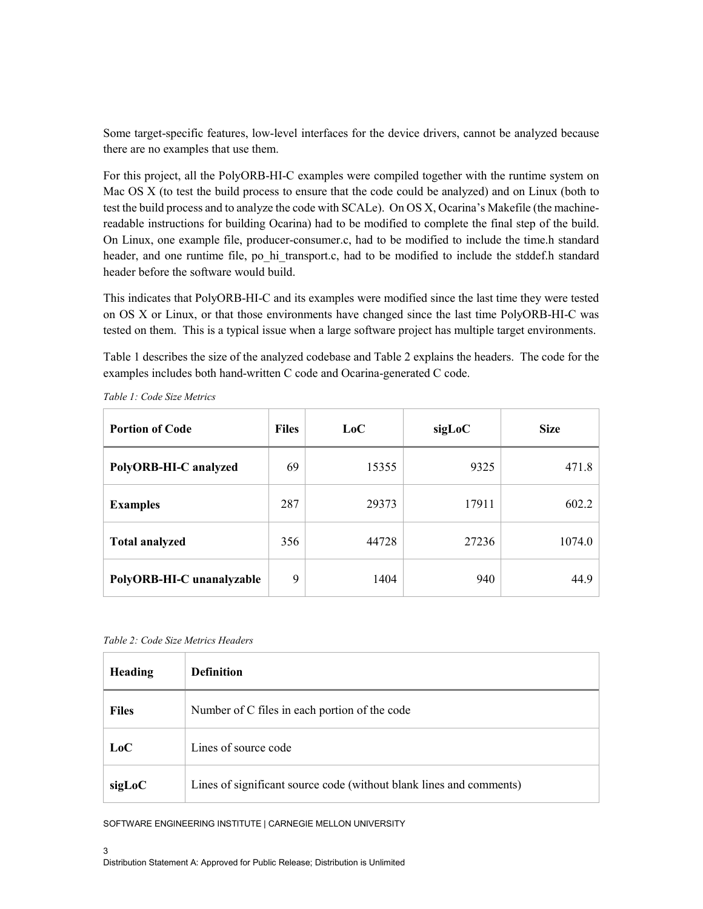Some target-specific features, low-level interfaces for the device drivers, cannot be analyzed because there are no examples that use them.

For this project, all the PolyORB-HI-C examples were compiled together with the runtime system on Mac OS X (to test the build process to ensure that the code could be analyzed) and on Linux (both to test the build process and to analyze the code with SCALe). On OS X, Ocarina's Makefile (the machinereadable instructions for building Ocarina) had to be modified to complete the final step of the build. On Linux, one example file, producer-consumer.c, had to be modified to include the time.h standard header, and one runtime file, po\_hi\_transport.c, had to be modified to include the stddef.h standard header before the software would build.

This indicates that PolyORB-HI-C and its examples were modified since the last time they were tested on OS X or Linux, or that those environments have changed since the last time PolyORB-HI-C was tested on them. This is a typical issue when a large software project has multiple target environments.

Table 1 describes the size of the analyzed codebase and Table 2 explains the headers. The code for the examples includes both hand-written C code and Ocarina-generated C code.

| <b>Portion of Code</b>    | <b>Files</b> | LoC   | sigLoC | <b>Size</b> |
|---------------------------|--------------|-------|--------|-------------|
| PolyORB-HI-C analyzed     | 69           | 15355 | 9325   | 471.8       |
| <b>Examples</b>           | 287          | 29373 | 17911  | 602.2       |
| <b>Total analyzed</b>     | 356          | 44728 | 27236  | 1074.0      |
| PolyORB-HI-C unanalyzable | 9            | 1404  | 940    | 44.9        |

*Table 1: Code Size Metrics*

*Table 2: Code Size Metrics Headers*

| <b>Heading</b> | <b>Definition</b>                                                   |
|----------------|---------------------------------------------------------------------|
| <b>Files</b>   | Number of C files in each portion of the code                       |
| LoC            | Lines of source code                                                |
| sigLoC         | Lines of significant source code (without blank lines and comments) |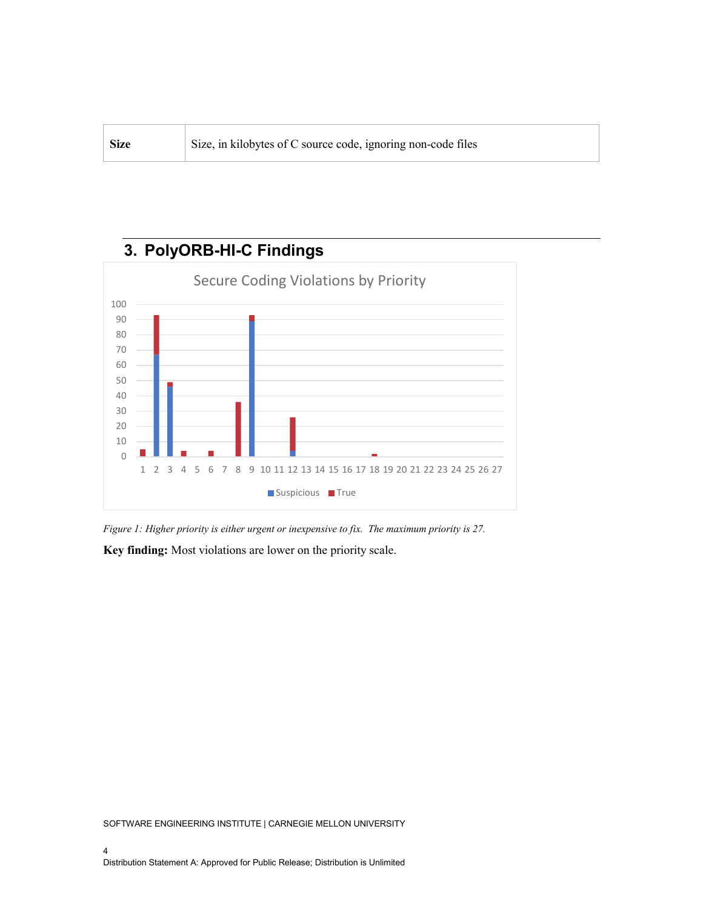| ' Size | Size, in kilobytes of C source code, ignoring non-code files |
|--------|--------------------------------------------------------------|
|--------|--------------------------------------------------------------|



*Figure 1: Higher priority is either urgent or inexpensive to fix. The maximum priority is 27.*

**Key finding:** Most violations are lower on the priority scale.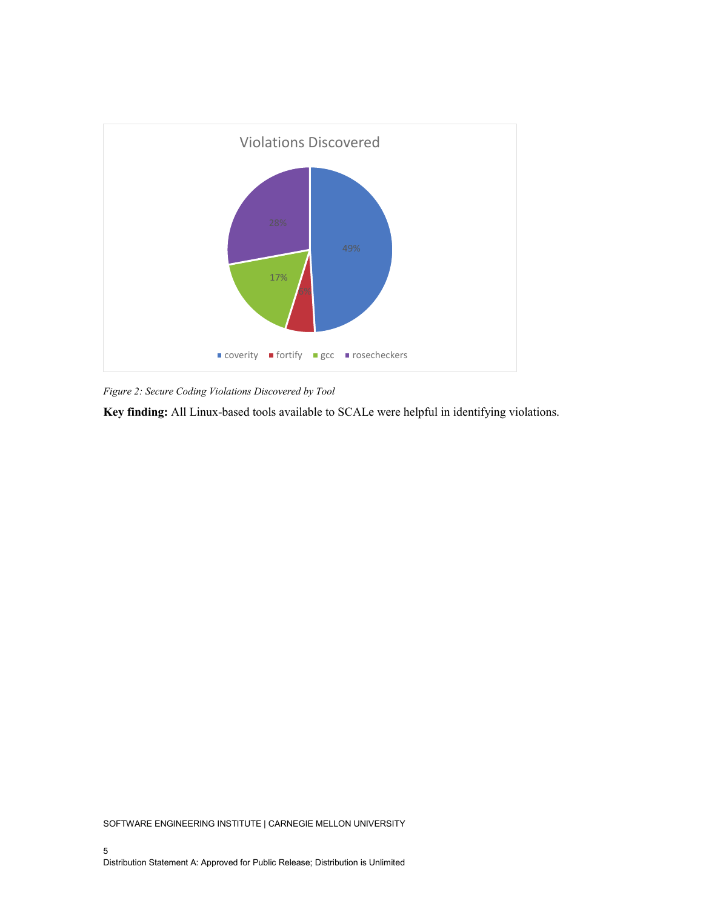

*Figure 2: Secure Coding Violations Discovered by Tool*

**Key finding:** All Linux-based tools available to SCALe were helpful in identifying violations.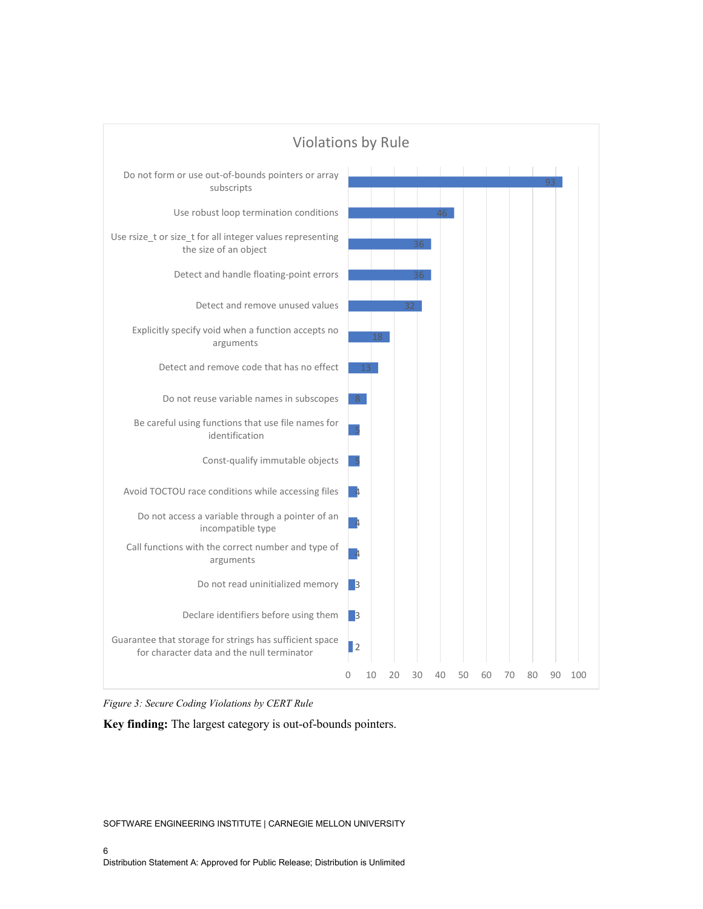

*Figure 3: Secure Coding Violations by CERT Rule*

**Key finding:** The largest category is out-of-bounds pointers.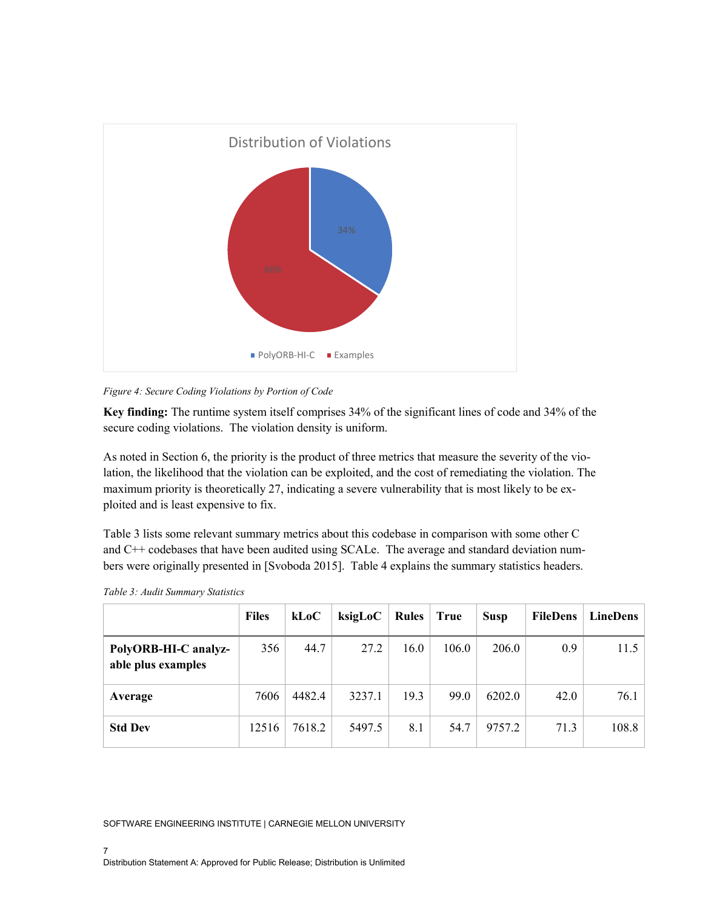

*Figure 4: Secure Coding Violations by Portion of Code*

**Key finding:** The runtime system itself comprises 34% of the significant lines of code and 34% of the secure coding violations. The violation density is uniform.

As noted in Section 6, the priority is the product of three metrics that measure the severity of the violation, the likelihood that the violation can be exploited, and the cost of remediating the violation. The maximum priority is theoretically 27, indicating a severe vulnerability that is most likely to be exploited and is least expensive to fix.

Table 3 lists some relevant summary metrics about this codebase in comparison with some other C and C++ codebases that have been audited using SCALe. The average and standard deviation numbers were originally presented in [Svoboda 2015]. Table 4 explains the summary statistics headers.

|                                            | <b>Files</b> | kLoC   | ksigLoC | <b>Rules</b> | <b>True</b> | <b>Susp</b> | <b>FileDens</b> | <b>LineDens</b> |
|--------------------------------------------|--------------|--------|---------|--------------|-------------|-------------|-----------------|-----------------|
| PolyORB-HI-C analyz-<br>able plus examples | 356          | 44.7   | 27.2    | 16.0         | 106.0       | 206.0       | 0.9             | 11.5            |
| Average                                    | 7606         | 4482.4 | 3237.1  | 19.3         | 99.0        | 6202.0      | 42.0            | 76.1            |
| <b>Std Dev</b>                             | 12516        | 7618.2 | 5497.5  | 8.1          | 54.7        | 9757.2      | 71.3            | 108.8           |

|  |  | Table 3: Audit Summary Statistics |  |
|--|--|-----------------------------------|--|
|--|--|-----------------------------------|--|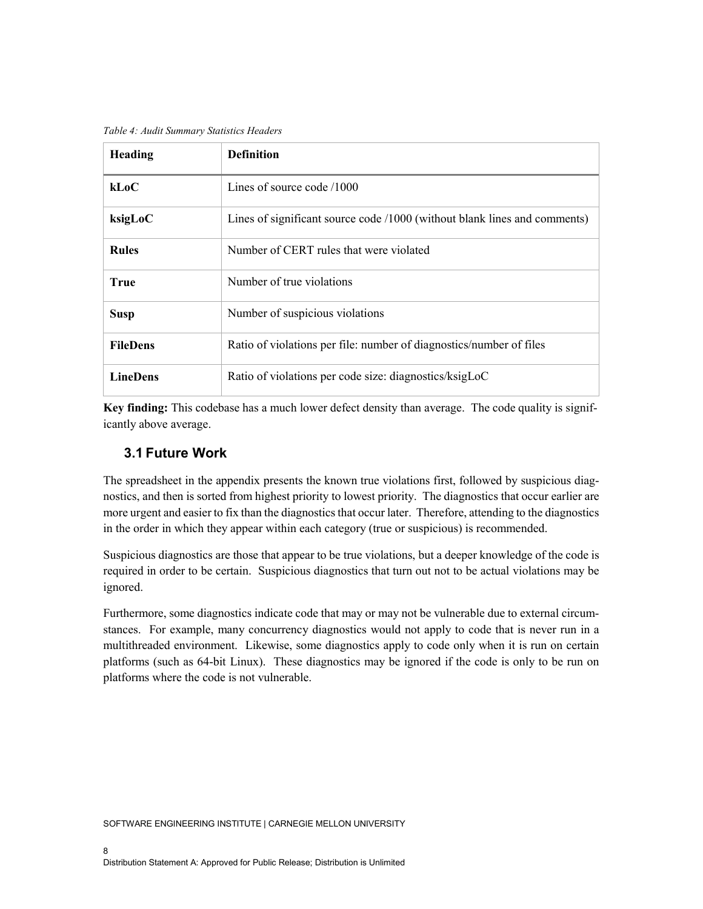*Table 4: Audit Summary Statistics Headers*

| <b>Heading</b>  | <b>Definition</b>                                                         |
|-----------------|---------------------------------------------------------------------------|
| kLoC            | Lines of source code /1000                                                |
| ksigLoC         | Lines of significant source code /1000 (without blank lines and comments) |
| <b>Rules</b>    | Number of CERT rules that were violated                                   |
| <b>True</b>     | Number of true violations                                                 |
| <b>Susp</b>     | Number of suspicious violations                                           |
| <b>FileDens</b> | Ratio of violations per file: number of diagnostics/number of files       |
| <b>LineDens</b> | Ratio of violations per code size: diagnostics/ksigLoC                    |

**Key finding:** This codebase has a much lower defect density than average. The code quality is significantly above average.

## **3.1 Future Work**

The spreadsheet in the appendix presents the known true violations first, followed by suspicious diagnostics, and then is sorted from highest priority to lowest priority. The diagnostics that occur earlier are more urgent and easier to fix than the diagnostics that occur later. Therefore, attending to the diagnostics in the order in which they appear within each category (true or suspicious) is recommended.

Suspicious diagnostics are those that appear to be true violations, but a deeper knowledge of the code is required in order to be certain. Suspicious diagnostics that turn out not to be actual violations may be ignored.

Furthermore, some diagnostics indicate code that may or may not be vulnerable due to external circumstances. For example, many concurrency diagnostics would not apply to code that is never run in a multithreaded environment. Likewise, some diagnostics apply to code only when it is run on certain platforms (such as 64-bit Linux). These diagnostics may be ignored if the code is only to be run on platforms where the code is not vulnerable.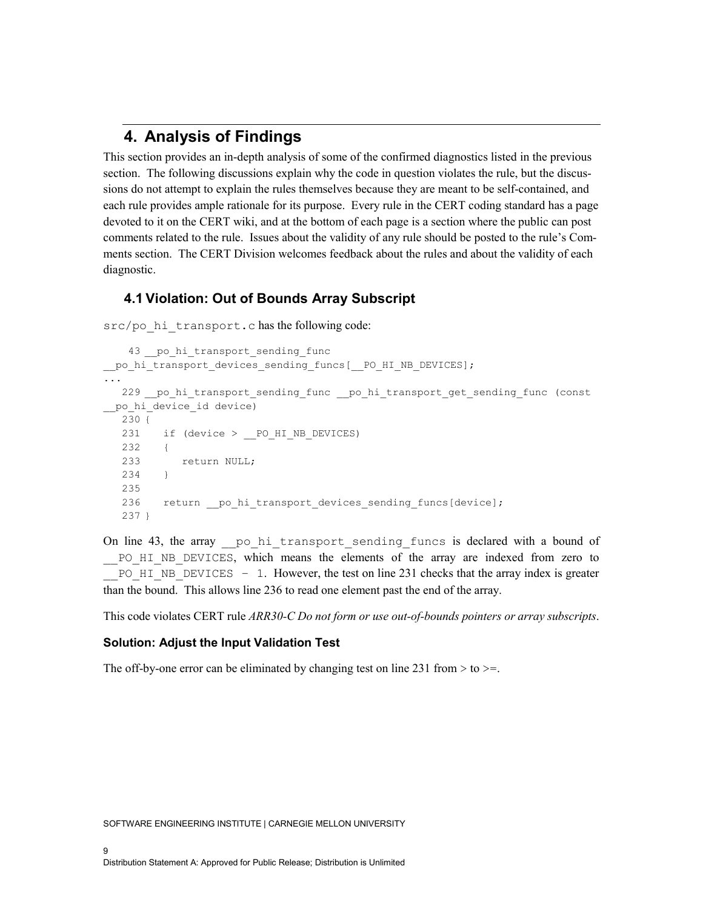# **4. Analysis of Findings**

This section provides an in-depth analysis of some of the confirmed diagnostics listed in the previous section. The following discussions explain why the code in question violates the rule, but the discussions do not attempt to explain the rules themselves because they are meant to be self-contained, and each rule provides ample rationale for its purpose. Every rule in the CERT coding standard has a page devoted to it on the CERT wiki, and at the bottom of each page is a section where the public can post comments related to the rule. Issues about the validity of any rule should be posted to the rule's Comments section. The CERT Division welcomes feedback about the rules and about the validity of each diagnostic.

# **4.1 Violation: Out of Bounds Array Subscript**

src/po hi transport.c has the following code:

```
43 po hi transport sending func
po hi transport devices sending funcs[ PO HI NB DEVICES];
...
  229 po hi transport sending func __po_hi_transport_get_sending_func (const
__po_hi_device_id device)
   230 {
  231 if (device > PO HI NB DEVICES)
  232 {
           return NULL;
   234 }
   235
  236 return po hi transport devices sending funcs[device];
   237 }
```
On line 43, the array po hi transport sending funcs is declared with a bound of PO HI\_NB\_DEVICES, which means the elements of the array are indexed from zero to  $PO$  HI\_NB\_DEVICES – 1. However, the test on line 231 checks that the array index is greater than the bound. This allows line 236 to read one element past the end of the array.

This code violates CERT rule *ARR30-C Do not form or use out-of-bounds pointers or array subscripts*.

#### **Solution: Adjust the Input Validation Test**

The off-by-one error can be eliminated by changing test on line 231 from  $>$  to  $>$ =.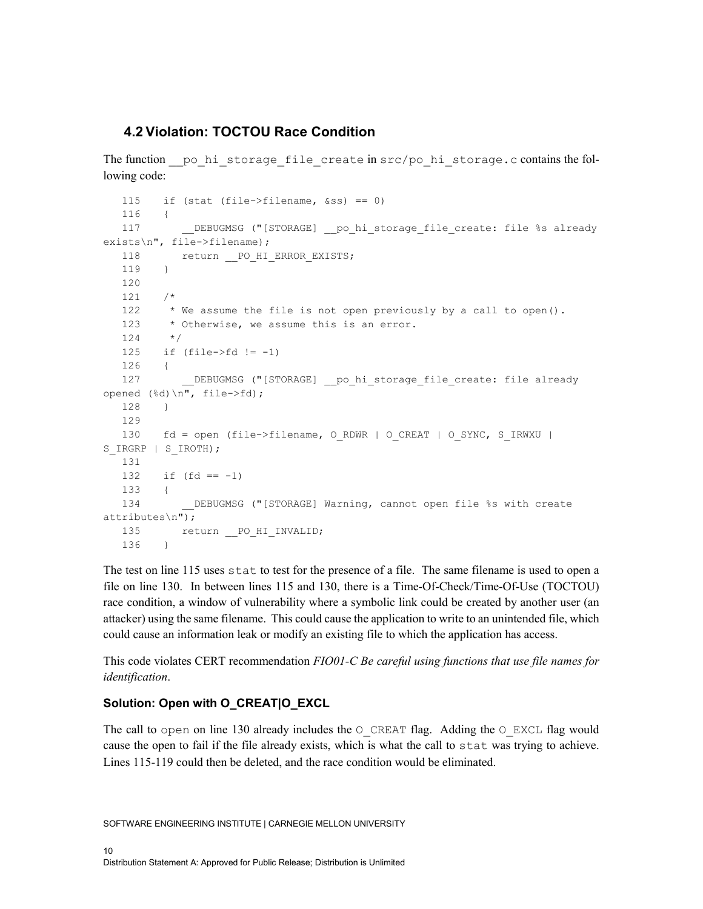### **4.2 Violation: TOCTOU Race Condition**

The function  $p$ o hi storage file create in  $src/p$ o hi storage.c contains the following code:

```
 115 if (stat (file->filename, &ss) == 0)
   116 {
  117 DEBUGMSG ("[STORAGE] __ po_ hi_storage_file_create: file %s already
exists\n", file->filename);
  118 return PO_HI_ERROR_EXISTS;
   119 }
   120
   121 /*
   122 * We assume the file is not open previously by a call to open().
  123 * Otherwise, we assume this is an error.
   124 */
  125 if (file->fd != -1)
   126 {
  127 DEBUGMSG ("[STORAGE] __ po_hi_storage_file_create: file_already
opened (%d)\n", file->fd);
   128 }
   129
  130 fd = open (file->filename, O_RDWR | O_CREAT | O_SYNC, S_IRWXU |
S_IRGRP | S_IROTH);
   131
  132 if (fd == -1) 133 {
  134 DEBUGMSG ("[STORAGE] Warning, cannot open file %s with create
attributes\n");
  135 return PO_HI_INVALID;
   136 }
```
The test on line 115 uses stat to test for the presence of a file. The same filename is used to open a file on line 130. In between lines 115 and 130, there is a Time-Of-Check/Time-Of-Use (TOCTOU) race condition, a window of vulnerability where a symbolic link could be created by another user (an attacker) using the same filename. This could cause the application to write to an unintended file, which could cause an information leak or modify an existing file to which the application has access.

This code violates CERT recommendation *FIO01-C Be careful using functions that use file names for identification*.

#### **Solution: Open with O\_CREAT|O\_EXCL**

The call to open on line 130 already includes the  $\circ$  CREAT flag. Adding the  $\circ$  EXCL flag would cause the open to fail if the file already exists, which is what the call to stat was trying to achieve. Lines 115-119 could then be deleted, and the race condition would be eliminated.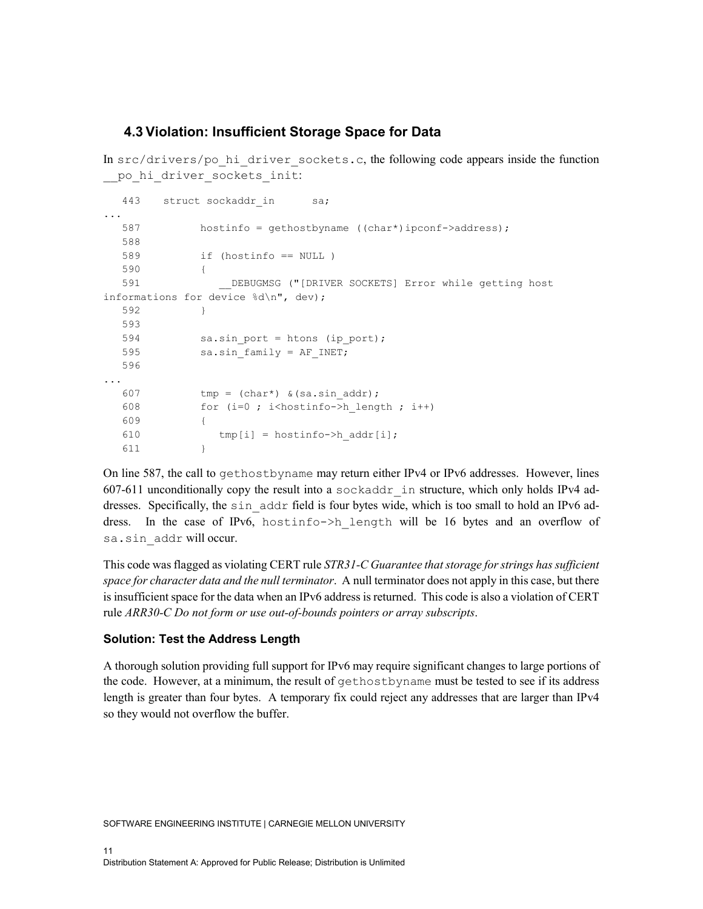### **4.3 Violation: Insufficient Storage Space for Data**

In  $src/drivers/po$  hi driver sockets.c, the following code appears inside the function po hi driver sockets init:

```
443 struct sockaddr in sa;
...
  587 hostinfo = gethostbyname ((char*)ipconf->address);
   588
   589 if (hostinfo == NULL )
   590 {
                DEBUGMSG ("[DRIVER SOCKETS] Error while getting host
informations for device %d\n", dev);
   592 }
   593
  594 sa.sin port = htons (ip port);
  595 sa.sin family = AF INET;
   596
...
  607 tmp = (char*) & (sa.sin addr);608 for (i=0 ; i<hostinfo->h length ; i++)
   609 {
  610 tmp[i] = hostinfo - \gt{h}addr[i]; 611 }
```
On line 587, the call to gethostbyname may return either IPv4 or IPv6 addresses. However, lines 607-611 unconditionally copy the result into a sockaddr in structure, which only holds IPv4 addresses. Specifically, the sin\_addr field is four bytes wide, which is too small to hold an IPv6 address. In the case of IPv6, hostinfo->h\_length will be 16 bytes and an overflow of sa.sin\_addr will occur.

This code was flagged as violating CERT rule *STR31-C Guarantee that storage for strings has sufficient space for character data and the null terminator*. A null terminator does not apply in this case, but there is insufficient space for the data when an IPv6 address is returned. This code is also a violation of CERT rule *ARR30-C Do not form or use out-of-bounds pointers or array subscripts*.

#### **Solution: Test the Address Length**

A thorough solution providing full support for IPv6 may require significant changes to large portions of the code. However, at a minimum, the result of gethostbyname must be tested to see if its address length is greater than four bytes. A temporary fix could reject any addresses that are larger than IPv4 so they would not overflow the buffer.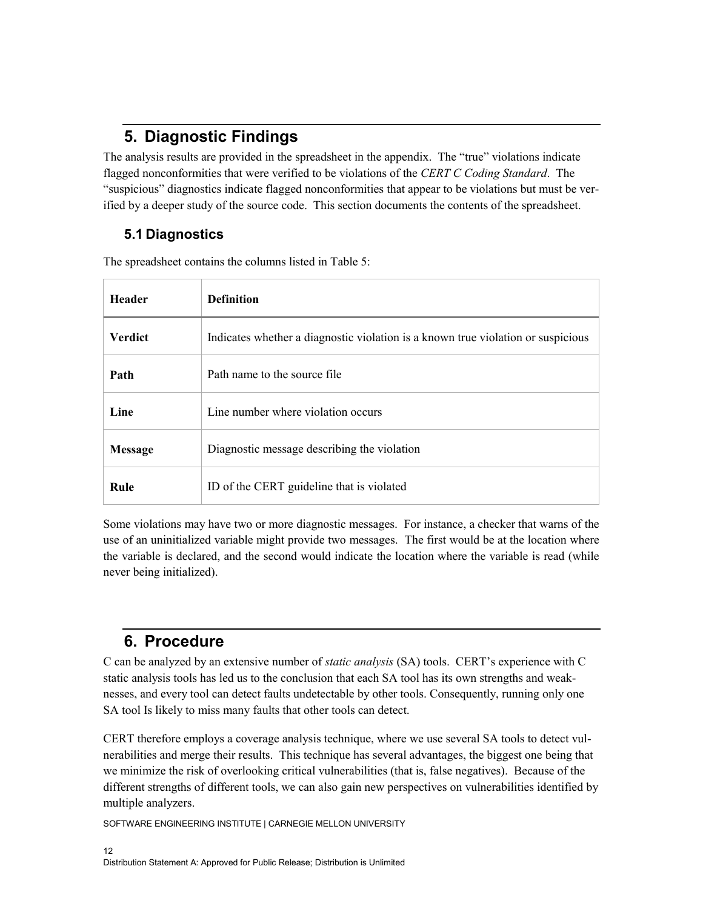# **5. Diagnostic Findings**

The analysis results are provided in the spreadsheet in the appendix. The "true" violations indicate flagged nonconformities that were verified to be violations of the *CERT C Coding Standard*. The "suspicious" diagnostics indicate flagged nonconformities that appear to be violations but must be verified by a deeper study of the source code. This section documents the contents of the spreadsheet.

# **5.1 Diagnostics**

The spreadsheet contains the columns listed in Table 5:

| <b>Header</b>  | <b>Definition</b>                                                                |
|----------------|----------------------------------------------------------------------------------|
| <b>Verdict</b> | Indicates whether a diagnostic violation is a known true violation or suspicious |
| Path           | Path name to the source file                                                     |
| Line           | Line number where violation occurs                                               |
| <b>Message</b> | Diagnostic message describing the violation                                      |
| Rule           | ID of the CERT guideline that is violated                                        |

Some violations may have two or more diagnostic messages. For instance, a checker that warns of the use of an uninitialized variable might provide two messages. The first would be at the location where the variable is declared, and the second would indicate the location where the variable is read (while never being initialized).

# **6. Procedure**

C can be analyzed by an extensive number of *static analysis* (SA) tools. CERT's experience with C static analysis tools has led us to the conclusion that each SA tool has its own strengths and weaknesses, and every tool can detect faults undetectable by other tools. Consequently, running only one SA tool Is likely to miss many faults that other tools can detect.

CERT therefore employs a coverage analysis technique, where we use several SA tools to detect vulnerabilities and merge their results. This technique has several advantages, the biggest one being that we minimize the risk of overlooking critical vulnerabilities (that is, false negatives). Because of the different strengths of different tools, we can also gain new perspectives on vulnerabilities identified by multiple analyzers.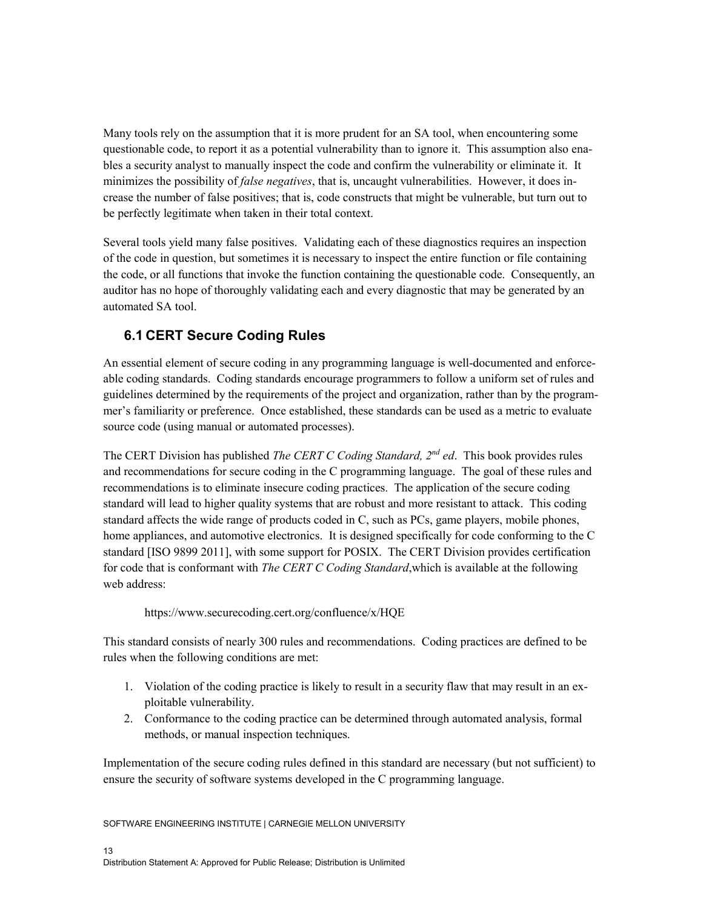Many tools rely on the assumption that it is more prudent for an SA tool, when encountering some questionable code, to report it as a potential vulnerability than to ignore it. This assumption also enables a security analyst to manually inspect the code and confirm the vulnerability or eliminate it. It minimizes the possibility of *false negatives*, that is, uncaught vulnerabilities. However, it does increase the number of false positives; that is, code constructs that might be vulnerable, but turn out to be perfectly legitimate when taken in their total context.

Several tools yield many false positives. Validating each of these diagnostics requires an inspection of the code in question, but sometimes it is necessary to inspect the entire function or file containing the code, or all functions that invoke the function containing the questionable code. Consequently, an auditor has no hope of thoroughly validating each and every diagnostic that may be generated by an automated SA tool.

# **6.1 CERT Secure Coding Rules**

An essential element of secure coding in any programming language is well-documented and enforceable coding standards. Coding standards encourage programmers to follow a uniform set of rules and guidelines determined by the requirements of the project and organization, rather than by the programmer's familiarity or preference. Once established, these standards can be used as a metric to evaluate source code (using manual or automated processes).

The CERT Division has published *The CERT C Coding Standard, 2nd ed*. This book provides rules and recommendations for secure coding in the C programming language. The goal of these rules and recommendations is to eliminate insecure coding practices. The application of the secure coding standard will lead to higher quality systems that are robust and more resistant to attack. This coding standard affects the wide range of products coded in C, such as PCs, game players, mobile phones, home appliances, and automotive electronics. It is designed specifically for code conforming to the C standard [ISO 9899 2011], with some support for POSIX. The CERT Division provides certification for code that is conformant with *The CERT C Coding Standard*,which is available at the following web address:

#### <https://www.securecoding.cert.org/confluence/x/HQE>

This standard consists of nearly 300 rules and recommendations. Coding practices are defined to be rules when the following conditions are met:

- 1. Violation of the coding practice is likely to result in a security flaw that may result in an exploitable vulnerability.
- 2. Conformance to the coding practice can be determined through automated analysis, formal methods, or manual inspection techniques.

Implementation of the secure coding rules defined in this standard are necessary (but not sufficient) to ensure the security of software systems developed in the C programming language.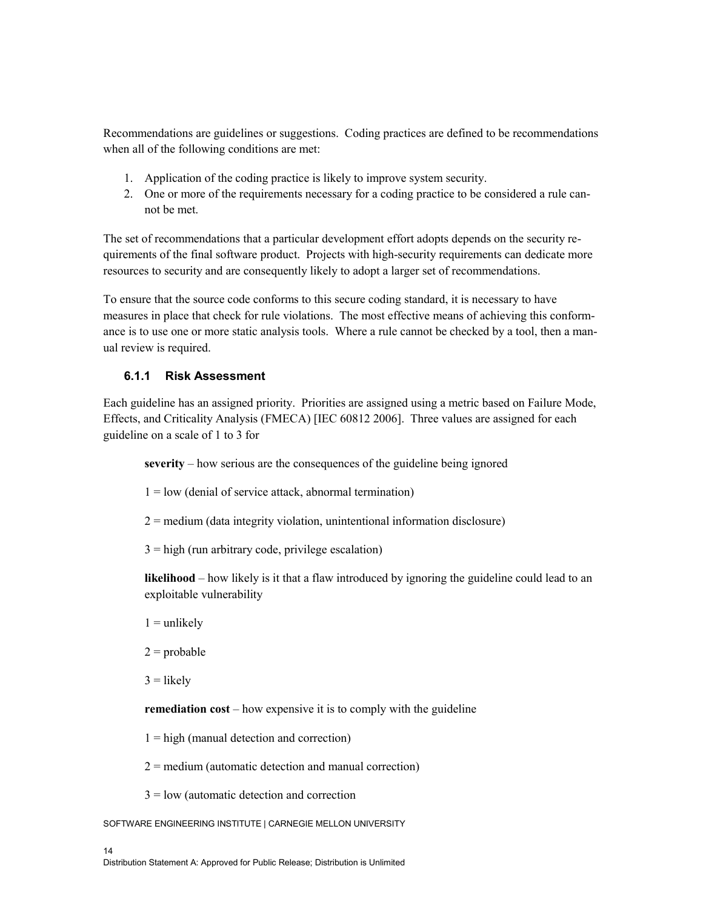Recommendations are guidelines or suggestions. Coding practices are defined to be recommendations when all of the following conditions are met:

- 1. Application of the coding practice is likely to improve system security.
- 2. One or more of the requirements necessary for a coding practice to be considered a rule cannot be met.

The set of recommendations that a particular development effort adopts depends on the security requirements of the final software product. Projects with high-security requirements can dedicate more resources to security and are consequently likely to adopt a larger set of recommendations.

To ensure that the source code conforms to this secure coding standard, it is necessary to have measures in place that check for rule violations. The most effective means of achieving this conformance is to use one or more static analysis tools. Where a rule cannot be checked by a tool, then a manual review is required.

#### **6.1.1 Risk Assessment**

Each guideline has an assigned priority. Priorities are assigned using a metric based on Failure Mode, Effects, and Criticality Analysis (FMECA) [IEC 60812 2006]. Three values are assigned for each guideline on a scale of 1 to 3 for

**severity** – how serious are the consequences of the guideline being ignored

- $1 =$ low (denial of service attack, abnormal termination)
- $2 =$  medium (data integrity violation, unintentional information disclosure)
- $3 =$ high (run arbitrary code, privilege escalation)

**likelihood** – how likely is it that a flaw introduced by ignoring the guideline could lead to an exploitable vulnerability

- $1 =$  unlikely
- $2 =$ probable

 $3 =$ likely

**remediation cost** – how expensive it is to comply with the guideline

 $1 =$ high (manual detection and correction)

 $2 =$  medium (automatic detection and manual correction)

 $3 =$ low (automatic detection and correction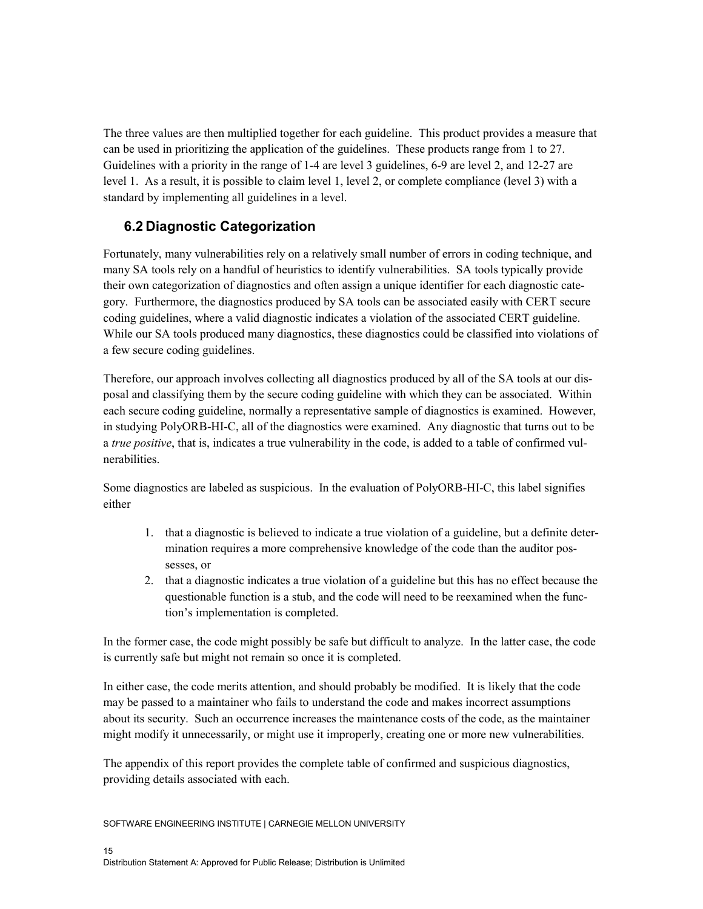The three values are then multiplied together for each guideline. This product provides a measure that can be used in prioritizing the application of the guidelines. These products range from 1 to 27. Guidelines with a priority in the range of 1-4 are level 3 guidelines, 6-9 are level 2, and 12-27 are level 1. As a result, it is possible to claim level 1, level 2, or complete compliance (level 3) with a standard by implementing all guidelines in a level.

## **6.2 Diagnostic Categorization**

Fortunately, many vulnerabilities rely on a relatively small number of errors in coding technique, and many SA tools rely on a handful of heuristics to identify vulnerabilities. SA tools typically provide their own categorization of diagnostics and often assign a unique identifier for each diagnostic category. Furthermore, the diagnostics produced by SA tools can be associated easily with CERT secure coding guidelines, where a valid diagnostic indicates a violation of the associated CERT guideline. While our SA tools produced many diagnostics, these diagnostics could be classified into violations of a few secure coding guidelines.

Therefore, our approach involves collecting all diagnostics produced by all of the SA tools at our disposal and classifying them by the secure coding guideline with which they can be associated. Within each secure coding guideline, normally a representative sample of diagnostics is examined. However, in studying PolyORB-HI-C, all of the diagnostics were examined. Any diagnostic that turns out to be a *true positive*, that is, indicates a true vulnerability in the code, is added to a table of confirmed vulnerabilities.

Some diagnostics are labeled as suspicious. In the evaluation of PolyORB-HI-C, this label signifies either

- 1. that a diagnostic is believed to indicate a true violation of a guideline, but a definite determination requires a more comprehensive knowledge of the code than the auditor possesses, or
- 2. that a diagnostic indicates a true violation of a guideline but this has no effect because the questionable function is a stub, and the code will need to be reexamined when the function's implementation is completed.

In the former case, the code might possibly be safe but difficult to analyze. In the latter case, the code is currently safe but might not remain so once it is completed.

In either case, the code merits attention, and should probably be modified. It is likely that the code may be passed to a maintainer who fails to understand the code and makes incorrect assumptions about its security. Such an occurrence increases the maintenance costs of the code, as the maintainer might modify it unnecessarily, or might use it improperly, creating one or more new vulnerabilities.

The appendix of this report provides the complete table of confirmed and suspicious diagnostics, providing details associated with each.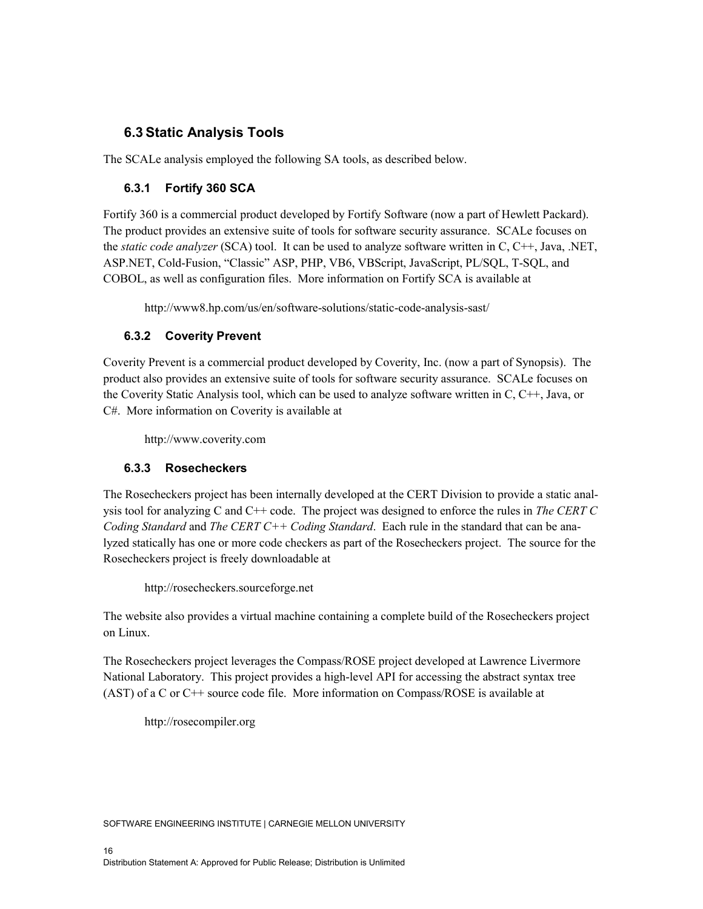# **6.3 Static Analysis Tools**

The SCALe analysis employed the following SA tools, as described below.

### **6.3.1 Fortify 360 SCA**

Fortify 360 is a commercial product developed by Fortify Software (now a part of Hewlett Packard). The product provides an extensive suite of tools for software security assurance. SCALe focuses on the *static code analyzer* (SCA) tool. It can be used to analyze software written in C, C++, Java, .NET, ASP.NET, Cold-Fusion, "Classic" ASP, PHP, VB6, VBScript, JavaScript, PL/SQL, T-SQL, and COBOL, as well as configuration files. More information on Fortify SCA is available at

<http://www8.hp.com/us/en/software-solutions/static-code-analysis-sast/>

### **6.3.2 Coverity Prevent**

Coverity Prevent is a commercial product developed by Coverity, Inc. (now a part of Synopsis). The product also provides an extensive suite of tools for software security assurance. SCALe focuses on the Coverity Static Analysis tool, which can be used to analyze software written in C, C++, Java, or C#. More information on Coverity is available at

[http://www.coverity.com](http://www.coverity.com/)

### **6.3.3 Rosecheckers**

The Rosecheckers project has been internally developed at the CERT Division to provide a static analysis tool for analyzing C and C++ code. The project was designed to enforce the rules in *The CERT C Coding Standard* and *The CERT C++ Coding Standard*. Each rule in the standard that can be analyzed statically has one or more code checkers as part of the Rosecheckers project. The source for the Rosecheckers project is freely downloadable at

[http://rosecheckers.sourceforge.net](http://rosecheckers.sourceforge.net/)

The website also provides a virtual machine containing a complete build of the Rosecheckers project on Linux.

The Rosecheckers project leverages the Compass/ROSE project developed at Lawrence Livermore National Laboratory. This project provides a high-level API for accessing the abstract syntax tree (AST) of a C or C++ source code file. More information on Compass/ROSE is available at

[http://rosecompiler.org](http://rosecompiler.org/)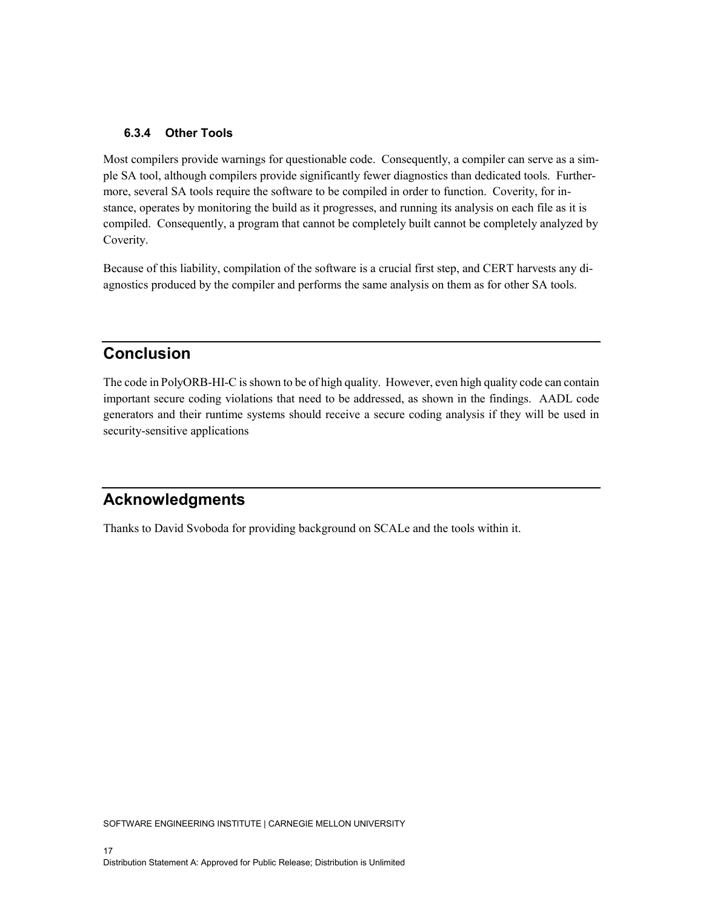#### **6.3.4 Other Tools**

Most compilers provide warnings for questionable code. Consequently, a compiler can serve as a simple SA tool, although compilers provide significantly fewer diagnostics than dedicated tools. Furthermore, several SA tools require the software to be compiled in order to function. Coverity, for instance, operates by monitoring the build as it progresses, and running its analysis on each file as it is compiled. Consequently, a program that cannot be completely built cannot be completely analyzed by Coverity.

Because of this liability, compilation of the software is a crucial first step, and CERT harvests any diagnostics produced by the compiler and performs the same analysis on them as for other SA tools.

# **Conclusion**

The code in PolyORB-HI-C is shown to be of high quality. However, even high quality code can contain important secure coding violations that need to be addressed, as shown in the findings. AADL code generators and their runtime systems should receive a secure coding analysis if they will be used in security-sensitive applications

# **Acknowledgments**

Thanks to David Svoboda for providing background on SCALe and the tools within it.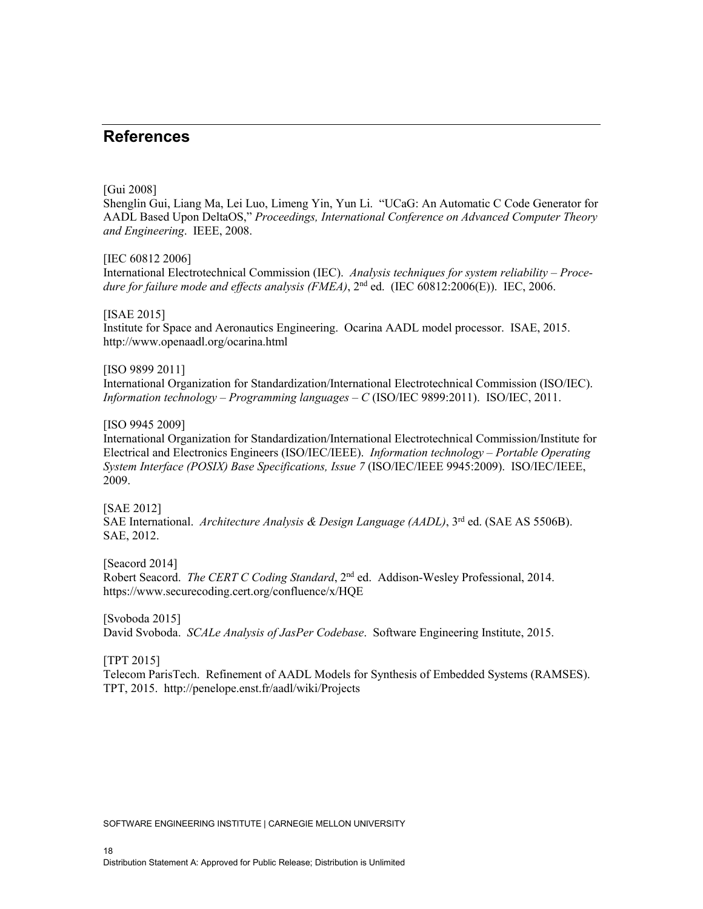# **References**

#### [Gui 2008]

Shenglin Gui, Liang Ma, Lei Luo, Limeng Yin, Yun Li. "UCaG: An Automatic C Code Generator for AADL Based Upon DeltaOS," *Proceedings, International Conference on Advanced Computer Theory and Engineering*. IEEE, 2008.

#### [IEC 60812 2006]

International Electrotechnical Commission (IEC). *Analysis techniques for system reliability – Procedure for failure mode and effects analysis (FMEA)*, 2nd ed. (IEC 60812:2006(E)). IEC, 2006.

#### [ISAE 2015]

Institute for Space and Aeronautics Engineering. Ocarina AADL model processor. ISAE, 2015. <http://www.openaadl.org/ocarina.html>

#### [ISO 9899 2011]

International Organization for Standardization/International Electrotechnical Commission (ISO/IEC). *Information technology – Programming languages – C* (ISO/IEC 9899:2011). ISO/IEC, 2011.

#### [ISO 9945 2009]

International Organization for Standardization/International Electrotechnical Commission/Institute for Electrical and Electronics Engineers (ISO/IEC/IEEE). *Information technology – Portable Operating System Interface (POSIX) Base Specifications, Issue 7* (ISO/IEC/IEEE 9945:2009). ISO/IEC/IEEE, 2009.

#### [SAE 2012]

SAE International. *Architecture Analysis & Design Language (AADL)*, 3rd ed. (SAE AS 5506B). SAE, 2012.

[Seacord 2014] Robert Seacord. *The CERT C Coding Standard*, 2<sup>nd</sup> ed. Addison-Wesley Professional, 2014. https://www.securecoding.cert.org/confluence/x/HQE

[Svoboda 2015] David Svoboda. *SCALe Analysis of JasPer Codebase*. Software Engineering Institute, 2015.

#### [TPT 2015]

Telecom ParisTech. Refinement of AADL Models for Synthesis of Embedded Systems (RAMSES). TPT, 2015. http://penelope.enst.fr/aadl/wiki/Projects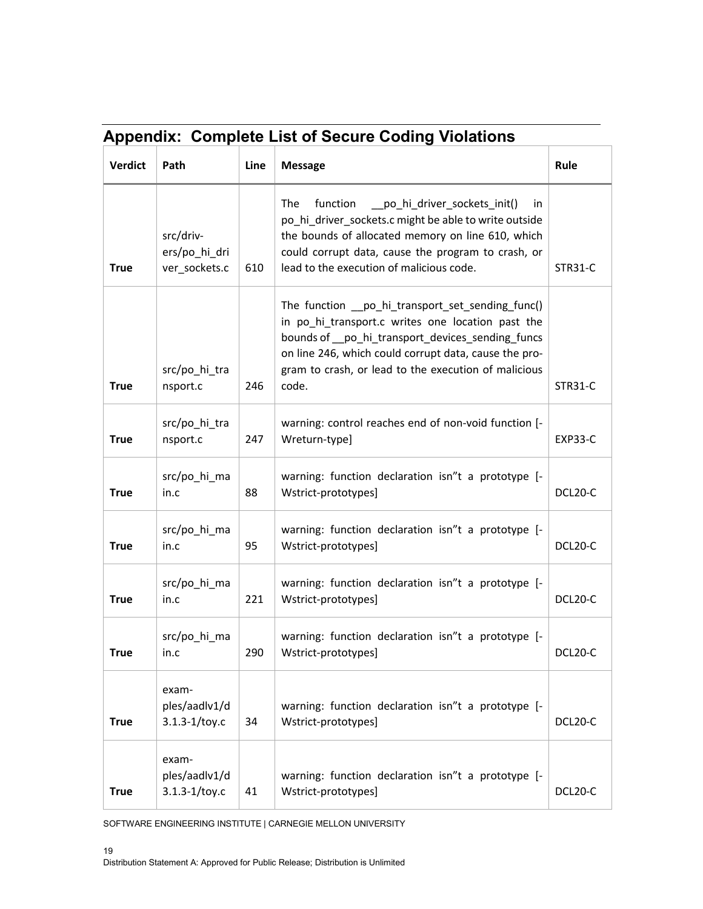|                | <b>Appendix: Complete List of Secure Coding Violations</b> |      |                                                                                                                                                                                                                                                                                     |                |  |  |
|----------------|------------------------------------------------------------|------|-------------------------------------------------------------------------------------------------------------------------------------------------------------------------------------------------------------------------------------------------------------------------------------|----------------|--|--|
| <b>Verdict</b> | Path                                                       | Line | <b>Message</b>                                                                                                                                                                                                                                                                      | Rule           |  |  |
| <b>True</b>    | src/driv-<br>ers/po hi dri<br>ver_sockets.c                | 610  | The<br>___po_hi_driver_sockets_init()<br>function<br>in.<br>po_hi_driver_sockets.c might be able to write outside<br>the bounds of allocated memory on line 610, which<br>could corrupt data, cause the program to crash, or<br>lead to the execution of malicious code.            | STR31-C        |  |  |
| <b>True</b>    | src/po_hi_tra<br>nsport.c                                  | 246  | The function __po_hi_transport_set_sending_func()<br>in po_hi_transport.c writes one location past the<br>bounds of po_hi_transport_devices_sending_funcs<br>on line 246, which could corrupt data, cause the pro-<br>gram to crash, or lead to the execution of malicious<br>code. | STR31-C        |  |  |
| <b>True</b>    | src/po_hi_tra<br>nsport.c                                  | 247  | warning: control reaches end of non-void function [-<br>Wreturn-type]                                                                                                                                                                                                               | <b>EXP33-C</b> |  |  |
| <b>True</b>    | src/po_hi_ma<br>in.c                                       | 88   | warning: function declaration isn"t a prototype [-<br>Wstrict-prototypes]                                                                                                                                                                                                           | DCL20-C        |  |  |
| <b>True</b>    | src/po_hi_ma<br>in.c                                       | 95   | warning: function declaration isn"t a prototype [-<br>Wstrict-prototypes]                                                                                                                                                                                                           | DCL20-C        |  |  |
| <b>True</b>    | src/po_hi_ma<br>in.c                                       | 221  | warning: function declaration isn"t a prototype [-<br>Wstrict-prototypes]                                                                                                                                                                                                           | DCL20-C        |  |  |
| <b>True</b>    | src/po_hi_ma<br>in.c                                       | 290  | warning: function declaration isn"t a prototype [-<br>Wstrict-prototypes]                                                                                                                                                                                                           | DCL20-C        |  |  |
| <b>True</b>    | exam-<br>ples/aadlv1/d<br>$3.1.3 - 1/toy.c$                | 34   | warning: function declaration isn"t a prototype [-<br>Wstrict-prototypes]                                                                                                                                                                                                           | DCL20-C        |  |  |
| <b>True</b>    | exam-<br>ples/aadlv1/d<br>$3.1.3 - 1/toy.c$                | 41   | warning: function declaration isn"t a prototype [-<br>Wstrict-prototypes]                                                                                                                                                                                                           | DCL20-C        |  |  |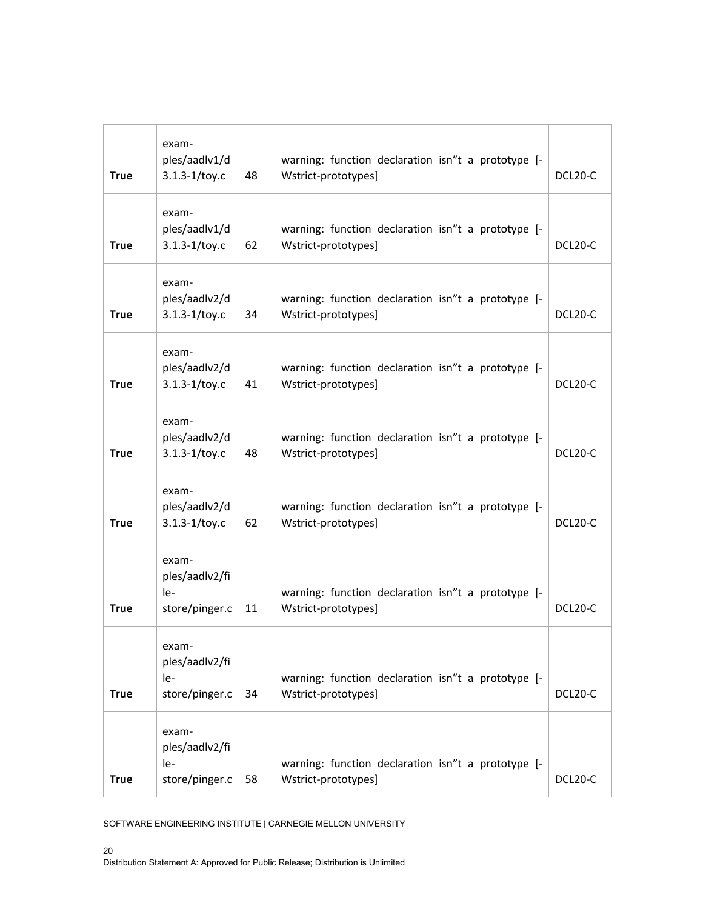| <b>True</b> | exam-<br>ples/aadlv1/d<br>$3.1.3 - 1/toy.c$      | 48 | warning: function declaration isn"t a prototype [-<br>Wstrict-prototypes] | DCL20-C |
|-------------|--------------------------------------------------|----|---------------------------------------------------------------------------|---------|
| <b>True</b> | exam-<br>ples/aadlv1/d<br>$3.1.3 - 1/toy.c$      | 62 | warning: function declaration isn"t a prototype [-<br>Wstrict-prototypes] | DCL20-C |
| <b>True</b> | exam-<br>ples/aadlv2/d<br>$3.1.3 - 1/toy.c$      | 34 | warning: function declaration isn"t a prototype [-<br>Wstrict-prototypes] | DCL20-C |
| <b>True</b> | exam-<br>ples/aadlv2/d<br>$3.1.3 - 1/toy.c$      | 41 | warning: function declaration isn"t a prototype [-<br>Wstrict-prototypes] | DCL20-C |
| <b>True</b> | exam-<br>ples/aadlv2/d<br>$3.1.3 - 1/toy.c$      | 48 | warning: function declaration isn"t a prototype [-<br>Wstrict-prototypes] | DCL20-C |
| <b>True</b> | exam-<br>ples/aadlv2/d<br>$3.1.3 - 1/toy.c$      | 62 | warning: function declaration isn"t a prototype [-<br>Wstrict-prototypes] | DCL20-C |
| <b>True</b> | exam-<br>ples/aadlv2/fi<br>le-<br>store/pinger.c | 11 | warning: function declaration isn"t a prototype [-<br>Wstrict-prototypes] | DCL20-C |
| <b>True</b> | exam-<br>ples/aadlv2/fi<br>le-<br>store/pinger.c | 34 | warning: function declaration isn"t a prototype [-<br>Wstrict-prototypes] | DCL20-C |
| <b>True</b> | exam-<br>ples/aadlv2/fi<br>le-<br>store/pinger.c | 58 | warning: function declaration isn"t a prototype [-<br>Wstrict-prototypes] | DCL20-C |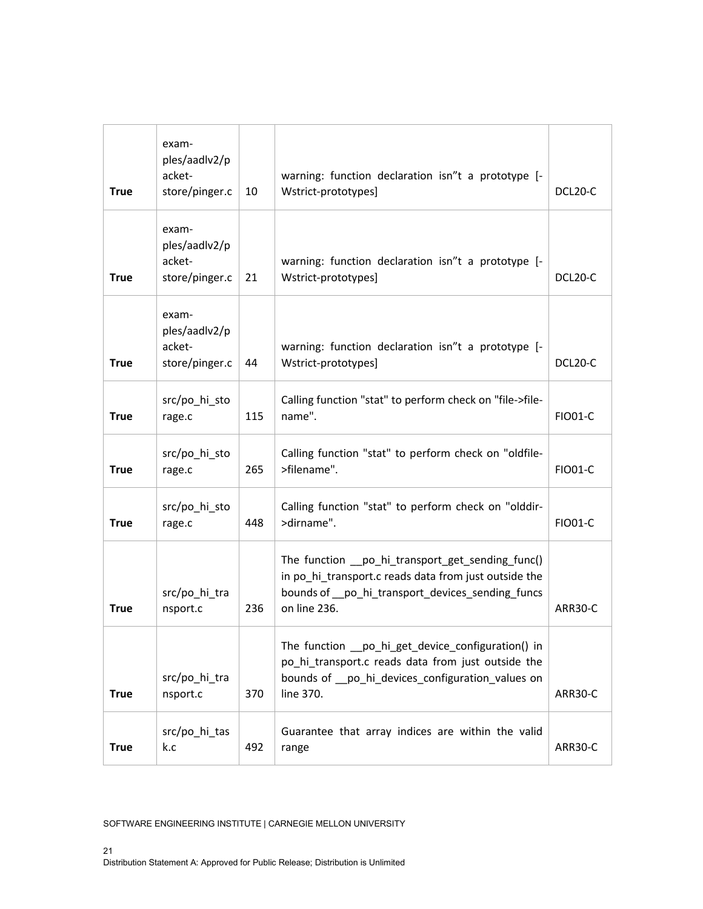| <b>True</b> | exam-<br>ples/aadlv2/p<br>acket-<br>store/pinger.c | 10  | warning: function declaration isn"t a prototype [-<br>Wstrict-prototypes]                                                                                                      | DCL20-C        |
|-------------|----------------------------------------------------|-----|--------------------------------------------------------------------------------------------------------------------------------------------------------------------------------|----------------|
| <b>True</b> | exam-<br>ples/aadlv2/p<br>acket-<br>store/pinger.c | 21  | warning: function declaration isn"t a prototype [-<br>Wstrict-prototypes]                                                                                                      | DCL20-C        |
| <b>True</b> | exam-<br>ples/aadlv2/p<br>acket-<br>store/pinger.c | 44  | warning: function declaration isn"t a prototype [-<br>Wstrict-prototypes]                                                                                                      | DCL20-C        |
| <b>True</b> | src/po_hi_sto<br>rage.c                            | 115 | Calling function "stat" to perform check on "file->file-<br>name".                                                                                                             | <b>FIO01-C</b> |
| <b>True</b> | src/po hi sto<br>rage.c                            | 265 | Calling function "stat" to perform check on "oldfile-<br>>filename".                                                                                                           | <b>FIO01-C</b> |
| <b>True</b> | src/po_hi_sto<br>rage.c                            | 448 | Calling function "stat" to perform check on "olddir-<br>>dirname".                                                                                                             | <b>FIO01-C</b> |
| <b>True</b> | src/po_hi_tra<br>nsport.c                          | 236 | The function __ po_hi_transport_get_sending_func()<br>in po hi transport.c reads data from just outside the<br>bounds of po hi transport devices sending funcs<br>on line 236. | ARR30-C        |
| <b>True</b> | src/po_hi_tra<br>nsport.c                          | 370 | The function __ po_hi_get_device_configuration() in<br>po_hi_transport.c reads data from just outside the<br>bounds of po_hi_devices_configuration_values on<br>line 370.      | ARR30-C        |
| <b>True</b> | src/po_hi_tas<br>k.c                               | 492 | Guarantee that array indices are within the valid<br>range                                                                                                                     | ARR30-C        |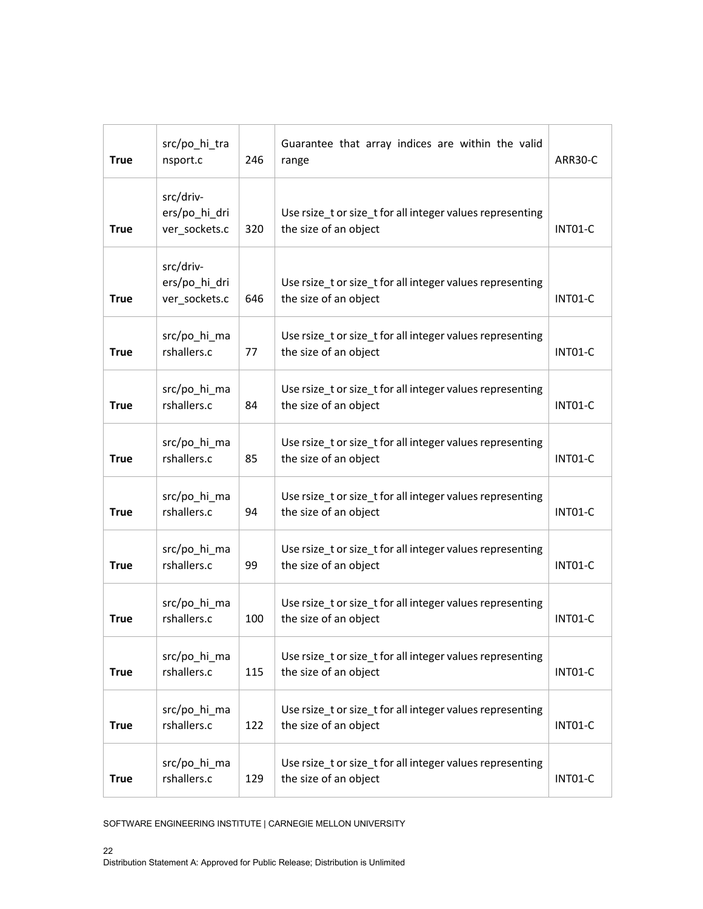| <b>True</b> | src/po_hi_tra<br>nsport.c                   | 246 | Guarantee that array indices are within the valid<br>range                         | ARR30-C |
|-------------|---------------------------------------------|-----|------------------------------------------------------------------------------------|---------|
| True        | src/driv-<br>ers/po_hi_dri<br>ver_sockets.c | 320 | Use rsize_t or size_t for all integer values representing<br>the size of an object | INTO1-C |
| <b>True</b> | src/driv-<br>ers/po_hi_dri<br>ver_sockets.c | 646 | Use rsize_t or size_t for all integer values representing<br>the size of an object | INTO1-C |
| <b>True</b> | src/po_hi_ma<br>rshallers.c                 | 77  | Use rsize_t or size_t for all integer values representing<br>the size of an object | INTO1-C |
| <b>True</b> | src/po_hi_ma<br>rshallers.c                 | 84  | Use rsize_t or size_t for all integer values representing<br>the size of an object | INT01-C |
| <b>True</b> | src/po_hi_ma<br>rshallers.c                 | 85  | Use rsize_t or size_t for all integer values representing<br>the size of an object | INT01-C |
| <b>True</b> | src/po_hi_ma<br>rshallers.c                 | 94  | Use rsize_t or size_t for all integer values representing<br>the size of an object | INT01-C |
| <b>True</b> | src/po_hi_ma<br>rshallers.c                 | 99  | Use rsize_t or size_t for all integer values representing<br>the size of an object | INT01-C |
| <b>True</b> | src/po_hi_ma<br>rshallers.c                 | 100 | Use rsize_t or size_t for all integer values representing<br>the size of an object | INT01-C |
| <b>True</b> | src/po_hi_ma<br>rshallers.c                 | 115 | Use rsize_t or size_t for all integer values representing<br>the size of an object | INT01-C |
| <b>True</b> | src/po_hi_ma<br>rshallers.c                 | 122 | Use rsize_t or size_t for all integer values representing<br>the size of an object | INT01-C |
| <b>True</b> | src/po_hi_ma<br>rshallers.c                 | 129 | Use rsize_t or size_t for all integer values representing<br>the size of an object | INT01-C |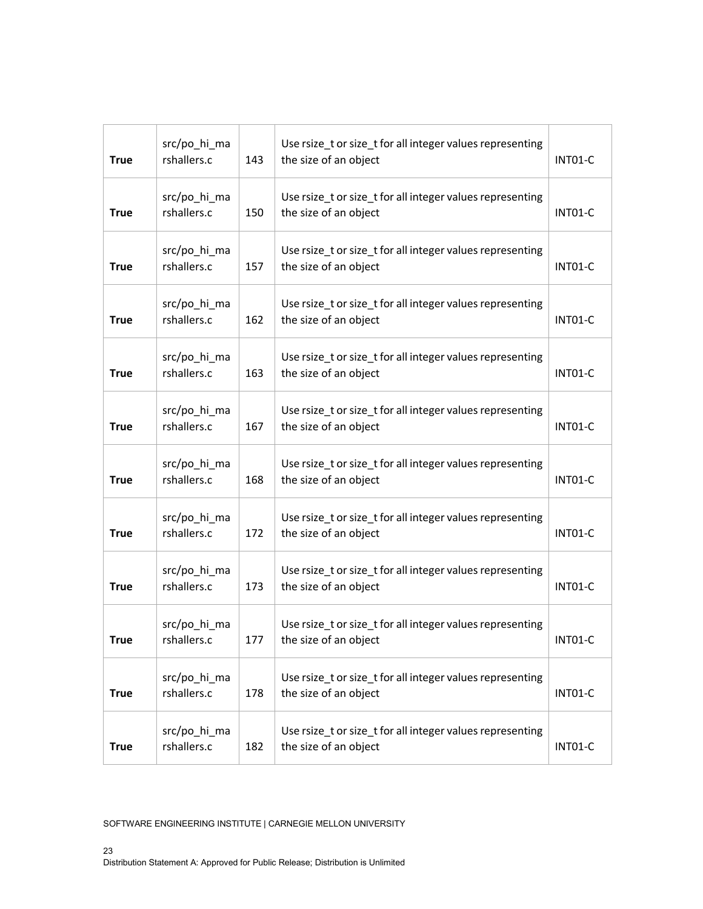| <b>True</b> | src/po_hi_ma<br>rshallers.c | 143 | Use rsize_t or size_t for all integer values representing<br>the size of an object | INT01-C |
|-------------|-----------------------------|-----|------------------------------------------------------------------------------------|---------|
| <b>True</b> | src/po_hi_ma<br>rshallers.c | 150 | Use rsize_t or size_t for all integer values representing<br>the size of an object | INT01-C |
| <b>True</b> | src/po_hi_ma<br>rshallers.c | 157 | Use rsize_t or size_t for all integer values representing<br>the size of an object | INT01-C |
| <b>True</b> | src/po_hi_ma<br>rshallers.c | 162 | Use rsize_t or size_t for all integer values representing<br>the size of an object | INT01-C |
| <b>True</b> | src/po_hi_ma<br>rshallers.c | 163 | Use rsize_t or size_t for all integer values representing<br>the size of an object | INT01-C |
| <b>True</b> | src/po_hi_ma<br>rshallers.c | 167 | Use rsize_t or size_t for all integer values representing<br>the size of an object | INT01-C |
| <b>True</b> | src/po_hi_ma<br>rshallers.c | 168 | Use rsize_t or size_t for all integer values representing<br>the size of an object | INT01-C |
| <b>True</b> | src/po_hi_ma<br>rshallers.c | 172 | Use rsize_t or size_t for all integer values representing<br>the size of an object | INT01-C |
| <b>True</b> | src/po_hi_ma<br>rshallers.c | 173 | Use rsize_t or size_t for all integer values representing<br>the size of an object | INT01-C |
| True        | src/po_hi_ma<br>rshallers.c | 177 | Use rsize_t or size_t for all integer values representing<br>the size of an object | INT01-C |
| <b>True</b> | src/po_hi_ma<br>rshallers.c | 178 | Use rsize_t or size_t for all integer values representing<br>the size of an object | INT01-C |
| <b>True</b> | src/po_hi_ma<br>rshallers.c | 182 | Use rsize tor size t for all integer values representing<br>the size of an object  | INT01-C |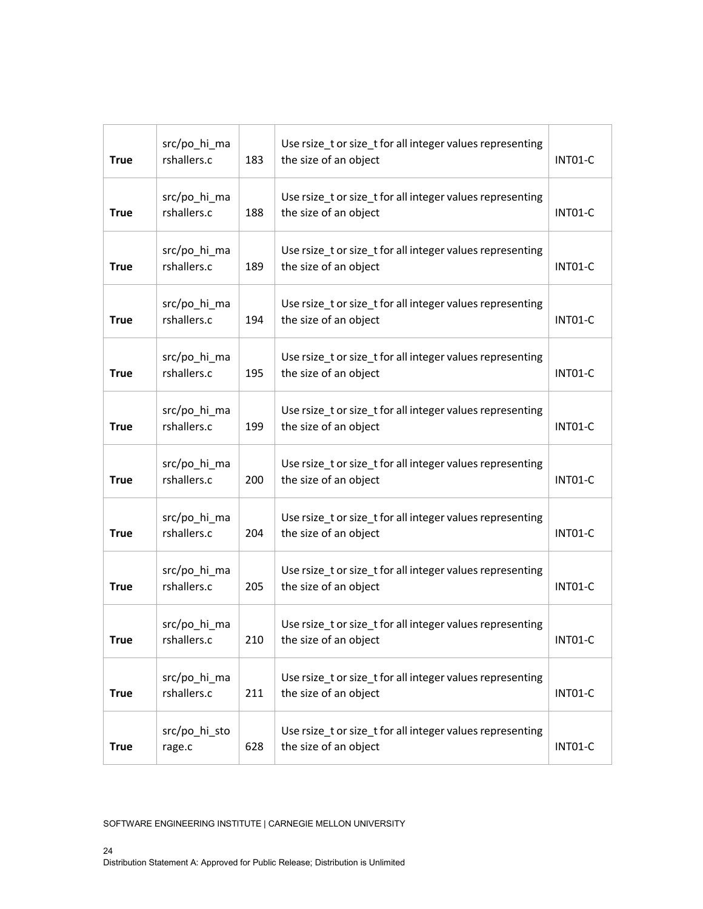| <b>True</b> | src/po_hi_ma<br>rshallers.c | 183 | Use rsize_t or size_t for all integer values representing<br>the size of an object | INT01-C |
|-------------|-----------------------------|-----|------------------------------------------------------------------------------------|---------|
| <b>True</b> | src/po_hi_ma<br>rshallers.c | 188 | Use rsize_t or size_t for all integer values representing<br>the size of an object | INT01-C |
| <b>True</b> | src/po_hi_ma<br>rshallers.c | 189 | Use rsize_t or size_t for all integer values representing<br>the size of an object | INT01-C |
| <b>True</b> | src/po_hi_ma<br>rshallers.c | 194 | Use rsize_t or size_t for all integer values representing<br>the size of an object | INT01-C |
| <b>True</b> | src/po_hi_ma<br>rshallers.c | 195 | Use rsize_t or size_t for all integer values representing<br>the size of an object | INT01-C |
| <b>True</b> | src/po_hi_ma<br>rshallers.c | 199 | Use rsize_t or size_t for all integer values representing<br>the size of an object | INT01-C |
| <b>True</b> | src/po_hi_ma<br>rshallers.c | 200 | Use rsize_t or size_t for all integer values representing<br>the size of an object | INT01-C |
| <b>True</b> | src/po_hi_ma<br>rshallers.c | 204 | Use rsize_t or size_t for all integer values representing<br>the size of an object | INT01-C |
| <b>True</b> | src/po_hi_ma<br>rshallers.c | 205 | Use rsize_t or size_t for all integer values representing<br>the size of an object | INT01-C |
| <b>True</b> | src/po_hi_ma<br>rshallers.c | 210 | Use rsize_t or size_t for all integer values representing<br>the size of an object | INT01-C |
| <b>True</b> | src/po_hi_ma<br>rshallers.c | 211 | Use rsize tor size t for all integer values representing<br>the size of an object  | INT01-C |
| <b>True</b> | src/po_hi_sto<br>rage.c     | 628 | Use rsize tor size t for all integer values representing<br>the size of an object  | INT01-C |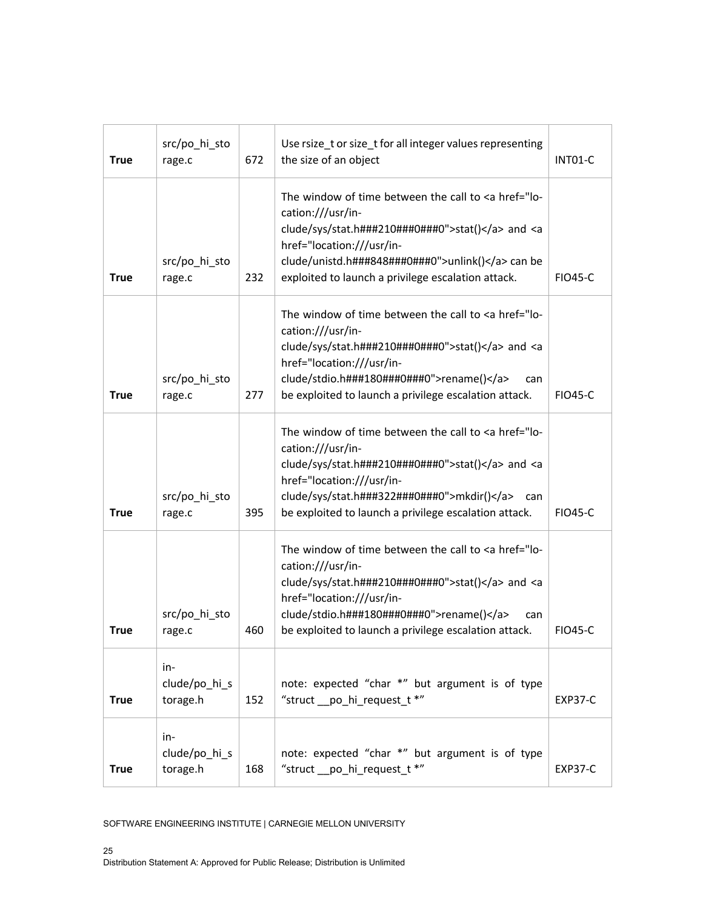| <b>True</b> | src/po_hi_sto<br>rage.c          | 672 | Use rsize_t or size_t for all integer values representing<br>the size of an object                                                                                                                                                                                                             | INT01-C        |
|-------------|----------------------------------|-----|------------------------------------------------------------------------------------------------------------------------------------------------------------------------------------------------------------------------------------------------------------------------------------------------|----------------|
| <b>True</b> | src/po_hi_sto<br>rage.c          | 232 | The window of time between the call to <a href="lo-&lt;br&gt;cation:///usr/in-&lt;br&gt;clude/sys/stat.h###210###0###0">stat()</a> and <a<br>href="location:///usr/in-<br/>clude/unistd.h###848###0###0"&gt;unlink() can be<br/>exploited to launch a privilege escalation attack.</a<br>      | <b>FIO45-C</b> |
| <b>True</b> | src/po_hi_sto<br>rage.c          | 277 | The window of time between the call to <a href="lo-&lt;br&gt;cation:///usr/in-&lt;br&gt;clude/sys/stat.h###210###0###0">stat()</a> and <a<br>href="location:///usr/in-<br/>clude/stdio.h###180###0###0"&gt;rename()<br/>can<br/>be exploited to launch a privilege escalation attack.</a<br>   | <b>FIO45-C</b> |
| <b>True</b> | src/po_hi_sto<br>rage.c          | 395 | The window of time between the call to <a href="lo-&lt;br&gt;cation:///usr/in-&lt;br&gt;clude/sys/stat.h###210###0###0">stat()</a> and <a<br>href="location:///usr/in-<br/>clude/sys/stat.h###322###0###0"&gt;mkdir()<br/>can<br/>be exploited to launch a privilege escalation attack.</a<br> | <b>FIO45-C</b> |
| <b>True</b> | src/po_hi_sto<br>rage.c          | 460 | The window of time between the call to <a href="lo-&lt;br&gt;cation:///usr/in-&lt;br&gt;clude/sys/stat.h###210###0###0">stat()</a> and <a<br>href="location:///usr/in-<br/>clude/stdio.h###180###0###0"&gt;rename()<br/>can<br/>be exploited to launch a privilege escalation attack.</a<br>   | <b>FIO45-C</b> |
| <b>True</b> | in-<br>clude/po hi s<br>torage.h | 152 | note: expected "char *" but argument is of type<br>"struct __po_hi_request_t *"                                                                                                                                                                                                                | <b>EXP37-C</b> |
| <b>True</b> | in-<br>clude/po_hi_s<br>torage.h | 168 | note: expected "char *" but argument is of type<br>"struct __po_hi_request_t *"                                                                                                                                                                                                                | <b>EXP37-C</b> |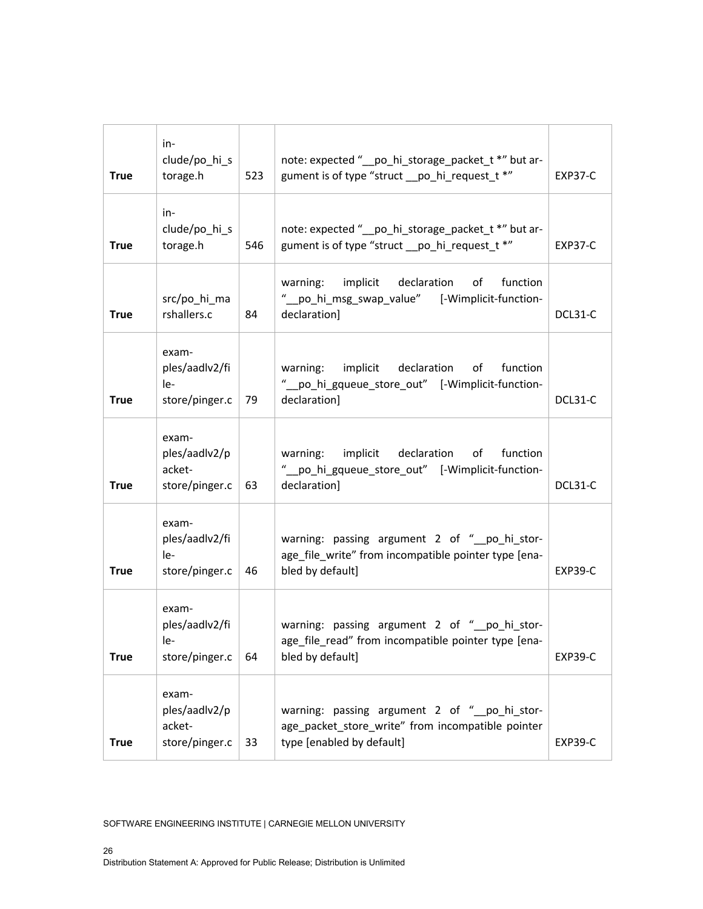| <b>True</b> | in-<br>clude/po_hi_s<br>torage.h                   | 523 | note: expected "_po_hi_storage_packet_t *" but ar-<br>gument is of type "struct _po_hi_request_t *"                            | <b>EXP37-C</b> |
|-------------|----------------------------------------------------|-----|--------------------------------------------------------------------------------------------------------------------------------|----------------|
| <b>True</b> | in-<br>clude/po_hi_s<br>torage.h                   | 546 | note: expected "_po_hi_storage_packet_t *" but ar-<br>gument is of type "struct _po_hi_request_t *"                            | EXP37-C        |
| <b>True</b> | src/po_hi_ma<br>rshallers.c                        | 84  | warning: implicit declaration<br>function<br>of<br>"_po_hi_msg_swap_value" [-Wimplicit-function-<br>declaration]               | DCL31-C        |
| <b>True</b> | exam-<br>ples/aadlv2/fi<br>le-<br>store/pinger.c   | 79  | warning: implicit declaration<br>of function<br>"_po_hi_gqueue_store_out" [-Wimplicit-function-<br>declaration]                | DCL31-C        |
| <b>True</b> | exam-<br>ples/aadlv2/p<br>acket-<br>store/pinger.c | 63  | warning: implicit declaration<br>of<br>function<br>"_po_hi_gqueue_store_out" [-Wimplicit-function-<br>declaration]             | DCL31-C        |
| <b>True</b> | exam-<br>ples/aadlv2/fi<br>le-<br>store/pinger.c   | 46  | warning: passing argument 2 of "_po_hi_stor-<br>age_file_write" from incompatible pointer type [ena-<br>bled by default]       | <b>EXP39-C</b> |
| <b>True</b> | exam-<br>ples/aadlv2/fi<br>le-<br>store/pinger.c   | 64  | warning: passing argument 2 of "_po_hi_stor-<br>age_file_read" from incompatible pointer type [ena-<br>bled by default]        | <b>EXP39-C</b> |
| <b>True</b> | exam-<br>ples/aadlv2/p<br>acket-<br>store/pinger.c | 33  | warning: passing argument 2 of "_po_hi_stor-<br>age_packet_store_write" from incompatible pointer<br>type [enabled by default] | <b>EXP39-C</b> |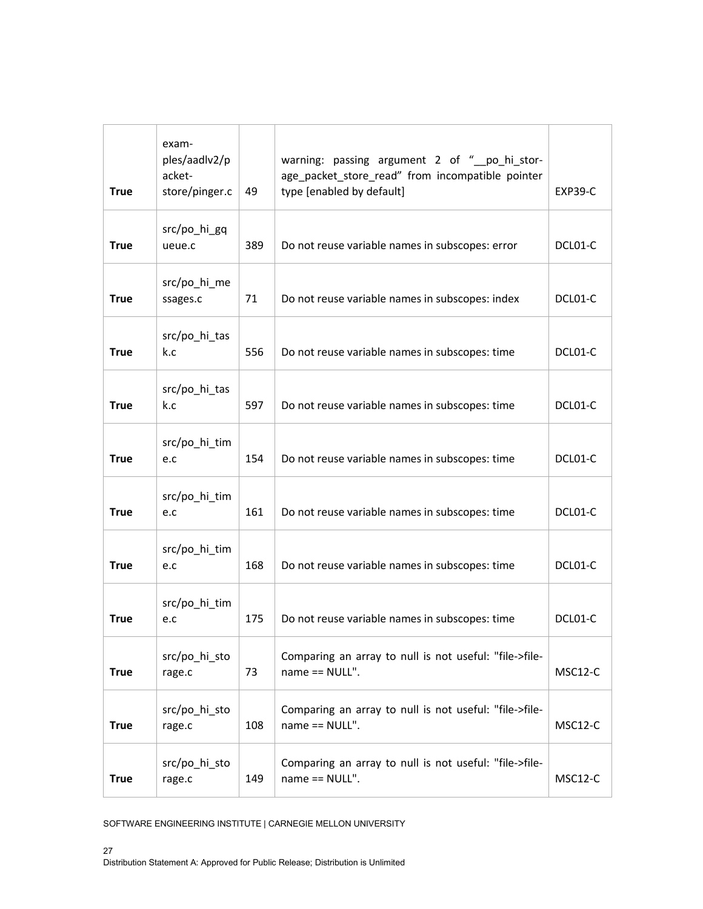| <b>True</b> | exam-<br>ples/aadlv2/p<br>acket-<br>store/pinger.c | 49  | warning: passing argument 2 of "_po_hi_stor-<br>age_packet_store_read" from incompatible pointer<br>type [enabled by default] | <b>EXP39-C</b> |
|-------------|----------------------------------------------------|-----|-------------------------------------------------------------------------------------------------------------------------------|----------------|
| <b>True</b> | src/po_hi_gq<br>ueue.c                             | 389 | Do not reuse variable names in subscopes: error                                                                               | DCL01-C        |
| <b>True</b> | src/po_hi_me<br>ssages.c                           | 71  | Do not reuse variable names in subscopes: index                                                                               | DCL01-C        |
| <b>True</b> | src/po_hi_tas<br>k.c                               | 556 | Do not reuse variable names in subscopes: time                                                                                | DCL01-C        |
| <b>True</b> | src/po_hi_tas<br>k.c                               | 597 | Do not reuse variable names in subscopes: time                                                                                | DCL01-C        |
| <b>True</b> | src/po_hi_tim<br>e.c                               | 154 | Do not reuse variable names in subscopes: time                                                                                | DCL01-C        |
| <b>True</b> | src/po_hi_tim<br>e.c                               | 161 | Do not reuse variable names in subscopes: time                                                                                | DCL01-C        |
| <b>True</b> | src/po_hi_tim<br>e.c                               | 168 | Do not reuse variable names in subscopes: time                                                                                | DCL01-C        |
| <b>True</b> | src/po_hi_tim<br>e.c                               | 175 | Do not reuse variable names in subscopes: time                                                                                | DCL01-C        |
| <b>True</b> | src/po hi sto<br>rage.c                            | 73  | Comparing an array to null is not useful: "file->file-<br>name == NULL".                                                      | MSC12-C        |
| <b>True</b> | src/po_hi_sto<br>rage.c                            | 108 | Comparing an array to null is not useful: "file->file-<br>name == NULL".                                                      | MSC12-C        |
| <b>True</b> | src/po_hi_sto<br>rage.c                            | 149 | Comparing an array to null is not useful: "file->file-<br>name == NULL".                                                      | MSC12-C        |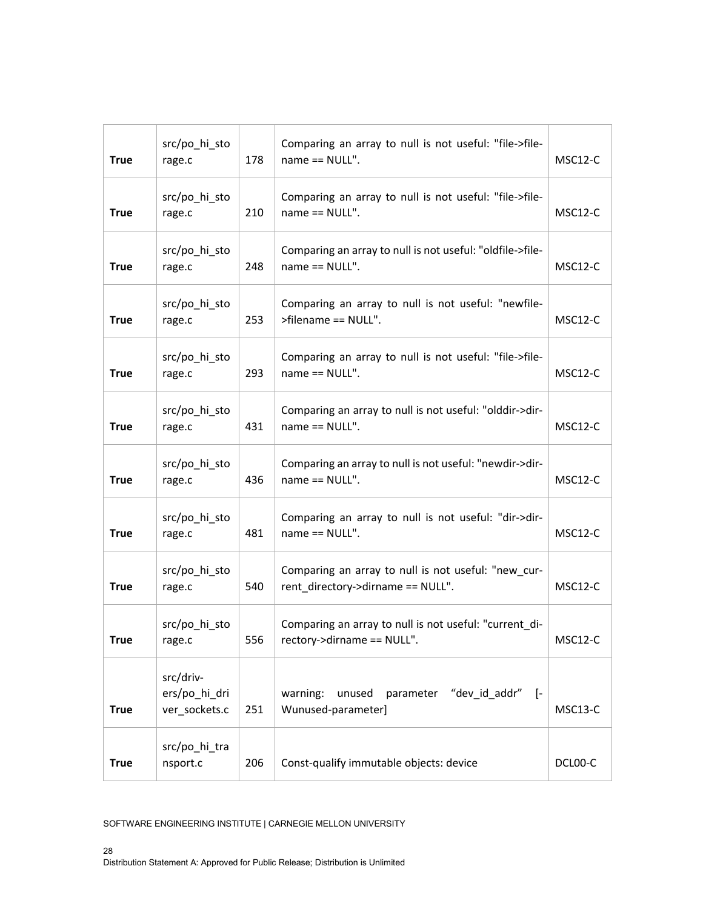| <b>True</b> | src/po_hi_sto<br>rage.c                     | 178 | Comparing an array to null is not useful: "file->file-<br>name == NULL".                 | MSC12-C |
|-------------|---------------------------------------------|-----|------------------------------------------------------------------------------------------|---------|
| <b>True</b> | src/po_hi_sto<br>rage.c                     | 210 | Comparing an array to null is not useful: "file->file-<br>name == NULL".                 | MSC12-C |
| <b>True</b> | src/po_hi_sto<br>rage.c                     | 248 | Comparing an array to null is not useful: "oldfile->file-<br>name == NULL".              | MSC12-C |
| <b>True</b> | src/po_hi_sto<br>rage.c                     | 253 | Comparing an array to null is not useful: "newfile-<br>>filename == NULL".               | MSC12-C |
| <b>True</b> | src/po_hi_sto<br>rage.c                     | 293 | Comparing an array to null is not useful: "file->file-<br>name == NULL".                 | MSC12-C |
| <b>True</b> | src/po_hi_sto<br>rage.c                     | 431 | Comparing an array to null is not useful: "olddir->dir-<br>name == NULL".                | MSC12-C |
| <b>True</b> | src/po_hi_sto<br>rage.c                     | 436 | Comparing an array to null is not useful: "newdir->dir-<br>name == NULL".                | MSC12-C |
| <b>True</b> | src/po_hi_sto<br>rage.c                     | 481 | Comparing an array to null is not useful: "dir->dir-<br>name == NULL".                   | MSC12-C |
| <b>True</b> | src/po_hi_sto<br>rage.c                     | 540 | Comparing an array to null is not useful: "new_cur-<br>rent_directory->dirname == NULL". | MSC12-C |
| True        | src/po hi sto<br>rage.c                     | 556 | Comparing an array to null is not useful: "current_di-<br>rectory->dirname == NULL".     | MSC12-C |
| <b>True</b> | src/driv-<br>ers/po_hi_dri<br>ver_sockets.c | 251 | parameter "dev_id_addr" [-<br>warning:<br>unused<br>Wunused-parameter]                   | MSC13-C |
| <b>True</b> | src/po_hi_tra<br>nsport.c                   | 206 | Const-qualify immutable objects: device                                                  | DCL00-C |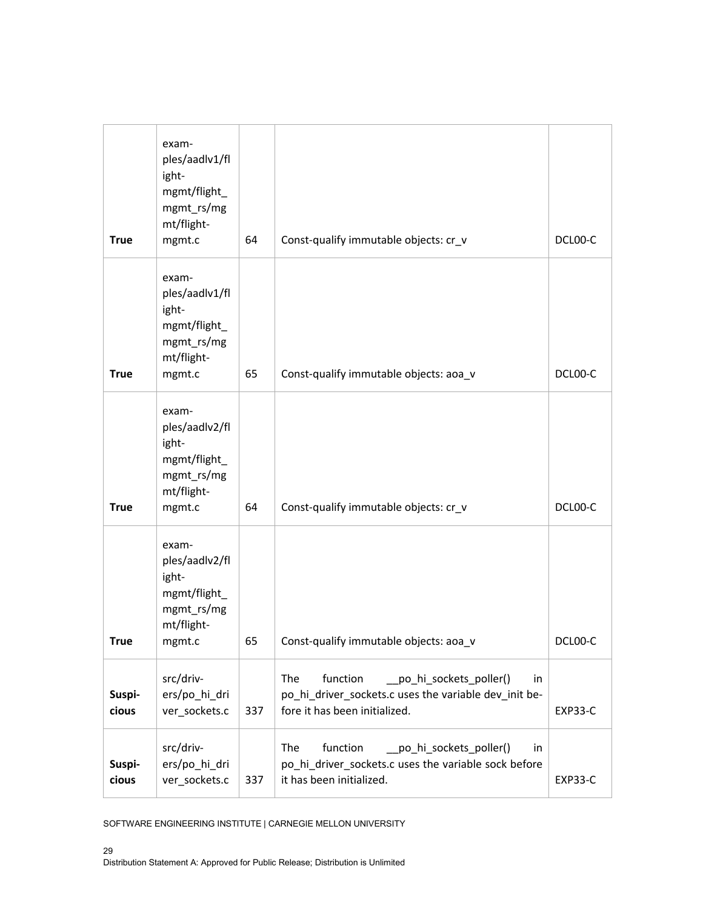| <b>True</b>     | exam-<br>ples/aadlv1/fl<br>ight-<br>mgmt/flight_<br>mgmt_rs/mg<br>mt/flight-<br>mgmt.c | 64  | Const-qualify immutable objects: cr_v                                                                                                       | DCL00-C        |
|-----------------|----------------------------------------------------------------------------------------|-----|---------------------------------------------------------------------------------------------------------------------------------------------|----------------|
| <b>True</b>     | exam-<br>ples/aadlv1/fl<br>ight-<br>mgmt/flight_<br>mgmt_rs/mg<br>mt/flight-<br>mgmt.c | 65  | Const-qualify immutable objects: aoa_v                                                                                                      | DCL00-C        |
| <b>True</b>     | exam-<br>ples/aadlv2/fl<br>ight-<br>mgmt/flight_<br>mgmt_rs/mg<br>mt/flight-<br>mgmt.c | 64  | Const-qualify immutable objects: cr_v                                                                                                       | DCL00-C        |
| <b>True</b>     | exam-<br>ples/aadlv2/fl<br>ight-<br>mgmt/flight_<br>mgmt_rs/mg<br>mt/flight-<br>mgmt.c | 65  | Const-qualify immutable objects: aoa_v                                                                                                      | DCL00-C        |
| Suspi-<br>cious | src/driv-<br>ers/po_hi_dri<br>ver_sockets.c                                            | 337 | The<br>function<br>__po_hi_sockets_poller()<br>in<br>po_hi_driver_sockets.c uses the variable dev_init be-<br>fore it has been initialized. | EXP33-C        |
| Suspi-<br>cious | src/driv-<br>ers/po_hi_dri<br>ver sockets.c                                            | 337 | The<br>function<br>po_hi_sockets_poller()<br>in<br>po_hi_driver_sockets.c uses the variable sock before<br>it has been initialized.         | <b>EXP33-C</b> |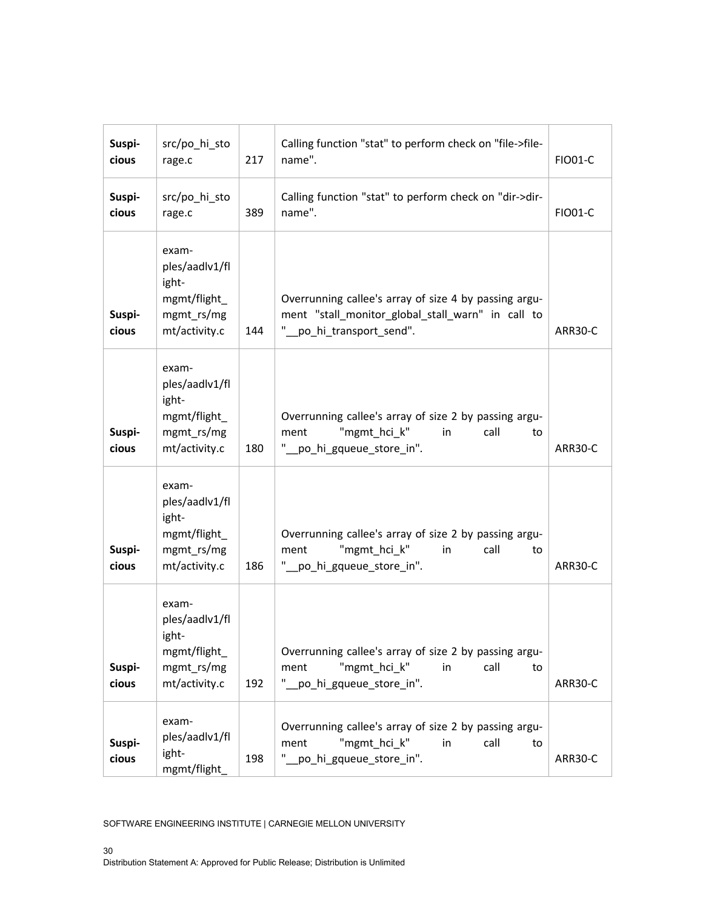| Suspi-<br>cious | src/po_hi_sto<br>rage.c                                                         | 217 | Calling function "stat" to perform check on "file->file-<br>name".                                                                   | <b>FIO01-C</b> |
|-----------------|---------------------------------------------------------------------------------|-----|--------------------------------------------------------------------------------------------------------------------------------------|----------------|
| Suspi-<br>cious | src/po_hi_sto<br>rage.c                                                         | 389 | Calling function "stat" to perform check on "dir->dir-<br>name".                                                                     | <b>FIO01-C</b> |
| Suspi-<br>cious | exam-<br>ples/aadlv1/fl<br>ight-<br>mgmt/flight_<br>mgmt_rs/mg<br>mt/activity.c | 144 | Overrunning callee's array of size 4 by passing argu-<br>ment "stall_monitor_global_stall_warn" in call to<br>po_hi_transport_send". | ARR30-C        |
| Suspi-<br>cious | exam-<br>ples/aadlv1/fl<br>ight-<br>mgmt/flight_<br>mgmt_rs/mg<br>mt/activity.c | 180 | Overrunning callee's array of size 2 by passing argu-<br>"mgmt hci k"<br>call<br>ment<br>in<br>to<br>po_hi_gqueue_store_in".         | ARR30-C        |
| Suspi-<br>cious | exam-<br>ples/aadlv1/fl<br>ight-<br>mgmt/flight_<br>mgmt_rs/mg<br>mt/activity.c | 186 | Overrunning callee's array of size 2 by passing argu-<br>"mgmt_hci_k"<br>call<br>ment<br>in<br>to<br>.po_hi_gqueue_store_in".        | ARR30-C        |
| Suspi-<br>cious | exam-<br>ples/aadlv1/fl<br>ight-<br>mgmt/flight_<br>mgmt_rs/mg<br>mt/activity.c | 192 | Overrunning callee's array of size 2 by passing argu-<br>"mgmt_hci_k"<br>call<br>ment<br>in<br>to<br>po_hi_gqueue_store_in".         | ARR30-C        |
| Suspi-<br>cious | exam-<br>ples/aadlv1/fl<br>ight-<br>mgmt/flight_                                | 198 | Overrunning callee's array of size 2 by passing argu-<br>"mgmt_hci_k"<br>call<br>ment<br>in<br>to<br>_po_hi_gqueue_store_in".        | ARR30-C        |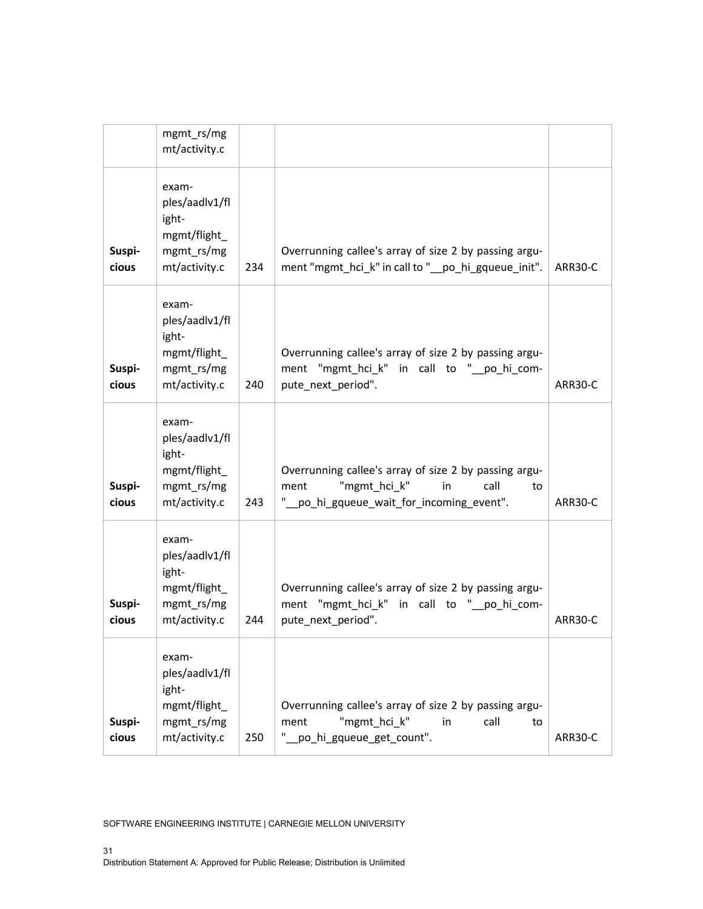| Suspi-<br>cious | exam-<br>ples/aadlv1/fl<br>ight-<br>mgmt/flight_<br>mgmt_rs/mg<br>mt/activity.c | 250 | Overrunning callee's array of size 2 by passing argu-<br>"mgmt hci k"<br>call<br>in<br>ment<br>to<br>po_hi_gqueue_get_count".                 | ARR30-C |
|-----------------|---------------------------------------------------------------------------------|-----|-----------------------------------------------------------------------------------------------------------------------------------------------|---------|
| Suspi-<br>cious | exam-<br>ples/aadlv1/fl<br>ight-<br>mgmt/flight_<br>mgmt_rs/mg<br>mt/activity.c | 244 | Overrunning callee's array of size 2 by passing argu-<br>ment "mgmt_hci_k" in call to "_po_hi_com-<br>pute_next_period".                      | ARR30-C |
| Suspi-<br>cious | exam-<br>ples/aadlv1/fl<br>ight-<br>mgmt/flight_<br>mgmt_rs/mg<br>mt/activity.c | 243 | Overrunning callee's array of size 2 by passing argu-<br>"mgmt_hci_k"<br>call<br>ment<br>in<br>to<br>" po hi gqueue wait for incoming event". | ARR30-C |
| Suspi-<br>cious | exam-<br>ples/aadlv1/fl<br>ight-<br>mgmt/flight_<br>mgmt rs/mg<br>mt/activity.c | 240 | Overrunning callee's array of size 2 by passing argu-<br>ment "mgmt_hci_k" in call to "_po_hi_com-<br>pute_next_period".                      | ARR30-C |
| Suspi-<br>cious | exam-<br>ples/aadlv1/fl<br>ight-<br>mgmt/flight_<br>mgmt rs/mg<br>mt/activity.c | 234 | Overrunning callee's array of size 2 by passing argu-<br>ment "mgmt_hci_k" in call to "_po_hi_gqueue_init".                                   | ARR30-C |
|                 | mgmt_rs/mg<br>mt/activity.c                                                     |     |                                                                                                                                               |         |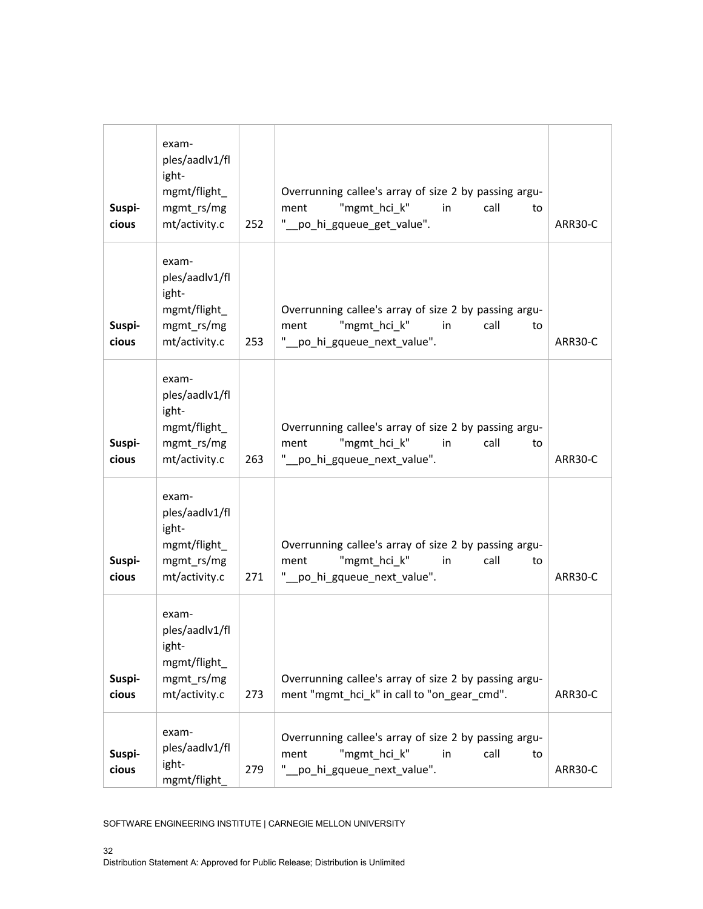| Suspi-<br>cious | exam-<br>ples/aadlv1/fl<br>ight-<br>mgmt/flight_<br>mgmt_rs/mg<br>mt/activity.c | 252 | Overrunning callee's array of size 2 by passing argu-<br>"mgmt_hci_k"<br>ment<br>in<br>call<br>to<br>"_po_hi_gqueue_get_value".  | ARR30-C |
|-----------------|---------------------------------------------------------------------------------|-----|----------------------------------------------------------------------------------------------------------------------------------|---------|
| Suspi-<br>cious | exam-<br>ples/aadlv1/fl<br>ight-<br>mgmt/flight_<br>mgmt_rs/mg<br>mt/activity.c | 253 | Overrunning callee's array of size 2 by passing argu-<br>"mgmt_hci_k"<br>ment<br>in<br>call<br>to<br>" po_hi_gqueue_next_value". | ARR30-C |
| Suspi-<br>cious | exam-<br>ples/aadlv1/fl<br>ight-<br>mgmt/flight_<br>mgmt_rs/mg<br>mt/activity.c | 263 | Overrunning callee's array of size 2 by passing argu-<br>"mgmt_hci_k"<br>ment<br>in<br>call<br>to<br>" po_hi_gqueue_next_value". | ARR30-C |
| Suspi-<br>cious | exam-<br>ples/aadlv1/fl<br>ight-<br>mgmt/flight_<br>mgmt_rs/mg<br>mt/activity.c | 271 | Overrunning callee's array of size 2 by passing argu-<br>"mgmt_hci_k"<br>call<br>ment<br>in<br>to<br>"_po_hi_gqueue_next_value". | ARR30-C |
| Suspi-<br>cious | exam-<br>ples/aadlv1/fl<br>ight-<br>mgmt/flight_<br>mgmt_rs/mg<br>mt/activity.c | 273 | Overrunning callee's array of size 2 by passing argu-<br>ment "mgmt_hci_k" in call to "on_gear_cmd".                             | ARR30-C |
| Suspi-<br>cious | exam-<br>ples/aadlv1/fl<br>ight-<br>mgmt/flight_                                | 279 | Overrunning callee's array of size 2 by passing argu-<br>"mgmt hci k"<br>ment<br>call<br>in<br>to<br>"_po_hi_gqueue_next_value". | ARR30-C |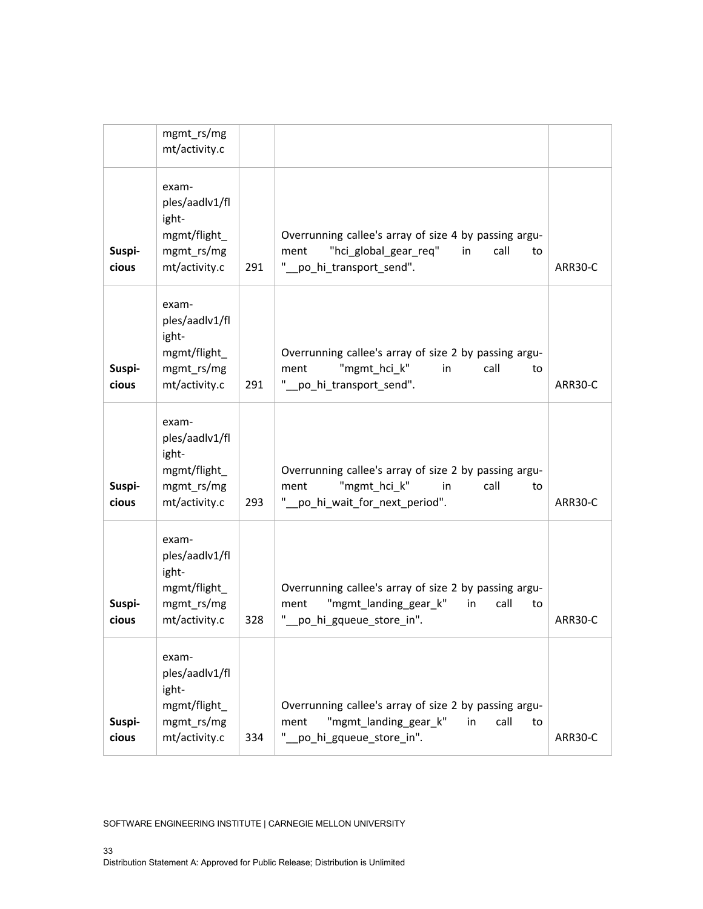|                 | mgmt_rs/mg<br>mt/activity.c                                                     |     |                                                                                                                                        |         |
|-----------------|---------------------------------------------------------------------------------|-----|----------------------------------------------------------------------------------------------------------------------------------------|---------|
| Suspi-<br>cious | exam-<br>ples/aadlv1/fl<br>ight-<br>mgmt/flight_<br>mgmt_rs/mg<br>mt/activity.c | 291 | Overrunning callee's array of size 4 by passing argu-<br>"hci_global_gear_req"<br>ment<br>in<br>call<br>to<br>"_po_hi_transport_send". | ARR30-C |
| Suspi-<br>cious | exam-<br>ples/aadlv1/fl<br>ight-<br>mgmt/flight_<br>mgmt rs/mg<br>mt/activity.c | 291 | Overrunning callee's array of size 2 by passing argu-<br>"mgmt_hci_k"<br>call<br>ment<br>in<br>to<br>"_po_hi_transport_send".          | ARR30-C |
| Suspi-<br>cious | exam-<br>ples/aadlv1/fl<br>ight-<br>mgmt/flight_<br>mgmt_rs/mg<br>mt/activity.c | 293 | Overrunning callee's array of size 2 by passing argu-<br>"mgmt_hci_k"<br>ment<br>in<br>call<br>to<br>po_hi_wait_for_next_period".      | ARR30-C |
| Suspi-<br>cious | exam-<br>ples/aadlv1/fl<br>ight-<br>mgmt/flight_<br>mgmt_rs/mg<br>mt/activity.c | 328 | Overrunning callee's array of size 2 by passing argu-<br>"mgmt landing gear k"<br>call<br>in<br>ment<br>to<br>po_hi_gqueue_store_in".  | ARR30-C |
| Suspi-<br>cious | exam-<br>ples/aadlv1/fl<br>ight-<br>mgmt/flight_<br>mgmt_rs/mg<br>mt/activity.c | 334 | Overrunning callee's array of size 2 by passing argu-<br>"mgmt_landing_gear k"<br>call<br>in<br>ment<br>to<br>po_hi_gqueue_store_in".  | ARR30-C |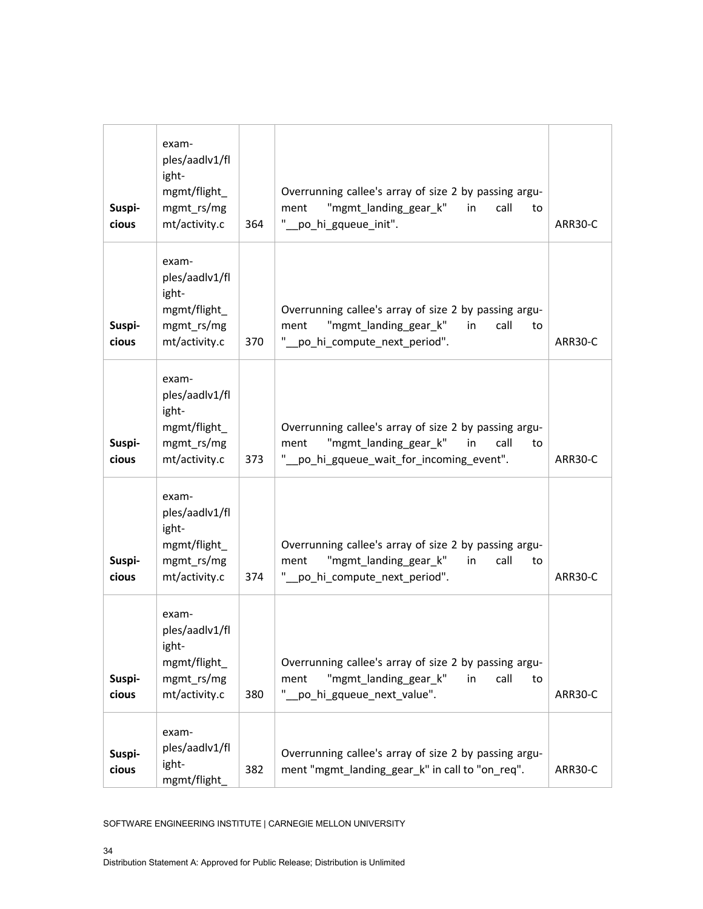| Suspi-<br>cious | exam-<br>ples/aadlv1/fl<br>ight-<br>mgmt/flight<br>mgmt_rs/mg<br>mt/activity.c  | 364 | Overrunning callee's array of size 2 by passing argu-<br>"mgmt_landing_gear_k"<br>call<br>ment<br>in<br>to<br>" po_hi_gqueue_init".                    | ARR30-C |
|-----------------|---------------------------------------------------------------------------------|-----|--------------------------------------------------------------------------------------------------------------------------------------------------------|---------|
| Suspi-<br>cious | exam-<br>ples/aadlv1/fl<br>ight-<br>mgmt/flight_<br>mgmt_rs/mg<br>mt/activity.c | 370 | Overrunning callee's array of size 2 by passing argu-<br>"mgmt_landing_gear_k"<br>call<br>ment<br>in<br>to<br>" po_hi_compute_next_period".            | ARR30-C |
| Suspi-<br>cious | exam-<br>ples/aadlv1/fl<br>ight-<br>mgmt/flight_<br>mgmt_rs/mg<br>mt/activity.c | 373 | Overrunning callee's array of size 2 by passing argu-<br>"mgmt landing gear k"<br>call<br>ment<br>in<br>to<br>" po hi gqueue wait for incoming event". | ARR30-C |
| Suspi-<br>cious | exam-<br>ples/aadlv1/fl<br>ight-<br>mgmt/flight_<br>mgmt_rs/mg<br>mt/activity.c | 374 | Overrunning callee's array of size 2 by passing argu-<br>"mgmt_landing_gear_k"<br>call<br>ment<br>in<br>to<br>" po_hi_compute_next_period".            | ARR30-C |
| Suspi-<br>cious | exam-<br>ples/aadlv1/fl<br>ight-<br>mgmt/flight_<br>mgmt_rs/mg<br>mt/activity.c | 380 | Overrunning callee's array of size 2 by passing argu-<br>"mgmt_landing_gear_k"<br>call<br>in<br>ment<br>to<br>po hi gqueue next value".                | ARR30-C |
| Suspi-<br>cious | exam-<br>ples/aadlv1/fl<br>ight-<br>mgmt/flight_                                | 382 | Overrunning callee's array of size 2 by passing argu-<br>ment "mgmt_landing_gear_k" in call to "on_req".                                               | ARR30-C |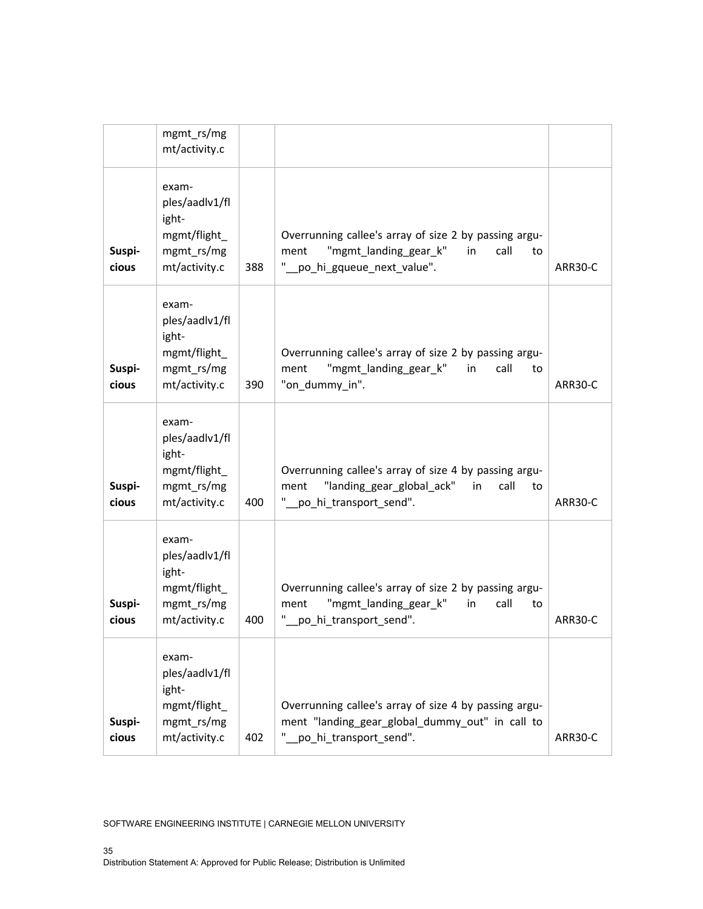|                 | mgmt_rs/mg<br>mt/activity.c                                                          |     |                                                                                                                                           |         |
|-----------------|--------------------------------------------------------------------------------------|-----|-------------------------------------------------------------------------------------------------------------------------------------------|---------|
| Suspi-<br>cious | exam-<br>ples/aadlv1/fl<br>ight-<br>$mgmt/flight_{-}$<br>mgmt_rs/mg<br>mt/activity.c | 388 | Overrunning callee's array of size 2 by passing argu-<br>"mgmt_landing_gear_k"<br>call<br>ment<br>in<br>to<br>"_po_hi_gqueue_next_value". | ARR30-C |
| Suspi-<br>cious | exam-<br>ples/aadlv1/fl<br>ight-<br>mgmt/flight_<br>mgmt_rs/mg<br>mt/activity.c      | 390 | Overrunning callee's array of size 2 by passing argu-<br>"mgmt landing gear k"<br>call<br>ment<br>in<br>to<br>"on_dummy_in".              | ARR30-C |
| Suspi-<br>cious | exam-<br>ples/aadlv1/fl<br>ight-<br>mgmt/flight_<br>mgmt_rs/mg<br>mt/activity.c      | 400 | Overrunning callee's array of size 4 by passing argu-<br>"landing_gear_global_ack"<br>in<br>call<br>ment<br>to<br>po_hi_transport_send".  | ARR30-C |
| Suspi-<br>cious | exam-<br>ples/aadlv1/fl<br>ight-<br>mgmt/flight_<br>mgmt_rs/mg<br>mt/activity.c      | 400 | Overrunning callee's array of size 2 by passing argu-<br>"mgmt landing gear k"<br>call<br>in<br>ment<br>to<br>po_hi_transport_send".      | ARR30-C |
| Suspi-<br>cious | exam-<br>ples/aadlv1/fl<br>ight-<br>mgmt/flight_<br>mgmt_rs/mg<br>mt/activity.c      | 402 | Overrunning callee's array of size 4 by passing argu-<br>ment "landing gear global dummy out" in call to<br>po_hi_transport_send".        | ARR30-C |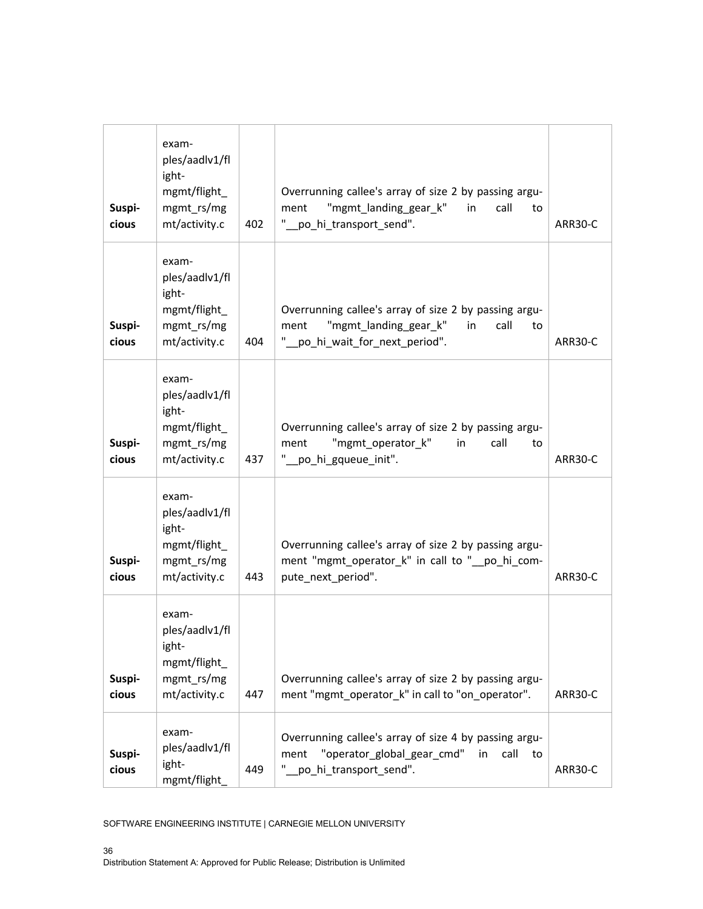| Suspi-<br>cious | exam-<br>ples/aadlv1/fl<br>ight-<br>mgmt/flight<br>mgmt_rs/mg<br>mt/activity.c  | 402 | Overrunning callee's array of size 2 by passing argu-<br>"mgmt_landing_gear_k"<br>call<br>ment<br>in<br>to<br>" po_hi_transport_send".       | ARR30-C |
|-----------------|---------------------------------------------------------------------------------|-----|----------------------------------------------------------------------------------------------------------------------------------------------|---------|
| Suspi-<br>cious | exam-<br>ples/aadlv1/fl<br>ight-<br>mgmt/flight_<br>mgmt_rs/mg<br>mt/activity.c | 404 | Overrunning callee's array of size 2 by passing argu-<br>"mgmt_landing_gear_k"<br>call<br>ment<br>in<br>to<br>" po_hi_wait_for_next_period". | ARR30-C |
| Suspi-<br>cious | exam-<br>ples/aadlv1/fl<br>ight-<br>mgmt/flight_<br>mgmt rs/mg<br>mt/activity.c | 437 | Overrunning callee's array of size 2 by passing argu-<br>"mgmt_operator_k"<br>call<br>ment<br>in<br>to<br>"_po_hi_gqueue_init".              | ARR30-C |
| Suspi-<br>cious | exam-<br>ples/aadlv1/fl<br>ight-<br>mgmt/flight_<br>mgmt_rs/mg<br>mt/activity.c | 443 | Overrunning callee's array of size 2 by passing argu-<br>ment "mgmt_operator_k" in call to "_po_hi_com-<br>pute_next_period".                | ARR30-C |
| Suspi-<br>cious | exam-<br>ples/aadlv1/fl<br>ight-<br>mgmt/flight_<br>mgmt_rs/mg<br>mt/activity.c | 447 | Overrunning callee's array of size 2 by passing argu-<br>ment "mgmt_operator_k" in call to "on_operator".                                    | ARR30-C |
| Suspi-<br>cious | exam-<br>ples/aadlv1/fl<br>ight-<br>mgmt/flight_                                | 449 | Overrunning callee's array of size 4 by passing argu-<br>"operator_global_gear_cmd"<br>call<br>ment<br>in<br>to to<br>po_hi_transport_send". | ARR30-C |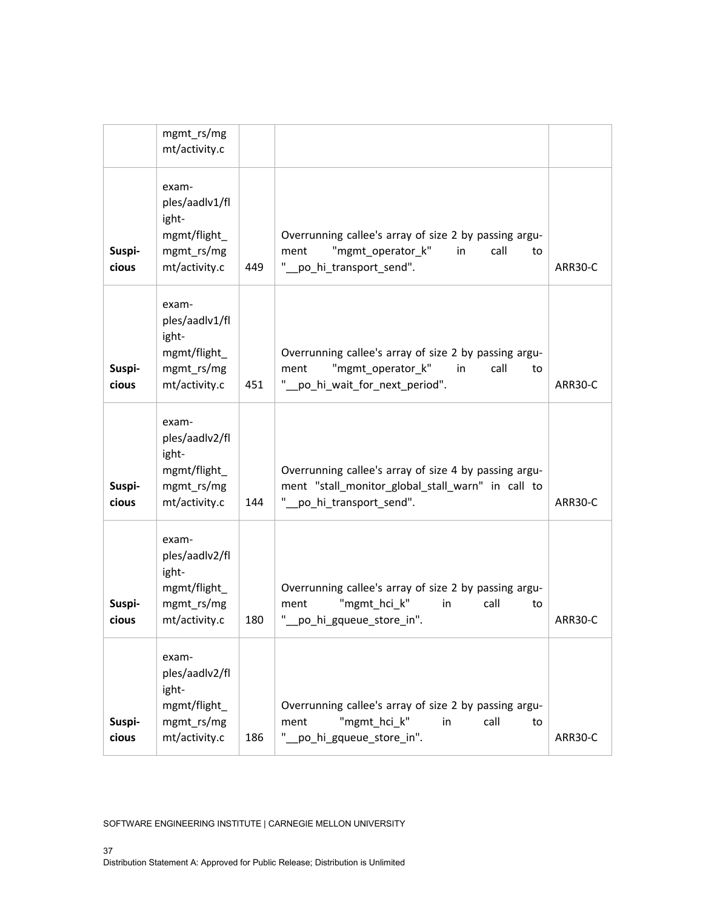|                 | mgmt_rs/mg<br>mt/activity.c                                                     |     |                                                                                                                                          |         |
|-----------------|---------------------------------------------------------------------------------|-----|------------------------------------------------------------------------------------------------------------------------------------------|---------|
| Suspi-<br>cious | exam-<br>ples/aadlv1/fl<br>ight-<br>mgmt/flight_<br>mgmt_rs/mg<br>mt/activity.c | 449 | Overrunning callee's array of size 2 by passing argu-<br>"mgmt_operator_k"<br>call<br>ment<br>in<br>to<br>"_po_hi_transport_send".       | ARR30-C |
| Suspi-<br>cious | exam-<br>ples/aadlv1/fl<br>ight-<br>mgmt/flight_<br>mgmt rs/mg<br>mt/activity.c | 451 | Overrunning callee's array of size 2 by passing argu-<br>"mgmt_operator_k"<br>ment<br>in<br>call<br>to<br>" po_hi_wait_for_next_period". | ARR30-C |
| Suspi-<br>cious | exam-<br>ples/aadlv2/fl<br>ight-<br>mgmt/flight_<br>mgmt_rs/mg<br>mt/activity.c | 144 | Overrunning callee's array of size 4 by passing argu-<br>ment "stall_monitor_global_stall_warn" in call to<br>po_hi_transport_send".     | ARR30-C |
| Suspi-<br>cious | exam-<br>ples/aadlv2/fl<br>ight-<br>mgmt/flight_<br>mgmt_rs/mg<br>mt/activity.c | 180 | Overrunning callee's array of size 2 by passing argu-<br>"mgmt_hci_k"<br>call<br>ment<br>in<br>to<br>po_hi_gqueue_store_in".             | ARR30-C |
| Suspi-<br>cious | exam-<br>ples/aadlv2/fl<br>ight-<br>mgmt/flight<br>mgmt_rs/mg<br>mt/activity.c  | 186 | Overrunning callee's array of size 2 by passing argu-<br>"mgmt_hci_k"<br>call<br>in<br>ment<br>to<br>po_hi_gqueue_store_in".             | ARR30-C |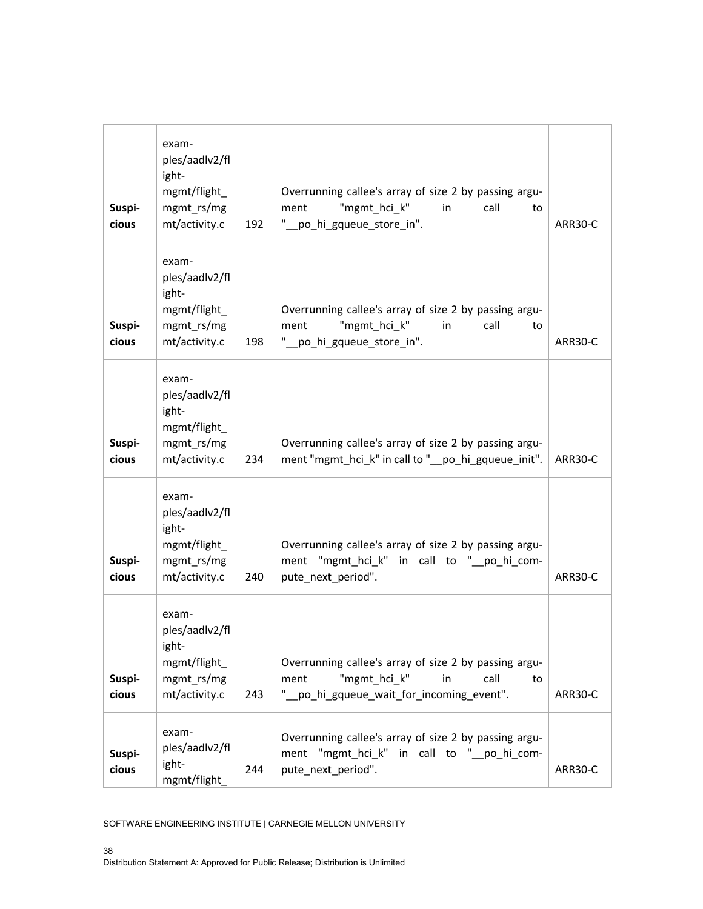| Suspi-<br>cious | exam-<br>ples/aadlv2/fl<br>ight-<br>mgmt/flight_<br>mgmt_rs/mg<br>mt/activity.c | 192 | Overrunning callee's array of size 2 by passing argu-<br>"mgmt hci k"<br>ment<br>in<br>call<br>to<br>" po_hi_gqueue_store_in".                | ARR30-C |
|-----------------|---------------------------------------------------------------------------------|-----|-----------------------------------------------------------------------------------------------------------------------------------------------|---------|
| Suspi-<br>cious | exam-<br>ples/aadlv2/fl<br>ight-<br>mgmt/flight_<br>mgmt_rs/mg<br>mt/activity.c | 198 | Overrunning callee's array of size 2 by passing argu-<br>"mgmt_hci_k"<br>call<br>ment<br>in<br>to<br>" po_hi_gqueue_store_in".                | ARR30-C |
| Suspi-<br>cious | exam-<br>ples/aadlv2/fl<br>ight-<br>mgmt/flight_<br>mgmt_rs/mg<br>mt/activity.c | 234 | Overrunning callee's array of size 2 by passing argu-<br>ment "mgmt_hci_k" in call to "_po_hi_gqueue_init".                                   | ARR30-C |
| Suspi-<br>cious | exam-<br>ples/aadlv2/fl<br>ight-<br>mgmt/flight_<br>mgmt_rs/mg<br>mt/activity.c | 240 | Overrunning callee's array of size 2 by passing argu-<br>ment "mgmt_hci_k" in call to "_po_hi_com-<br>pute_next_period".                      | ARR30-C |
| Suspi-<br>cious | exam-<br>ples/aadlv2/fl<br>ight-<br>mgmt/flight_<br>mgmt_rs/mg<br>mt/activity.c | 243 | Overrunning callee's array of size 2 by passing argu-<br>"mgmt hci k"<br>call<br>ment<br>in<br>to<br>" po hi_gqueue_wait_for_incoming_event". | ARR30-C |
| Suspi-<br>cious | exam-<br>ples/aadlv2/fl<br>ight-<br>mgmt/flight_                                | 244 | Overrunning callee's array of size 2 by passing argu-<br>ment "mgmt_hci_k" in call to "_po_hi_com-<br>pute_next_period".                      | ARR30-C |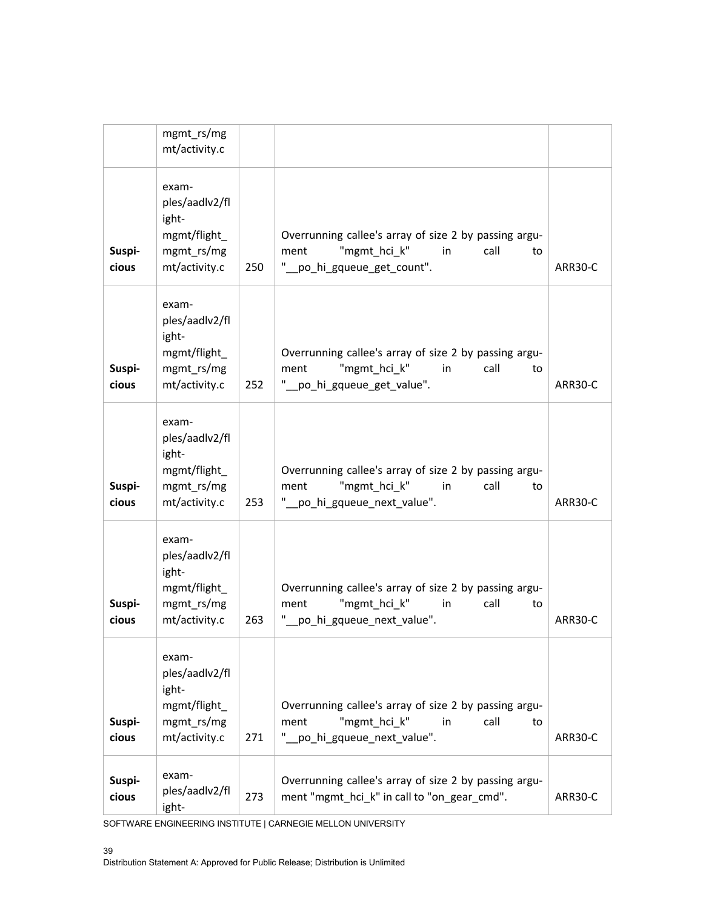|                 | mgmt_rs/mg<br>mt/activity.c                                                     |     |                                                                                                                                  |         |
|-----------------|---------------------------------------------------------------------------------|-----|----------------------------------------------------------------------------------------------------------------------------------|---------|
| Suspi-<br>cious | exam-<br>ples/aadlv2/fl<br>ight-<br>mgmt/flight_<br>mgmt rs/mg<br>mt/activity.c | 250 | Overrunning callee's array of size 2 by passing argu-<br>"mgmt hci k"<br>ment<br>in<br>call<br>to<br>"_po_hi_gqueue_get_count".  | ARR30-C |
| Suspi-<br>cious | exam-<br>ples/aadlv2/fl<br>ight-<br>mgmt/flight_<br>mgmt rs/mg<br>mt/activity.c | 252 | Overrunning callee's array of size 2 by passing argu-<br>"mgmt hci k"<br>call<br>ment<br>in.<br>to<br>"_po_hi_gqueue_get_value". | ARR30-C |
| Suspi-<br>cious | exam-<br>ples/aadlv2/fl<br>ight-<br>mgmt/flight_<br>mgmt_rs/mg<br>mt/activity.c | 253 | Overrunning callee's array of size 2 by passing argu-<br>"mgmt_hci_k"<br>ment<br>in<br>call<br>to<br>po_hi_gqueue_next_value".   | ARR30-C |
| Suspi-<br>cious | exam-<br>ples/aadlv2/fl<br>ight-<br>mgmt/flight_<br>mgmt_rs/mg<br>mt/activity.c | 263 | Overrunning callee's array of size 2 by passing argu-<br>"mgmt_hci_k"<br>call<br>ment<br>in<br>to<br>po_hi_gqueue_next_value".   | ARR30-C |
| Suspi-<br>cious | exam-<br>ples/aadlv2/fl<br>ight-<br>mgmt/flight_<br>mgmt_rs/mg<br>mt/activity.c | 271 | Overrunning callee's array of size 2 by passing argu-<br>"mgmt_hci_k"<br>call<br>ment<br>in<br>to<br>po_hi_gqueue_next_value".   | ARR30-C |
| Suspi-<br>cious | exam-<br>ples/aadlv2/fl<br>ight-                                                | 273 | Overrunning callee's array of size 2 by passing argu-<br>ment "mgmt_hci_k" in call to "on_gear_cmd".                             | ARR30-C |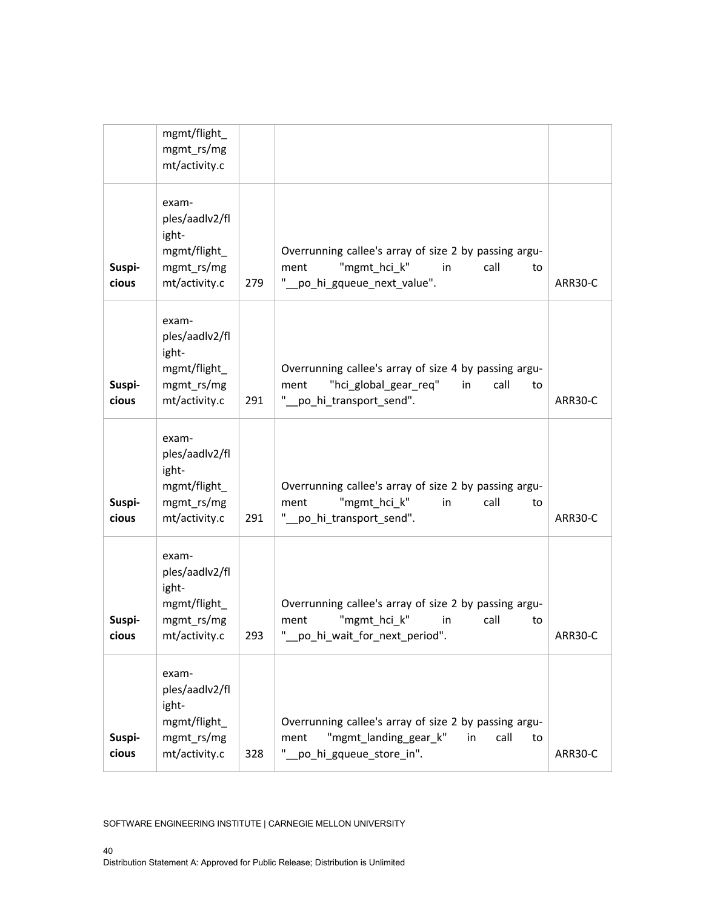|                 | mgmt/flight_<br>mgmt_rs/mg<br>mt/activity.c                                     |     |                                                                                                                                         |         |
|-----------------|---------------------------------------------------------------------------------|-----|-----------------------------------------------------------------------------------------------------------------------------------------|---------|
| Suspi-<br>cious | exam-<br>ples/aadlv2/fl<br>ight-<br>mgmt/flight_<br>mgmt_rs/mg<br>mt/activity.c | 279 | Overrunning callee's array of size 2 by passing argu-<br>"mgmt hci k"<br>call<br>ment<br>in<br>to<br>po_hi_gqueue_next_value".          | ARR30-C |
| Suspi-<br>cious | exam-<br>ples/aadlv2/fl<br>ight-<br>mgmt/flight_<br>mgmt_rs/mg<br>mt/activity.c | 291 | Overrunning callee's array of size 4 by passing argu-<br>"hci global gear req"<br>call<br>ment<br>in<br>to<br>po_hi_transport_send".    | ARR30-C |
| Suspi-<br>cious | exam-<br>ples/aadlv2/fl<br>ight-<br>mgmt/flight_<br>mgmt_rs/mg<br>mt/activity.c | 291 | Overrunning callee's array of size 2 by passing argu-<br>"mgmt_hci_k"<br>call<br>ment<br>in<br>to<br>"_po_hi_transport_send".           | ARR30-C |
| Suspi-<br>cious | exam-<br>ples/aadlv2/fl<br>ight-<br>mgmt/flight_<br>mgmt rs/mg<br>mt/activity.c | 293 | Overrunning callee's array of size 2 by passing argu-<br>"mgmt hci k"<br>ment<br>call<br>in<br>to<br>щ<br>_po_hi_wait_for_next_period". | ARR30-C |
| Suspi-<br>cious | exam-<br>ples/aadlv2/fl<br>ight-<br>mgmt/flight_<br>mgmt_rs/mg<br>mt/activity.c | 328 | Overrunning callee's array of size 2 by passing argu-<br>"mgmt landing gear k"<br>call<br>ment<br>in<br>to<br>"_po_hi_gqueue_store_in". | ARR30-C |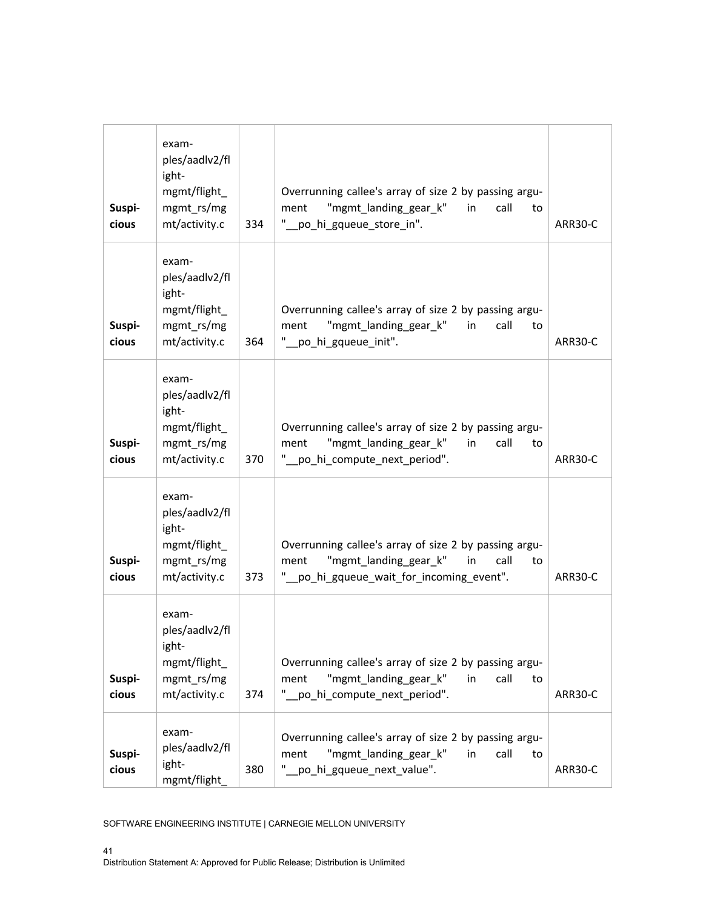| Suspi-<br>cious | exam-<br>ples/aadlv2/fl<br>ight-<br>mgmt/flight<br>mgmt_rs/mg<br>mt/activity.c  | 334 | Overrunning callee's array of size 2 by passing argu-<br>"mgmt_landing_gear_k"<br>call<br>ment<br>in<br>to<br>" po_hi_gqueue_store_in".                | ARR30-C |
|-----------------|---------------------------------------------------------------------------------|-----|--------------------------------------------------------------------------------------------------------------------------------------------------------|---------|
| Suspi-<br>cious | exam-<br>ples/aadlv2/fl<br>ight-<br>mgmt/flight_<br>mgmt_rs/mg<br>mt/activity.c | 364 | Overrunning callee's array of size 2 by passing argu-<br>"mgmt_landing_gear_k"<br>call<br>ment<br>in<br>to<br>" po hi gqueue init".                    | ARR30-C |
| Suspi-<br>cious | exam-<br>ples/aadlv2/fl<br>ight-<br>mgmt/flight_<br>mgmt_rs/mg<br>mt/activity.c | 370 | Overrunning callee's array of size 2 by passing argu-<br>"mgmt_landing_gear_k"<br>call<br>ment<br>in<br>to<br>" po_hi_compute_next_period".            | ARR30-C |
| Suspi-<br>cious | exam-<br>ples/aadlv2/fl<br>ight-<br>mgmt/flight_<br>mgmt_rs/mg<br>mt/activity.c | 373 | Overrunning callee's array of size 2 by passing argu-<br>"mgmt_landing_gear_k"<br>in<br>call<br>ment<br>to<br>" po hi gqueue wait for incoming event". | ARR30-C |
| Suspi-<br>cious | exam-<br>ples/aadlv2/fl<br>ight-<br>mgmt/flight_<br>mgmt_rs/mg<br>mt/activity.c | 374 | Overrunning callee's array of size 2 by passing argu-<br>"mgmt_landing_gear_k"<br>call<br>in<br>ment<br>to<br>po_hi_compute_next_period".              | ARR30-C |
| Suspi-<br>cious | exam-<br>ples/aadlv2/fl<br>ight-<br>mgmt/flight_                                | 380 | Overrunning callee's array of size 2 by passing argu-<br>"mgmt_landing_gear_k"<br>call<br>ment<br>in<br>to<br>" po_hi_gqueue_next_value".              | ARR30-C |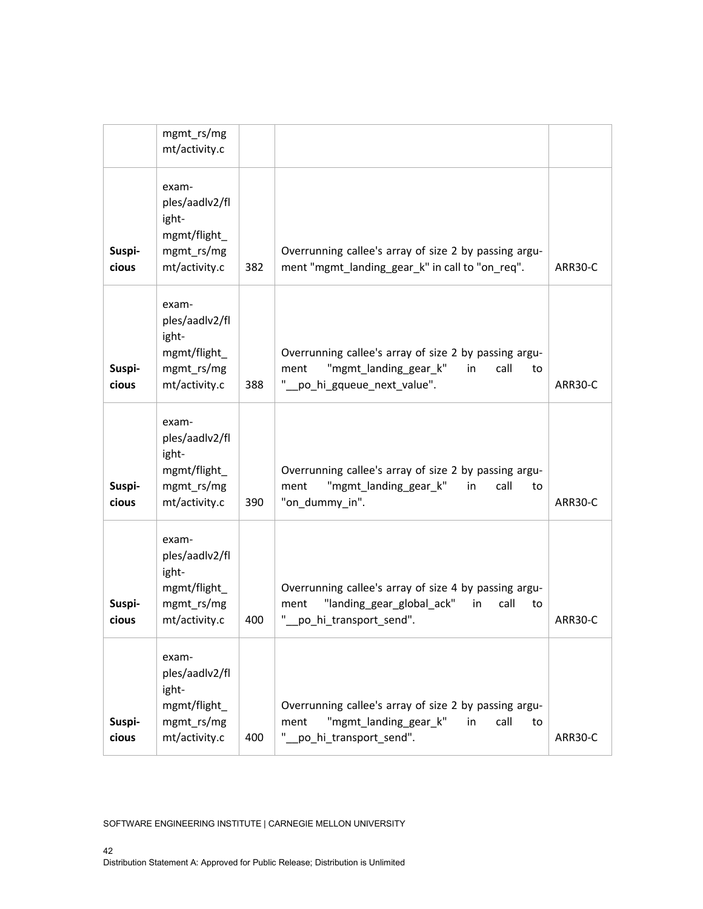| Suspi-<br>cious | exam-<br>ples/aadlv2/fl<br>ight-<br>mgmt/flight_<br>mgmt rs/mg<br>mt/activity.c | 400 | Overrunning callee's array of size 2 by passing argu-<br>"mgmt_landing_gear_k"<br>call<br>ment<br>in<br>to<br>po_hi_transport_send".      | ARR30-C |
|-----------------|---------------------------------------------------------------------------------|-----|-------------------------------------------------------------------------------------------------------------------------------------------|---------|
| Suspi-<br>cious | exam-<br>ples/aadlv2/fl<br>ight-<br>mgmt/flight_<br>mgmt_rs/mg<br>mt/activity.c | 400 | Overrunning callee's array of size 4 by passing argu-<br>"landing_gear_global_ack"<br>call<br>ment<br>in<br>to<br>po_hi_transport_send".  | ARR30-C |
| Suspi-<br>cious | exam-<br>ples/aadlv2/fl<br>ight-<br>mgmt/flight_<br>mgmt_rs/mg<br>mt/activity.c | 390 | Overrunning callee's array of size 2 by passing argu-<br>"mgmt_landing_gear_k"<br>ment<br>in<br>call<br>to<br>"on_dummy_in".              | ARR30-C |
| Suspi-<br>cious | exam-<br>ples/aadlv2/fl<br>ight-<br>mgmt/flight_<br>mgmt_rs/mg<br>mt/activity.c | 388 | Overrunning callee's array of size 2 by passing argu-<br>"mgmt_landing_gear_k"<br>call<br>ment<br>in<br>to<br>" po hi gqueue next value". | ARR30-C |
| Suspi-<br>cious | exam-<br>ples/aadlv2/fl<br>ight-<br>mgmt/flight_<br>mgmt_rs/mg<br>mt/activity.c | 382 | Overrunning callee's array of size 2 by passing argu-<br>ment "mgmt_landing_gear_k" in call to "on_req".                                  | ARR30-C |
|                 | mgmt_rs/mg<br>mt/activity.c                                                     |     |                                                                                                                                           |         |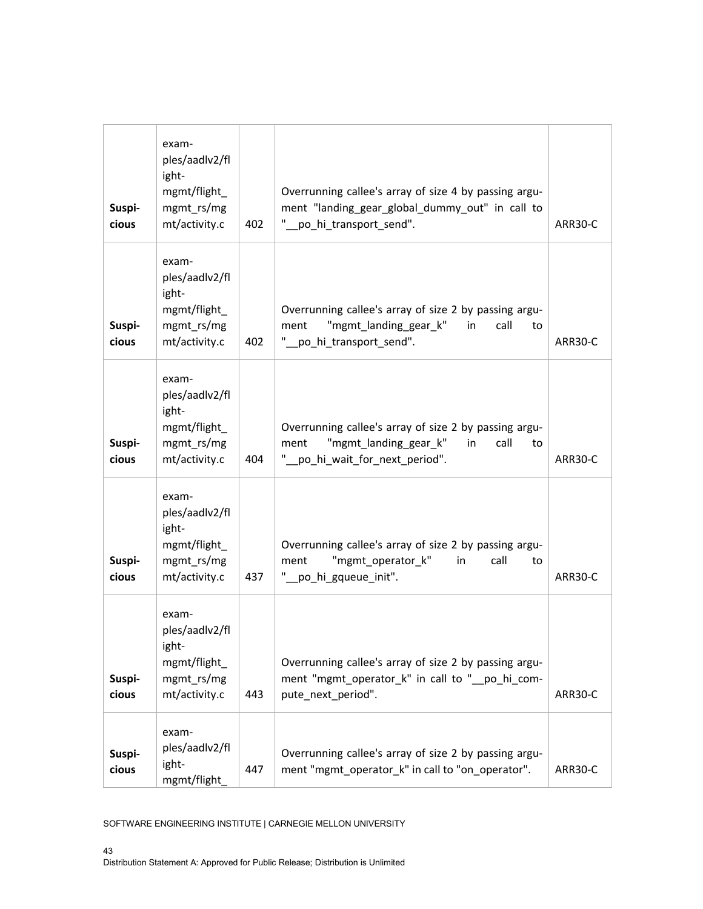| Suspi-<br>cious | exam-<br>ples/aadlv2/fl<br>ight-<br>mgmt/flight_<br>mgmt_rs/mg<br>mt/activity.c | 402 | Overrunning callee's array of size 4 by passing argu-<br>ment "landing_gear_global_dummy_out" in call to<br>" po_hi_transport_send".         | ARR30-C |
|-----------------|---------------------------------------------------------------------------------|-----|----------------------------------------------------------------------------------------------------------------------------------------------|---------|
| Suspi-<br>cious | exam-<br>ples/aadlv2/fl<br>ight-<br>mgmt/flight_<br>mgmt_rs/mg<br>mt/activity.c | 402 | Overrunning callee's array of size 2 by passing argu-<br>"mgmt_landing_gear_k"<br>call<br>ment<br>in<br>to<br>"_po_hi_transport_send".       | ARR30-C |
| Suspi-<br>cious | exam-<br>ples/aadlv2/fl<br>ight-<br>mgmt/flight_<br>mgmt_rs/mg<br>mt/activity.c | 404 | Overrunning callee's array of size 2 by passing argu-<br>"mgmt_landing_gear_k"<br>call<br>ment<br>in<br>to<br>"_po_hi_wait_for_next_period". | ARR30-C |
| Suspi-<br>cious | exam-<br>ples/aadlv2/fl<br>ight-<br>mgmt/flight_<br>mgmt_rs/mg<br>mt/activity.c | 437 | Overrunning callee's array of size 2 by passing argu-<br>"mgmt_operator_k"<br>in<br>call<br>ment<br>to<br>" po hi gqueue init".              | ARR30-C |
| Suspi-<br>cious | exam-<br>ples/aadlv2/fl<br>ight-<br>mgmt/flight_<br>mgmt_rs/mg<br>mt/activity.c | 443 | Overrunning callee's array of size 2 by passing argu-<br>ment "mgmt_operator_k" in call to "_po_hi_com-<br>pute_next_period".                | ARR30-C |
| Suspi-<br>cious | exam-<br>ples/aadlv2/fl<br>ight-<br>mgmt/flight_                                | 447 | Overrunning callee's array of size 2 by passing argu-<br>ment "mgmt_operator_k" in call to "on_operator".                                    | ARR30-C |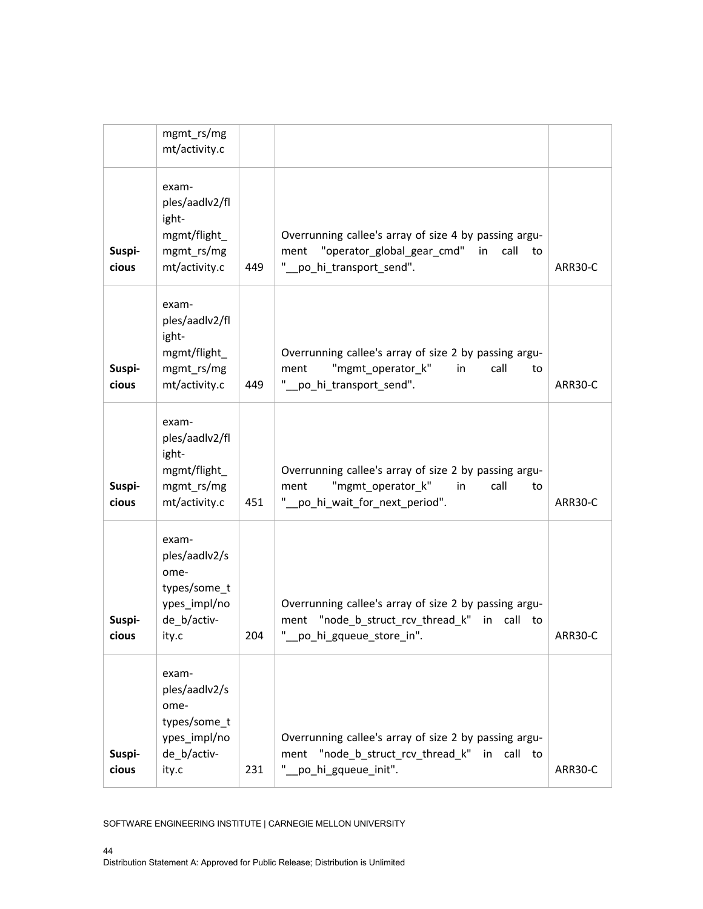|                 | mgmt_rs/mg<br>mt/activity.c                                                            |     |                                                                                                                                           |         |
|-----------------|----------------------------------------------------------------------------------------|-----|-------------------------------------------------------------------------------------------------------------------------------------------|---------|
| Suspi-<br>cious | exam-<br>ples/aadlv2/fl<br>ight-<br>mgmt/flight_<br>mgmt rs/mg<br>mt/activity.c        | 449 | Overrunning callee's array of size 4 by passing argu-<br>"operator_global_gear_cmd" in<br>call<br>ment<br>to<br>" po_hi_transport_send".  | ARR30-C |
| Suspi-<br>cious | exam-<br>ples/aadlv2/fl<br>ight-<br>mgmt/flight_<br>mgmt_rs/mg<br>mt/activity.c        | 449 | Overrunning callee's array of size 2 by passing argu-<br>"mgmt_operator_k"<br>call<br>ment<br>in<br>to<br>"_po_hi_transport_send".        | ARR30-C |
| Suspi-<br>cious | exam-<br>ples/aadlv2/fl<br>ight-<br>mgmt/flight_<br>mgmt_rs/mg<br>mt/activity.c        | 451 | Overrunning callee's array of size 2 by passing argu-<br>"mgmt_operator_k"<br>in<br>call<br>ment<br>to<br>po_hi_wait_for_next_period".    | ARR30-C |
| Suspi-<br>cious | exam-<br>ples/aadlv2/s<br>ome-<br>types/some_t<br>ypes_impl/no<br>de_b/activ-<br>ity.c | 204 | Overrunning callee's array of size 2 by passing argu-<br>"node_b_struct_rcv_thread_k" in call to<br>ment<br>ш<br>_po_hi_gqueue_store_in". | ARR30-C |
| Suspi-<br>cious | exam-<br>ples/aadlv2/s<br>ome-<br>types/some_t<br>ypes_impl/no<br>de b/activ-<br>ity.c | 231 | Overrunning callee's array of size 2 by passing argu-<br>ment "node_b_struct_rcv_thread_k" in call to<br>" po_hi_gqueue_init".            | ARR30-C |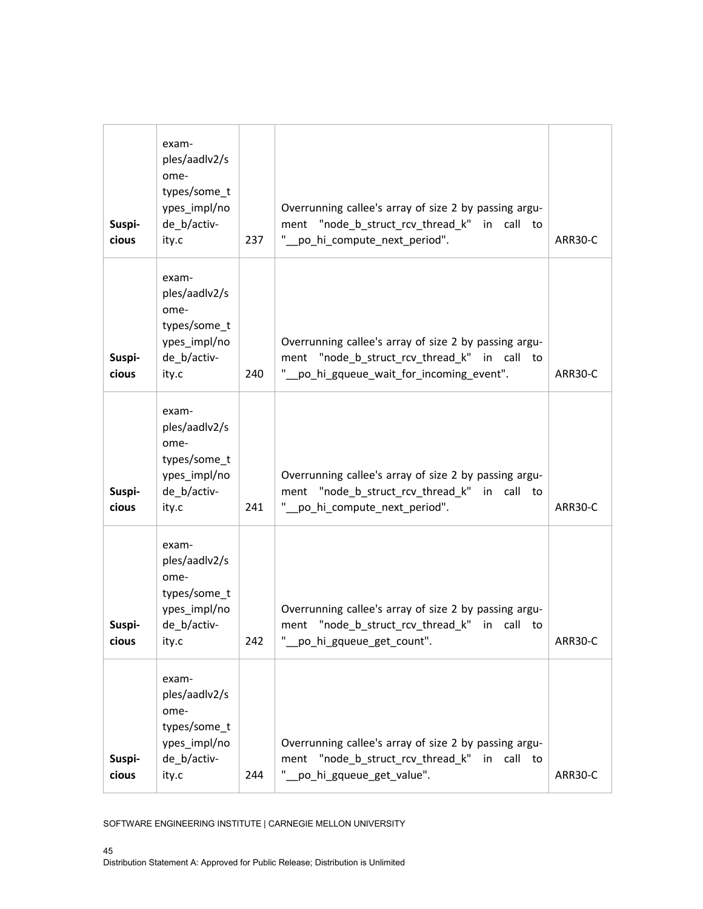| Suspi-<br>cious | exam-<br>ples/aadlv2/s<br>ome-<br>types/some_t<br>ypes_impl/no<br>de_b/activ-<br>ity.c | 237 | Overrunning callee's array of size 2 by passing argu-<br>ment "node_b_struct_rcv_thread_k" in call to<br>"_po_hi_compute_next_period".          | ARR30-C |
|-----------------|----------------------------------------------------------------------------------------|-----|-------------------------------------------------------------------------------------------------------------------------------------------------|---------|
| Suspi-<br>cious | exam-<br>ples/aadlv2/s<br>ome-<br>types/some_t<br>ypes_impl/no<br>de_b/activ-<br>ity.c | 240 | Overrunning callee's array of size 2 by passing argu-<br>ment "node b struct rcv thread k" in call to<br>po_hi_gqueue_wait_for_incoming_event". | ARR30-C |
| Suspi-<br>cious | exam-<br>ples/aadlv2/s<br>ome-<br>types/some_t<br>ypes_impl/no<br>de_b/activ-<br>ity.c | 241 | Overrunning callee's array of size 2 by passing argu-<br>ment "node_b_struct_rcv_thread_k" in call to<br>" po_hi_compute_next_period".          | ARR30-C |
| Suspi-<br>cious | exam-<br>ples/aadlv2/s<br>ome-<br>types/some_t<br>ypes_impl/no<br>de_b/activ-<br>ity.c | 242 | Overrunning callee's array of size 2 by passing argu-<br>ment "node_b_struct_rcv_thread_k" in call to<br>po_hi_gqueue_get_count".               | ARR30-C |
| Suspi-<br>cious | exam-<br>ples/aadlv2/s<br>ome-<br>types/some_t<br>ypes_impl/no<br>de_b/activ-<br>ity.c | 244 | Overrunning callee's array of size 2 by passing argu-<br>"node_b_struct_rcv_thread_k" in call to<br>ment<br>po_hi_gqueue_get_value".            | ARR30-C |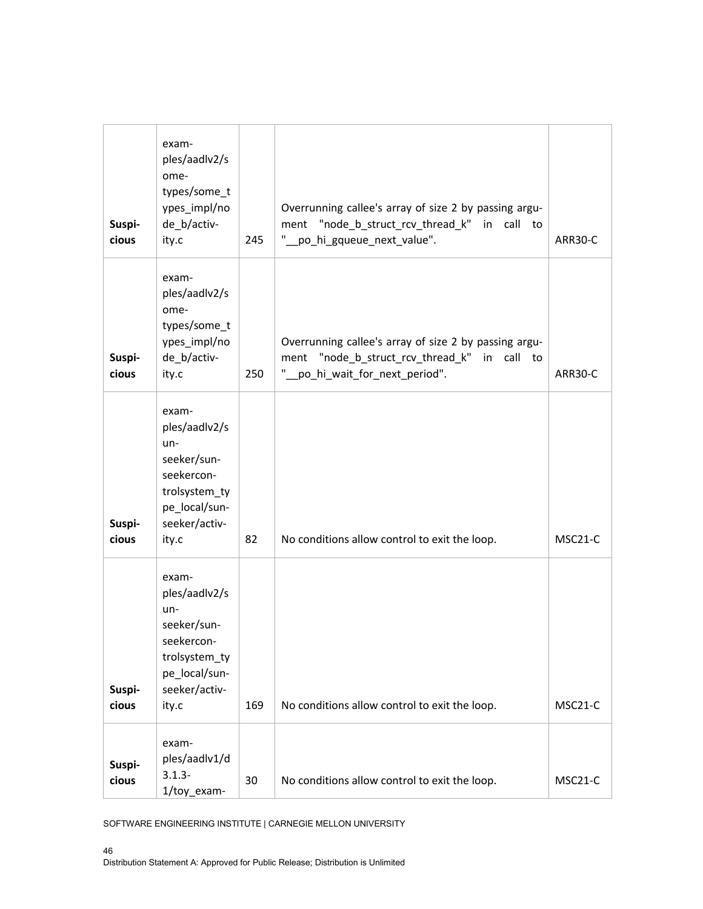| Suspi-<br>cious | exam-<br>ples/aadlv2/s<br>ome-<br>types/some_t<br>ypes_impl/no<br>de_b/activ-<br>ity.c                                   | 245 | Overrunning callee's array of size 2 by passing argu-<br>ment "node_b_struct_rcv_thread_k" in call to<br>"_po_hi_gqueue_next_value".  | ARR30-C |
|-----------------|--------------------------------------------------------------------------------------------------------------------------|-----|---------------------------------------------------------------------------------------------------------------------------------------|---------|
| Suspi-<br>cious | exam-<br>ples/aadlv2/s<br>ome-<br>types/some_t<br>ypes_impl/no<br>de_b/activ-<br>ity.c                                   | 250 | Overrunning callee's array of size 2 by passing argu-<br>ment "node_b_struct_rcv_thread_k" in call to<br>po_hi_wait_for_next_period". | ARR30-C |
| Suspi-<br>cious | exam-<br>ples/aadlv2/s<br>$un-$<br>seeker/sun-<br>seekercon-<br>trolsystem_ty<br>pe_local/sun-<br>seeker/activ-<br>ity.c | 82  | No conditions allow control to exit the loop.                                                                                         | MSC21-C |
| Suspi-<br>cious | exam-<br>ples/aadlv2/s<br>$un-$<br>seeker/sun-<br>seekercon-<br>trolsystem_ty<br>pe_local/sun-<br>seeker/activ-<br>ity.c | 169 | No conditions allow control to exit the loop.                                                                                         | MSC21-C |
| Suspi-<br>cious | exam-<br>ples/aadlv1/d<br>$3.1.3 -$<br>1/toy_exam-                                                                       | 30  | No conditions allow control to exit the loop.                                                                                         | MSC21-C |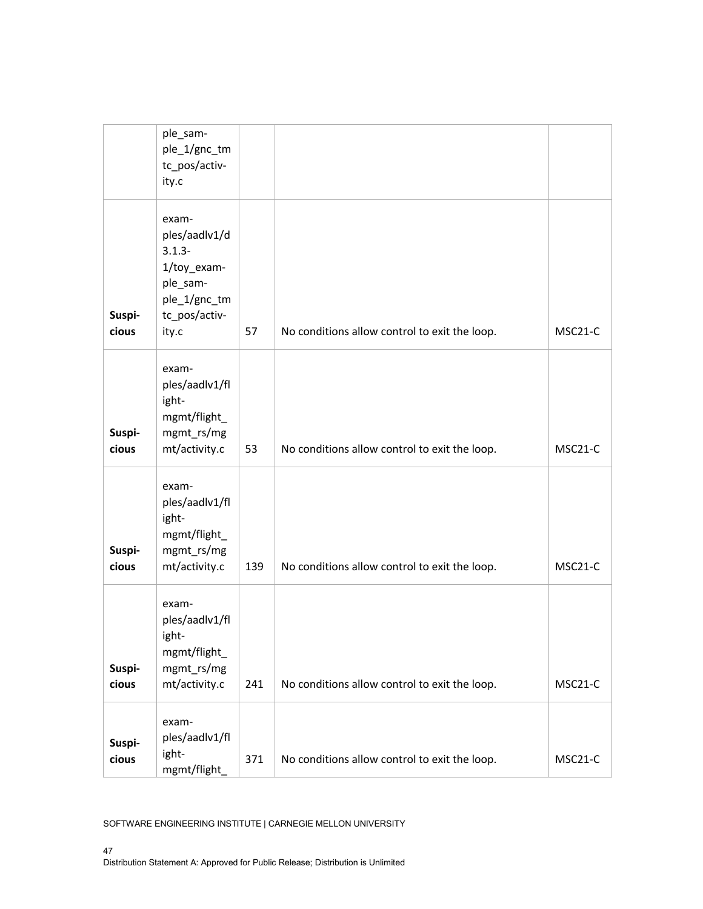|                 | ple_sam-<br>ple_1/gnc_tm<br>tc_pos/activ-<br>ity.c                                                       |     |                                               |         |
|-----------------|----------------------------------------------------------------------------------------------------------|-----|-----------------------------------------------|---------|
| Suspi-<br>cious | exam-<br>ples/aadlv1/d<br>$3.1.3 -$<br>1/toy_exam-<br>ple_sam-<br>ple_1/gnc_tm<br>tc_pos/activ-<br>ity.c | 57  | No conditions allow control to exit the loop. | MSC21-C |
| Suspi-<br>cious | exam-<br>ples/aadlv1/fl<br>ight-<br>mgmt/flight_<br>mgmt_rs/mg<br>mt/activity.c                          | 53  | No conditions allow control to exit the loop. | MSC21-C |
| Suspi-<br>cious | exam-<br>ples/aadlv1/fl<br>ight-<br>mgmt/flight_<br>mgmt_rs/mg<br>mt/activity.c                          | 139 | No conditions allow control to exit the loop. | MSC21-C |
| Suspi-<br>cious | exam-<br>ples/aadlv1/fl<br>ight-<br>mgmt/flight_<br>mgmt_rs/mg<br>mt/activity.c                          | 241 | No conditions allow control to exit the loop. | MSC21-C |
| Suspi-<br>cious | exam-<br>ples/aadlv1/fl<br>ight-<br>mgmt/flight_                                                         | 371 | No conditions allow control to exit the loop. | MSC21-C |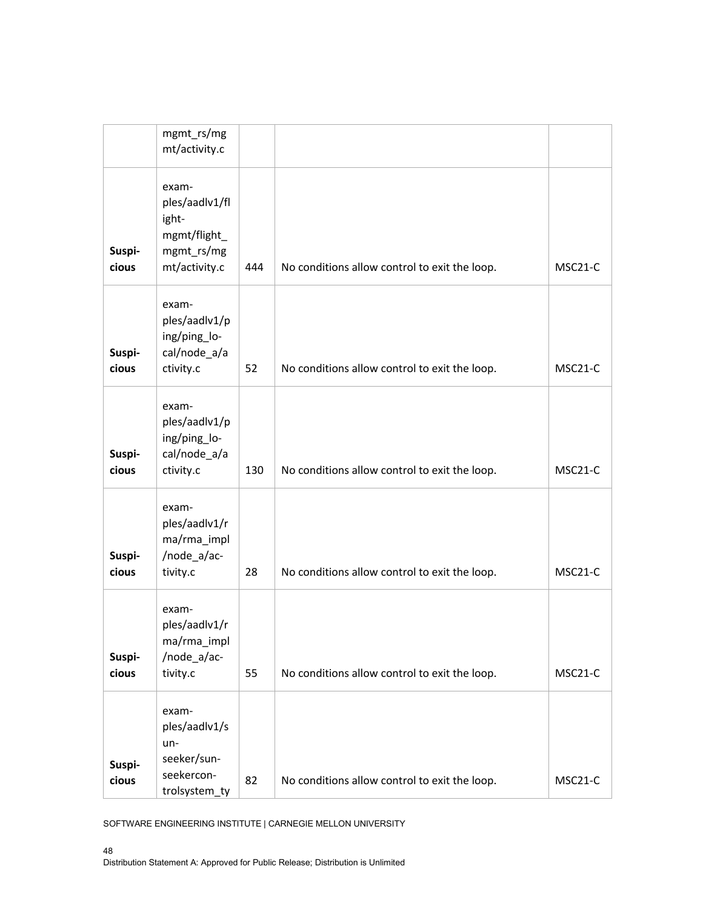|                 | mgmt_rs/mg<br>mt/activity.c                                                     |     |                                               |                      |
|-----------------|---------------------------------------------------------------------------------|-----|-----------------------------------------------|----------------------|
| Suspi-<br>cious | exam-<br>ples/aadlv1/fl<br>ight-<br>mgmt/flight_<br>mgmt_rs/mg<br>mt/activity.c | 444 | No conditions allow control to exit the loop. | MSC21-C              |
| Suspi-<br>cious | exam-<br>ples/aadlv1/p<br>ing/ping_lo-<br>cal/node_a/a<br>ctivity.c             | 52  | No conditions allow control to exit the loop. | MSC <sub>21</sub> -C |
| Suspi-<br>cious | exam-<br>ples/aadlv1/p<br>ing/ping_lo-<br>cal/node_a/a<br>ctivity.c             | 130 | No conditions allow control to exit the loop. | MSC <sub>21</sub> -C |
| Suspi-<br>cious | exam-<br>ples/aadlv1/r<br>ma/rma_impl<br>/node_a/ac-<br>tivity.c                | 28  | No conditions allow control to exit the loop. | MSC21-C              |
| Suspi-<br>cious | exam-<br>ples/aadlv1/r<br>ma/rma_impl<br>/node_a/ac-<br>tivity.c                | 55  | No conditions allow control to exit the loop. | MSC21-C              |
| Suspi-<br>cious | exam-<br>ples/aadlv1/s<br>un-<br>seeker/sun-<br>seekercon-<br>trolsystem_ty     | 82  | No conditions allow control to exit the loop. | MSC21-C              |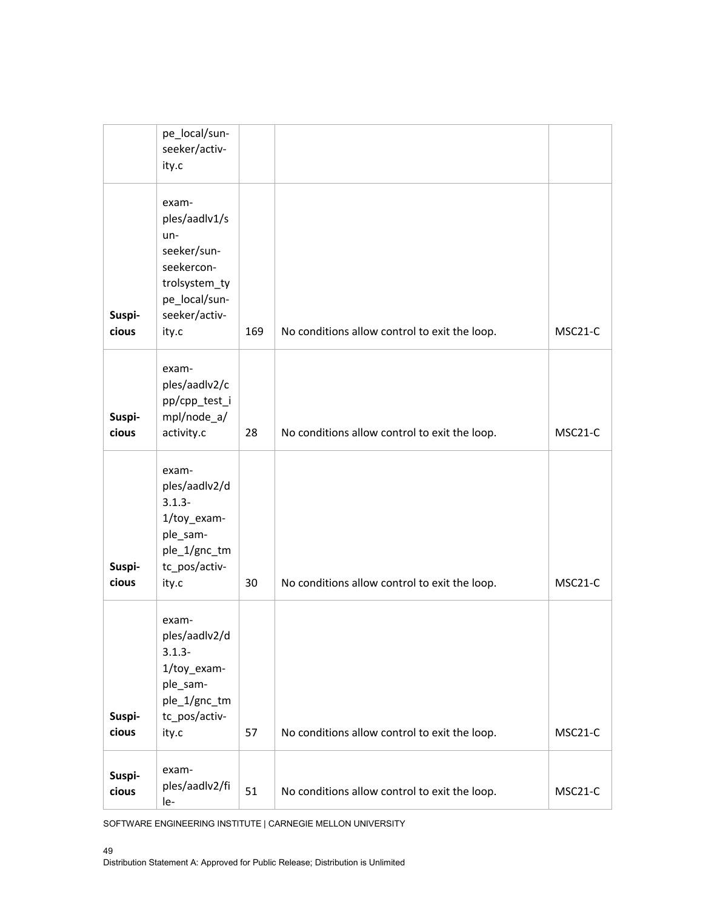|                 | pe_local/sun-<br>seeker/activ-<br>ity.c                                                                                  |     |                                               |         |
|-----------------|--------------------------------------------------------------------------------------------------------------------------|-----|-----------------------------------------------|---------|
| Suspi-<br>cious | exam-<br>ples/aadlv1/s<br>$un-$<br>seeker/sun-<br>seekercon-<br>trolsystem_ty<br>pe_local/sun-<br>seeker/activ-<br>ity.c | 169 | No conditions allow control to exit the loop. | MSC21-C |
| Suspi-<br>cious | exam-<br>ples/aadlv2/c<br>pp/cpp_test_i<br>mpl/node_a/<br>activity.c                                                     | 28  | No conditions allow control to exit the loop. | MSC21-C |
| Suspi-<br>cious | exam-<br>ples/aadlv2/d<br>$3.1.3 -$<br>1/toy_exam-<br>ple_sam-<br>ple_1/gnc_tm<br>tc_pos/activ-<br>ity.c                 | 30  | No conditions allow control to exit the loop. | MSC21-C |
| Suspi-<br>cious | exam-<br>ples/aadlv2/d<br>$3.1.3 -$<br>1/toy_exam-<br>ple_sam-<br>ple_1/gnc_tm<br>tc_pos/activ-<br>ity.c                 | 57  | No conditions allow control to exit the loop. | MSC21-C |
| Suspi-<br>cious | exam-<br>ples/aadlv2/fi<br>le-                                                                                           | 51  | No conditions allow control to exit the loop. | MSC21-C |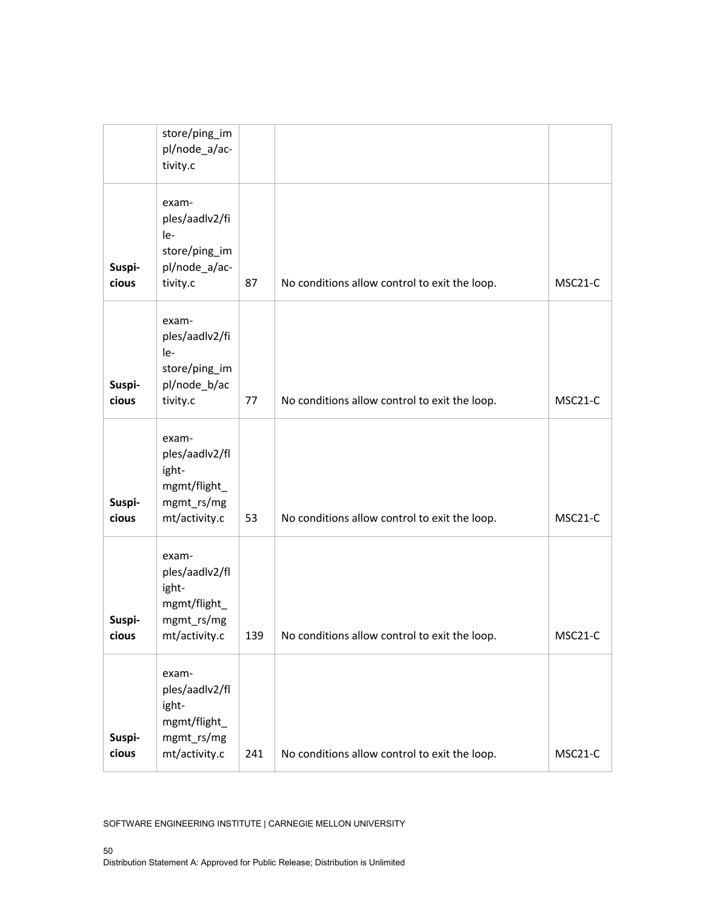|                 | store/ping_im<br>pl/node_a/ac-<br>tivity.c                                      |     |                                               |         |
|-----------------|---------------------------------------------------------------------------------|-----|-----------------------------------------------|---------|
| Suspi-<br>cious | exam-<br>ples/aadlv2/fi<br>$le-$<br>store/ping_im<br>pl/node_a/ac-<br>tivity.c  | 87  | No conditions allow control to exit the loop. | MSC21-C |
| Suspi-<br>cious | exam-<br>ples/aadlv2/fi<br>le-<br>store/ping_im<br>pl/node_b/ac<br>tivity.c     | 77  | No conditions allow control to exit the loop. | MSC21-C |
| Suspi-<br>cious | exam-<br>ples/aadlv2/fl<br>ight-<br>mgmt/flight_<br>mgmt_rs/mg<br>mt/activity.c | 53  | No conditions allow control to exit the loop. | MSC21-C |
| Suspi-<br>cious | exam-<br>ples/aadlv2/fl<br>ight-<br>mgmt/flight_<br>mgmt_rs/mg<br>mt/activity.c | 139 | No conditions allow control to exit the loop. | MSC21-C |
| Suspi-<br>cious | exam-<br>ples/aadlv2/fl<br>ight-<br>mgmt/flight_<br>mgmt_rs/mg<br>mt/activity.c | 241 | No conditions allow control to exit the loop. | MSC21-C |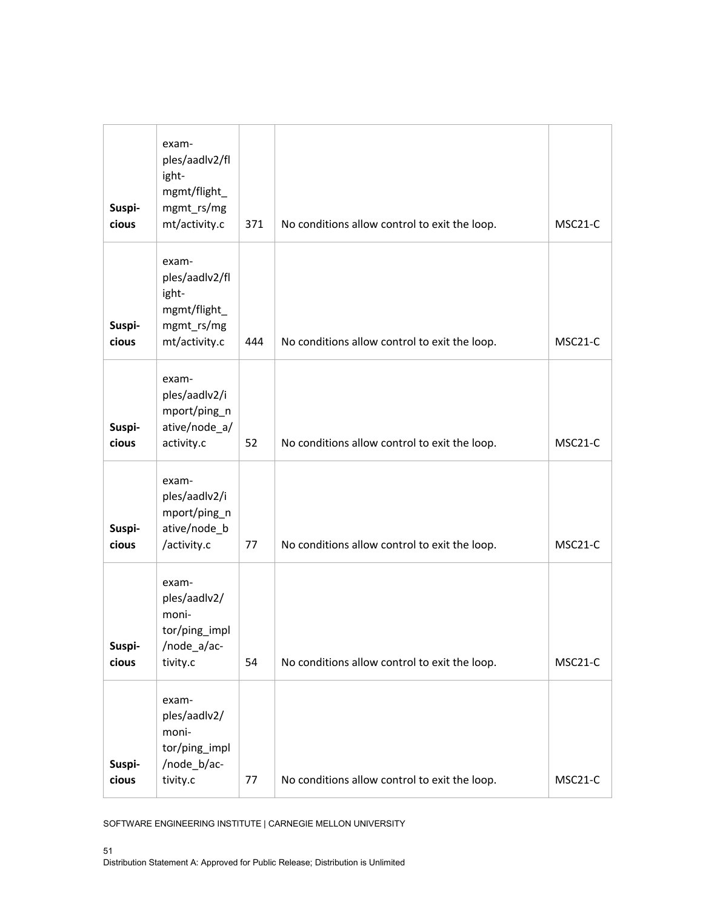| Suspi-<br>cious | exam-<br>ples/aadlv2/fl<br>ight-<br>mgmt/flight_<br>mgmt_rs/mg<br>mt/activity.c | 371 | No conditions allow control to exit the loop. | MSC21-C |
|-----------------|---------------------------------------------------------------------------------|-----|-----------------------------------------------|---------|
| Suspi-<br>cious | exam-<br>ples/aadlv2/fl<br>ight-<br>mgmt/flight_<br>mgmt_rs/mg<br>mt/activity.c | 444 | No conditions allow control to exit the loop. | MSC21-C |
| Suspi-<br>cious | exam-<br>ples/aadlv2/i<br>mport/ping_n<br>ative/node_a/<br>activity.c           | 52  | No conditions allow control to exit the loop. | MSC21-C |
| Suspi-<br>cious | exam-<br>ples/aadlv2/i<br>mport/ping_n<br>ative/node_b<br>/activity.c           | 77  | No conditions allow control to exit the loop. | MSC21-C |
| Suspi-<br>cious | exam-<br>ples/aadlv2/<br>moni-<br>tor/ping_impl<br>/node_a/ac-<br>tivity.c      | 54  | No conditions allow control to exit the loop. | MSC21-C |
| Suspi-<br>cious | exam-<br>ples/aadlv2/<br>moni-<br>tor/ping_impl<br>/node_b/ac-<br>tivity.c      | 77  | No conditions allow control to exit the loop. | MSC21-C |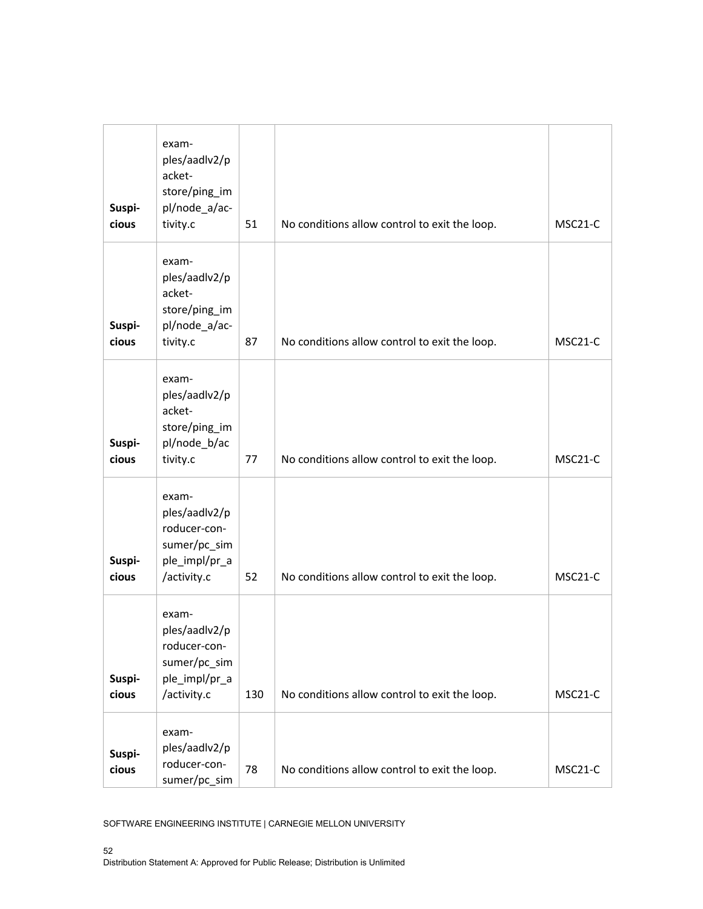| Suspi-<br>cious | exam-<br>ples/aadlv2/p<br>acket-<br>store/ping_im<br>pl/node_a/ac-<br>tivity.c         | 51  | No conditions allow control to exit the loop. | MSC21-C              |
|-----------------|----------------------------------------------------------------------------------------|-----|-----------------------------------------------|----------------------|
| Suspi-<br>cious | exam-<br>ples/aadlv2/p<br>acket-<br>store/ping_im<br>pl/node_a/ac-<br>tivity.c         | 87  | No conditions allow control to exit the loop. | MSC <sub>21</sub> -C |
| Suspi-<br>cious | exam-<br>ples/aadlv2/p<br>acket-<br>store/ping_im<br>pl/node_b/ac<br>tivity.c          | 77  | No conditions allow control to exit the loop. | MSC21-C              |
| Suspi-<br>cious | exam-<br>ples/aadlv2/p<br>roducer-con-<br>sumer/pc_sim<br>ple_impl/pr_a<br>/activity.c | 52  | No conditions allow control to exit the loop. | MSC21-C              |
| Suspi-<br>cious | exam-<br>ples/aadlv2/p<br>roducer-con-<br>sumer/pc_sim<br>ple_impl/pr_a<br>/activity.c | 130 | No conditions allow control to exit the loop. | MSC21-C              |
| Suspi-<br>cious | exam-<br>ples/aadlv2/p<br>roducer-con-<br>sumer/pc_sim                                 | 78  | No conditions allow control to exit the loop. | MSC21-C              |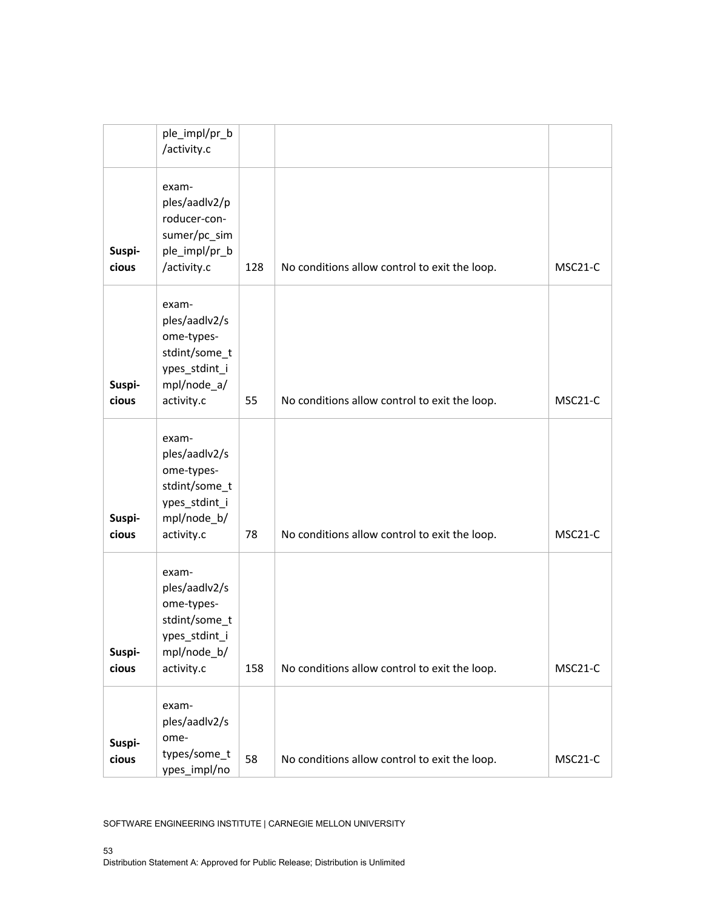|                 | ple_impl/pr_b<br>/activity.c                                                                        |     |                                               |         |
|-----------------|-----------------------------------------------------------------------------------------------------|-----|-----------------------------------------------|---------|
| Suspi-<br>cious | exam-<br>ples/aadlv2/p<br>roducer-con-<br>sumer/pc_sim<br>ple_impl/pr_b<br>/activity.c              | 128 | No conditions allow control to exit the loop. | MSC21-C |
| Suspi-<br>cious | exam-<br>ples/aadlv2/s<br>ome-types-<br>stdint/some_t<br>ypes_stdint_i<br>mpl/node_a/<br>activity.c | 55  | No conditions allow control to exit the loop. | MSC21-C |
| Suspi-<br>cious | exam-<br>ples/aadlv2/s<br>ome-types-<br>stdint/some_t<br>ypes_stdint_i<br>mpl/node_b/<br>activity.c | 78  | No conditions allow control to exit the loop. | MSC21-C |
| Suspi-<br>cious | exam-<br>ples/aadlv2/s<br>ome-types-<br>stdint/some_t<br>ypes_stdint_i<br>mpl/node_b/<br>activity.c | 158 | No conditions allow control to exit the loop. | MSC21-C |
| Suspi-<br>cious | exam-<br>ples/aadlv2/s<br>ome-<br>types/some_t<br>ypes_impl/no                                      | 58  | No conditions allow control to exit the loop. | MSC21-C |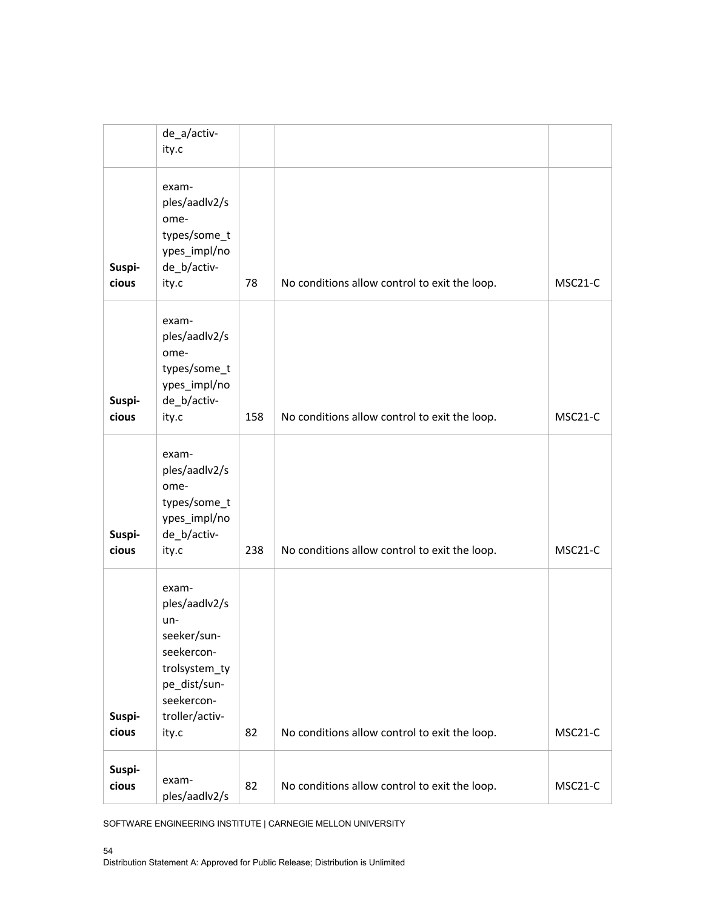|                 | de_a/activ-<br>ity.c                                                                                                                 |     |                                               |         |
|-----------------|--------------------------------------------------------------------------------------------------------------------------------------|-----|-----------------------------------------------|---------|
| Suspi-<br>cious | exam-<br>ples/aadlv2/s<br>ome-<br>types/some_t<br>ypes_impl/no<br>de_b/activ-<br>ity.c                                               | 78  | No conditions allow control to exit the loop. | MSC21-C |
| Suspi-<br>cious | exam-<br>ples/aadlv2/s<br>ome-<br>types/some_t<br>ypes_impl/no<br>de_b/activ-<br>ity.c                                               | 158 | No conditions allow control to exit the loop. | MSC21-C |
| Suspi-<br>cious | exam-<br>ples/aadlv2/s<br>ome-<br>types/some_t<br>ypes_impl/no<br>de_b/activ-<br>ity.c                                               | 238 | No conditions allow control to exit the loop. | MSC21-C |
| Suspi-<br>cious | exam-<br>ples/aadlv2/s<br>un-<br>seeker/sun-<br>seekercon-<br>trolsystem_ty<br>pe_dist/sun-<br>seekercon-<br>troller/activ-<br>ity.c | 82  | No conditions allow control to exit the loop. | MSC21-C |
| Suspi-<br>cious | exam-<br>ples/aadlv2/s                                                                                                               | 82  | No conditions allow control to exit the loop. | MSC21-C |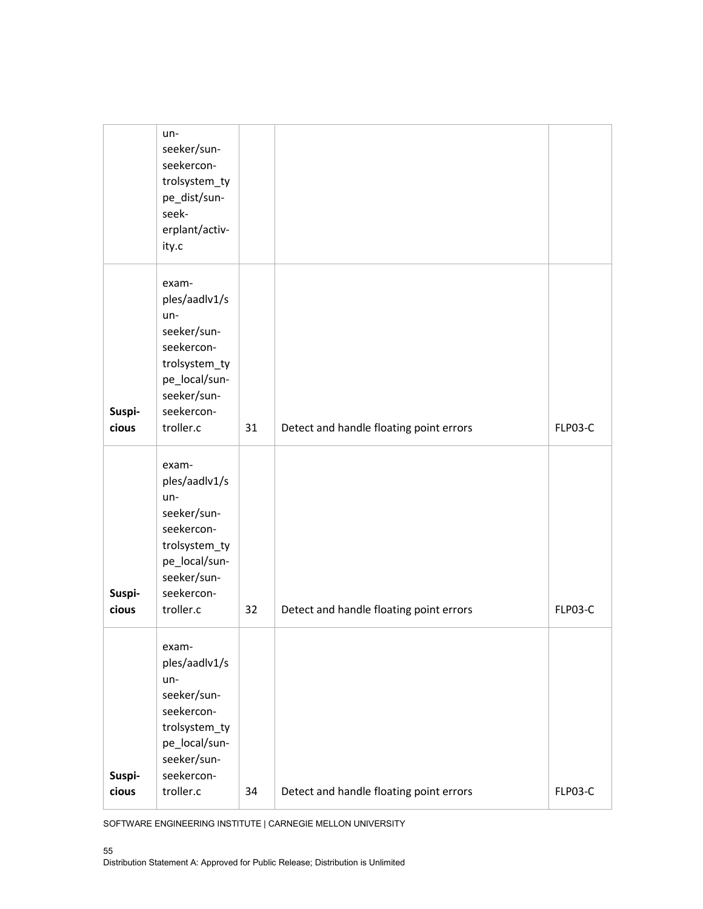|                 | un-<br>seeker/sun-<br>seekercon-<br>trolsystem_ty<br>pe_dist/sun-<br>seek-<br>erplant/activ-<br>ity.c                                    |    |                                         |         |
|-----------------|------------------------------------------------------------------------------------------------------------------------------------------|----|-----------------------------------------|---------|
| Suspi-<br>cious | exam-<br>ples/aadlv1/s<br>un-<br>seeker/sun-<br>seekercon-<br>trolsystem_ty<br>pe_local/sun-<br>seeker/sun-<br>seekercon-<br>troller.c   | 31 | Detect and handle floating point errors | FLP03-C |
| Suspi-<br>cious | exam-<br>ples/aadlv1/s<br>$un-$<br>seeker/sun-<br>seekercon-<br>trolsystem_ty<br>pe_local/sun-<br>seeker/sun-<br>seekercon-<br>troller.c | 32 | Detect and handle floating point errors | FLP03-C |
| Suspi-<br>cious | exam-<br>ples/aadlv1/s<br>un-<br>seeker/sun-<br>seekercon-<br>trolsystem_ty<br>pe_local/sun-<br>seeker/sun-<br>seekercon-<br>troller.c   | 34 | Detect and handle floating point errors | FLP03-C |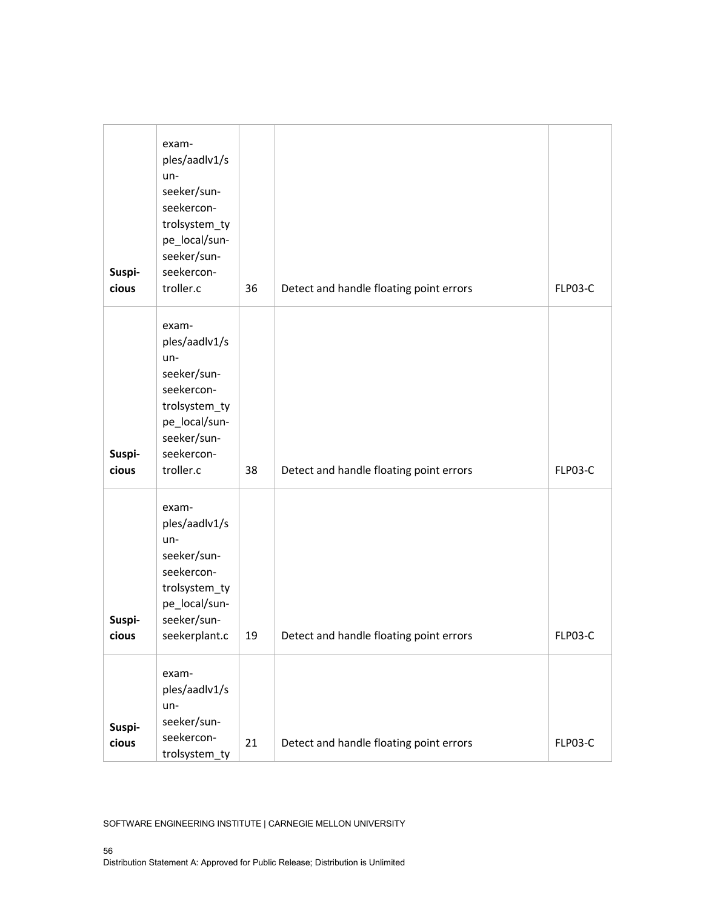| Suspi-<br>cious | exam-<br>ples/aadlv1/s<br>un-<br>seeker/sun-<br>seekercon-<br>trolsystem_ty<br>pe_local/sun-<br>seeker/sun-<br>seekercon-<br>troller.c | 36 | Detect and handle floating point errors | FLP03-C |
|-----------------|----------------------------------------------------------------------------------------------------------------------------------------|----|-----------------------------------------|---------|
| Suspi-<br>cious | exam-<br>ples/aadlv1/s<br>un-<br>seeker/sun-<br>seekercon-<br>trolsystem_ty<br>pe_local/sun-<br>seeker/sun-<br>seekercon-<br>troller.c | 38 | Detect and handle floating point errors | FLP03-C |
| Suspi-<br>cious | exam-<br>ples/aadlv1/s<br>un-<br>seeker/sun-<br>seekercon-<br>trolsystem_ty<br>pe_local/sun-<br>seeker/sun-<br>seekerplant.c           | 19 | Detect and handle floating point errors | FLP03-C |
| Suspi-<br>cious | exam-<br>ples/aadlv1/s<br>un-<br>seeker/sun-<br>seekercon-<br>trolsystem_ty                                                            | 21 | Detect and handle floating point errors | FLP03-C |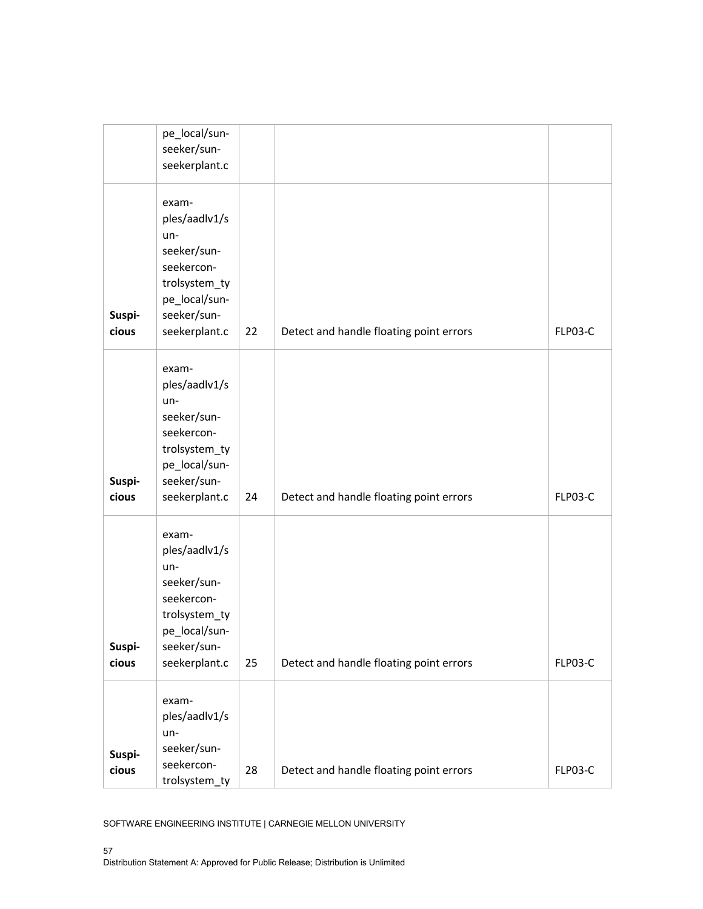|                 | pe_local/sun-<br>seeker/sun-<br>seekerplant.c                                                                                |    |                                         |         |
|-----------------|------------------------------------------------------------------------------------------------------------------------------|----|-----------------------------------------|---------|
| Suspi-<br>cious | exam-<br>ples/aadlv1/s<br>un-<br>seeker/sun-<br>seekercon-<br>trolsystem_ty<br>pe_local/sun-<br>seeker/sun-<br>seekerplant.c | 22 | Detect and handle floating point errors | FLP03-C |
| Suspi-<br>cious | exam-<br>ples/aadlv1/s<br>un-<br>seeker/sun-<br>seekercon-<br>trolsystem_ty<br>pe_local/sun-<br>seeker/sun-<br>seekerplant.c | 24 | Detect and handle floating point errors | FLP03-C |
| Suspi-<br>cious | exam-<br>ples/aadlv1/s<br>un-<br>seeker/sun-<br>seekercon-<br>trolsystem_ty<br>pe_local/sun-<br>seeker/sun-<br>seekerplant.c | 25 | Detect and handle floating point errors | FLP03-C |
| Suspi-<br>cious | exam-<br>ples/aadlv1/s<br>un-<br>seeker/sun-<br>seekercon-<br>trolsystem_ty                                                  | 28 | Detect and handle floating point errors | FLP03-C |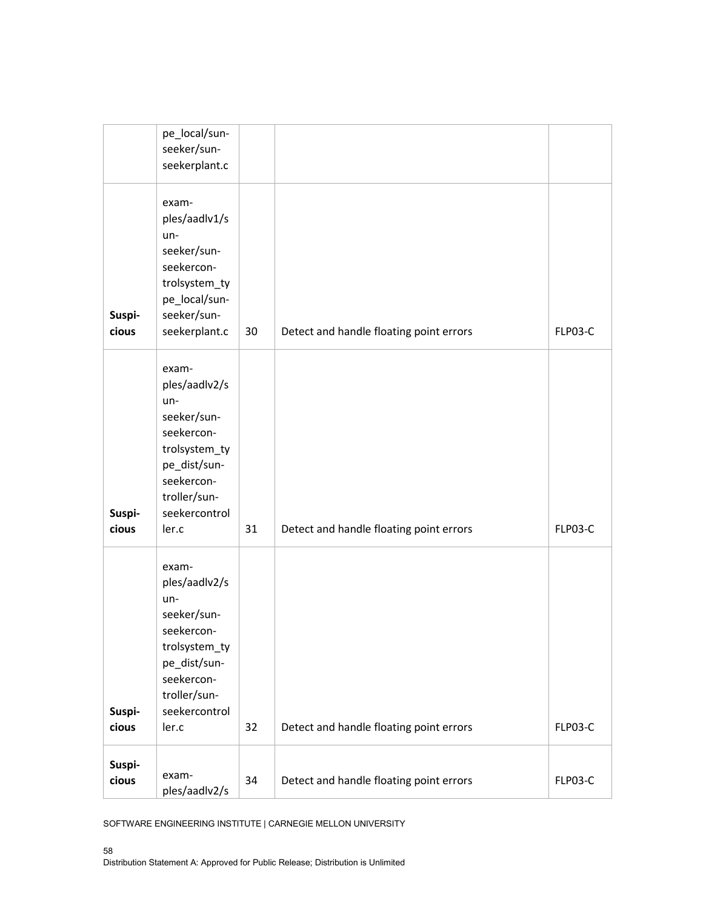|        | pe_local/sun- |    |                                         |         |
|--------|---------------|----|-----------------------------------------|---------|
|        | seeker/sun-   |    |                                         |         |
|        |               |    |                                         |         |
|        | seekerplant.c |    |                                         |         |
|        |               |    |                                         |         |
|        | exam-         |    |                                         |         |
|        |               |    |                                         |         |
|        | ples/aadlv1/s |    |                                         |         |
|        | $un-$         |    |                                         |         |
|        | seeker/sun-   |    |                                         |         |
|        | seekercon-    |    |                                         |         |
|        |               |    |                                         |         |
|        | trolsystem_ty |    |                                         |         |
|        | pe_local/sun- |    |                                         |         |
| Suspi- | seeker/sun-   |    |                                         |         |
| cious  | seekerplant.c | 30 | Detect and handle floating point errors | FLP03-C |
|        |               |    |                                         |         |
|        |               |    |                                         |         |
|        | exam-         |    |                                         |         |
|        | ples/aadlv2/s |    |                                         |         |
|        | $un-$         |    |                                         |         |
|        | seeker/sun-   |    |                                         |         |
|        |               |    |                                         |         |
|        | seekercon-    |    |                                         |         |
|        | trolsystem_ty |    |                                         |         |
|        | pe_dist/sun-  |    |                                         |         |
|        | seekercon-    |    |                                         |         |
|        | troller/sun-  |    |                                         |         |
|        |               |    |                                         |         |
| Suspi- | seekercontrol |    |                                         |         |
| cious  | ler.c         | 31 | Detect and handle floating point errors | FLP03-C |
|        |               |    |                                         |         |
|        |               |    |                                         |         |
|        | exam-         |    |                                         |         |
|        | ples/aadlv2/s |    |                                         |         |
|        | un-           |    |                                         |         |
|        | seeker/sun-   |    |                                         |         |
|        | seekercon-    |    |                                         |         |
|        |               |    |                                         |         |
|        | trolsystem_ty |    |                                         |         |
|        | pe_dist/sun-  |    |                                         |         |
|        | seekercon-    |    |                                         |         |
|        | troller/sun-  |    |                                         |         |
| Suspi- | seekercontrol |    |                                         |         |
|        |               |    |                                         |         |
| cious  | ler.c         | 32 | Detect and handle floating point errors | FLP03-C |
| Suspi- |               |    |                                         |         |
|        | exam-         |    |                                         |         |
| cious  | ples/aadlv2/s | 34 | Detect and handle floating point errors | FLP03-C |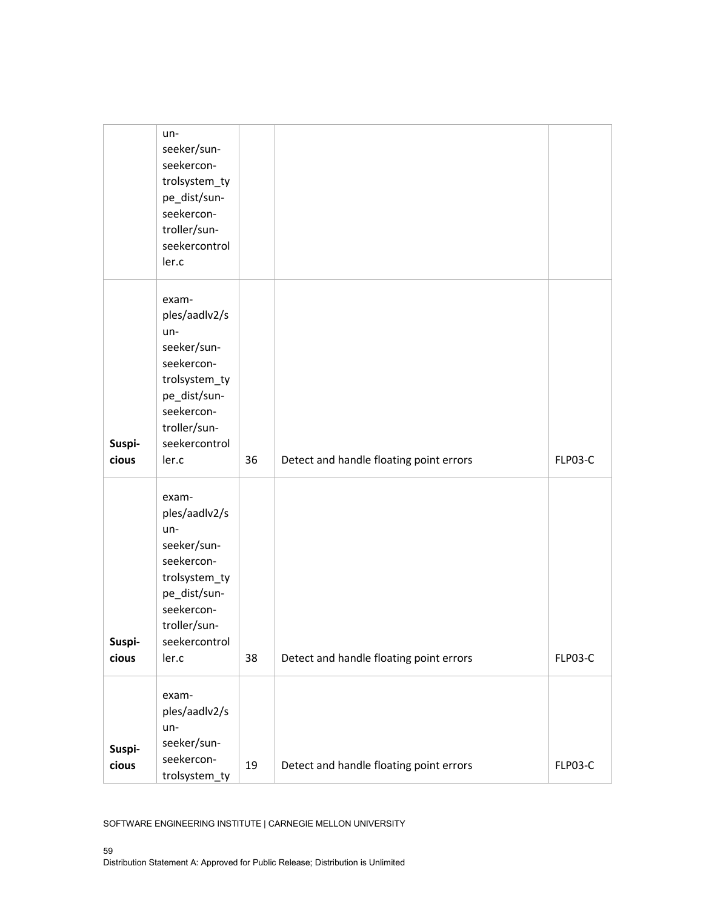|                 | un-<br>seeker/sun-<br>seekercon-<br>trolsystem_ty<br>pe_dist/sun-<br>seekercon-<br>troller/sun-<br>seekercontrol<br>ler.c                           |    |                                         |         |
|-----------------|-----------------------------------------------------------------------------------------------------------------------------------------------------|----|-----------------------------------------|---------|
| Suspi-<br>cious | exam-<br>ples/aadlv2/s<br>un-<br>seeker/sun-<br>seekercon-<br>trolsystem_ty<br>pe_dist/sun-<br>seekercon-<br>troller/sun-<br>seekercontrol<br>ler.c | 36 | Detect and handle floating point errors | FLP03-C |
| Suspi-<br>cious | exam-<br>ples/aadlv2/s<br>un-<br>seeker/sun-<br>seekercon-<br>trolsystem_ty<br>pe_dist/sun-<br>seekercon-<br>troller/sun-<br>seekercontrol<br>ler.c | 38 | Detect and handle floating point errors | FLP03-C |
| Suspi-<br>cious | exam-<br>ples/aadlv2/s<br>un-<br>seeker/sun-<br>seekercon-<br>trolsystem_ty                                                                         | 19 | Detect and handle floating point errors | FLP03-C |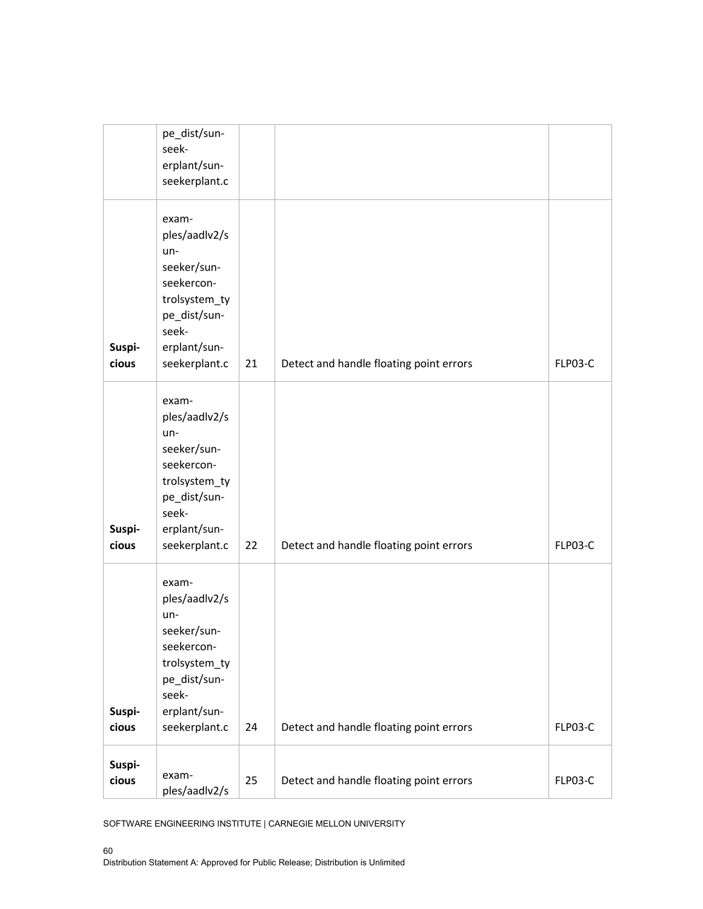|                 | pe_dist/sun-<br>seek-<br>erplant/sun-<br>seekerplant.c                                                                                  |    |                                         |         |
|-----------------|-----------------------------------------------------------------------------------------------------------------------------------------|----|-----------------------------------------|---------|
| Suspi-<br>cious | exam-<br>ples/aadlv2/s<br>$un-$<br>seeker/sun-<br>seekercon-<br>trolsystem_ty<br>pe_dist/sun-<br>seek-<br>erplant/sun-<br>seekerplant.c | 21 | Detect and handle floating point errors | FLP03-C |
| Suspi-<br>cious | exam-<br>ples/aadlv2/s<br>un-<br>seeker/sun-<br>seekercon-<br>trolsystem_ty<br>pe_dist/sun-<br>seek-<br>erplant/sun-<br>seekerplant.c   | 22 | Detect and handle floating point errors | FLP03-C |
| Suspi-<br>cious | exam-<br>ples/aadlv2/s<br>un-<br>seeker/sun-<br>seekercon-<br>trolsystem_ty<br>pe_dist/sun-<br>seek-<br>erplant/sun-<br>seekerplant.c   | 24 | Detect and handle floating point errors | FLP03-C |
| Suspi-<br>cious | exam-<br>ples/aadlv2/s                                                                                                                  | 25 | Detect and handle floating point errors | FLP03-C |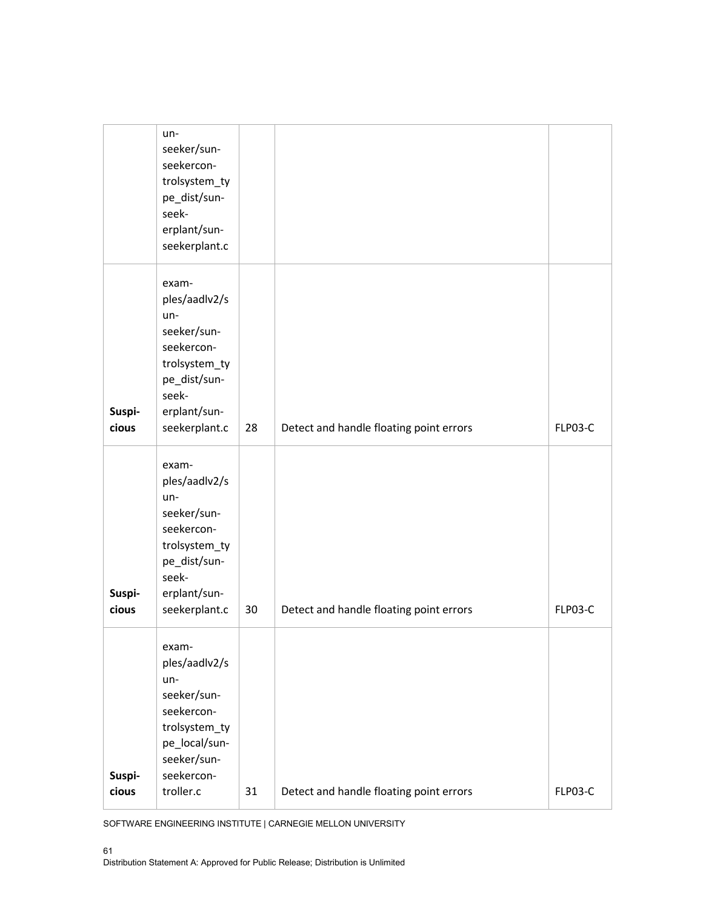|                 | un-<br>seeker/sun-<br>seekercon-<br>trolsystem_ty<br>pe_dist/sun-<br>seek-<br>erplant/sun-<br>seekerplant.c                             |    |                                         |                |
|-----------------|-----------------------------------------------------------------------------------------------------------------------------------------|----|-----------------------------------------|----------------|
| Suspi-<br>cious | exam-<br>ples/aadlv2/s<br>un-<br>seeker/sun-<br>seekercon-<br>trolsystem_ty<br>pe_dist/sun-<br>seek-<br>erplant/sun-<br>seekerplant.c   | 28 | Detect and handle floating point errors | FLP03-C        |
| Suspi-<br>cious | exam-<br>ples/aadlv2/s<br>$un-$<br>seeker/sun-<br>seekercon-<br>trolsystem_ty<br>pe_dist/sun-<br>seek-<br>erplant/sun-<br>seekerplant.c | 30 | Detect and handle floating point errors | <b>FLP03-C</b> |
| Suspi-<br>cious | exam-<br>ples/aadlv2/s<br>un-<br>seeker/sun-<br>seekercon-<br>trolsystem_ty<br>pe_local/sun-<br>seeker/sun-<br>seekercon-<br>troller.c  | 31 | Detect and handle floating point errors | FLP03-C        |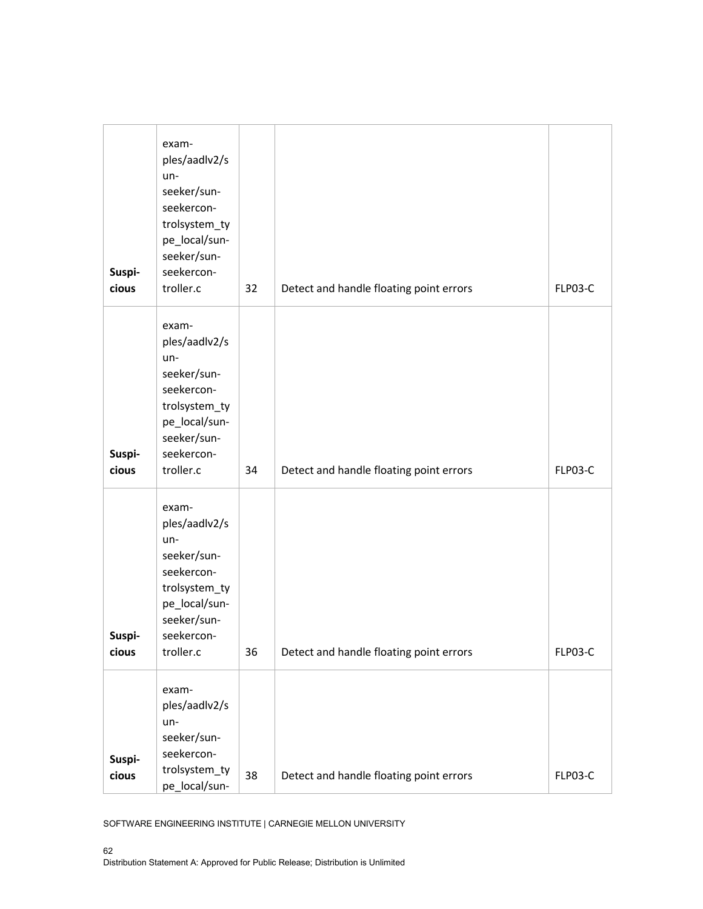| Suspi-<br>cious        | exam-<br>ples/aadlv2/s<br>un-<br>seeker/sun-<br>seekercon-<br>trolsystem_ty<br>pe_local/sun-<br>seeker/sun-<br>seekercon-<br>troller.c | 32 | Detect and handle floating point errors | FLP03-C |
|------------------------|----------------------------------------------------------------------------------------------------------------------------------------|----|-----------------------------------------|---------|
| Suspi-<br>cious        | exam-<br>ples/aadlv2/s<br>un-<br>seeker/sun-<br>seekercon-<br>trolsystem_ty<br>pe_local/sun-<br>seeker/sun-<br>seekercon-<br>troller.c | 34 | Detect and handle floating point errors | FLP03-C |
| <b>Suspi-</b><br>cious | exam-<br>ples/aadlv2/s<br>un-<br>seeker/sun-<br>seekercon-<br>trolsystem_ty<br>pe_local/sun-<br>seeker/sun-<br>seekercon-<br>troller.c | 36 | Detect and handle floating point errors | FLP03-C |
| Suspi-<br>cious        | exam-<br>ples/aadlv2/s<br>un-<br>seeker/sun-<br>seekercon-<br>trolsystem_ty<br>pe_local/sun-                                           | 38 | Detect and handle floating point errors | FLP03-C |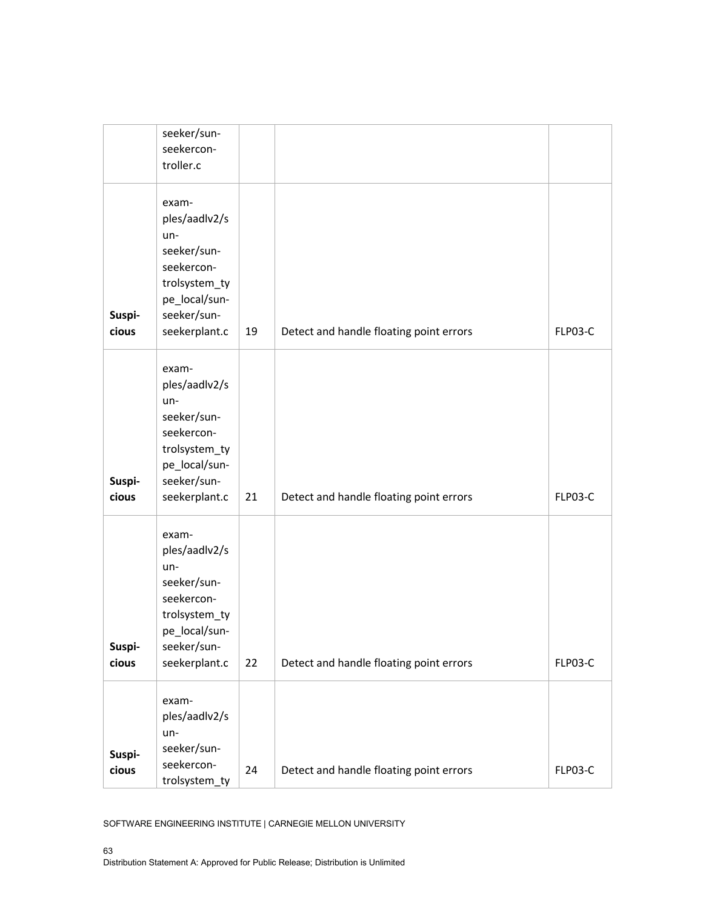|                 | seeker/sun-<br>seekercon-<br>troller.c                                                                                       |    |                                         |         |
|-----------------|------------------------------------------------------------------------------------------------------------------------------|----|-----------------------------------------|---------|
| Suspi-<br>cious | exam-<br>ples/aadlv2/s<br>un-<br>seeker/sun-<br>seekercon-<br>trolsystem_ty<br>pe_local/sun-<br>seeker/sun-<br>seekerplant.c | 19 | Detect and handle floating point errors | FLP03-C |
| Suspi-<br>cious | exam-<br>ples/aadlv2/s<br>un-<br>seeker/sun-<br>seekercon-<br>trolsystem_ty<br>pe_local/sun-<br>seeker/sun-<br>seekerplant.c | 21 | Detect and handle floating point errors | FLP03-C |
| Suspi-<br>cious | exam-<br>ples/aadlv2/s<br>un-<br>seeker/sun-<br>seekercon-<br>trolsystem_ty<br>pe_local/sun-<br>seeker/sun-<br>seekerplant.c | 22 | Detect and handle floating point errors | FLP03-C |
| Suspi-<br>cious | exam-<br>ples/aadlv2/s<br>un-<br>seeker/sun-<br>seekercon-<br>trolsystem_ty                                                  | 24 | Detect and handle floating point errors | FLP03-C |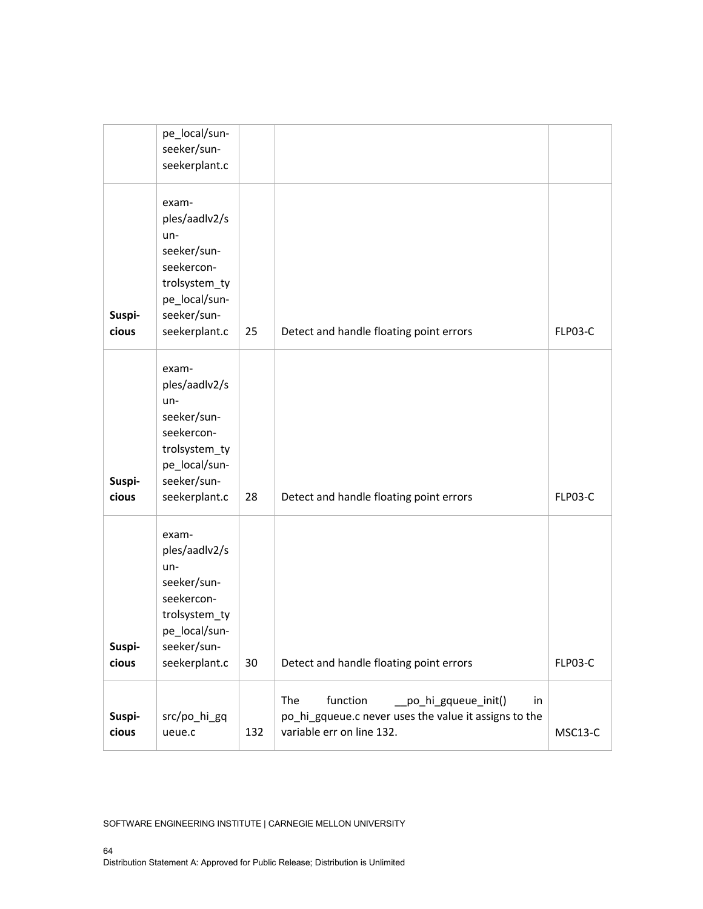|                 | pe_local/sun-<br>seeker/sun-<br>seekerplant.c                                                                                  |     |                                                                                                                                    |         |
|-----------------|--------------------------------------------------------------------------------------------------------------------------------|-----|------------------------------------------------------------------------------------------------------------------------------------|---------|
| Suspi-<br>cious | exam-<br>ples/aadlv2/s<br>$un-$<br>seeker/sun-<br>seekercon-<br>trolsystem_ty<br>pe_local/sun-<br>seeker/sun-<br>seekerplant.c | 25  | Detect and handle floating point errors                                                                                            | FLP03-C |
| Suspi-<br>cious | exam-<br>ples/aadlv2/s<br>un-<br>seeker/sun-<br>seekercon-<br>trolsystem_ty<br>pe_local/sun-<br>seeker/sun-<br>seekerplant.c   | 28  | Detect and handle floating point errors                                                                                            | FLP03-C |
| Suspi-<br>cious | exam-<br>ples/aadlv2/s<br>un-<br>seeker/sun-<br>seekercon-<br>trolsystem_ty<br>pe_local/sun-<br>seeker/sun-<br>seekerplant.c   | 30  | Detect and handle floating point errors                                                                                            | FLP03-C |
| Suspi-<br>cious | src/po_hi_gq<br>ueue.c                                                                                                         | 132 | The<br>function<br>po_hi_gqueue_init()<br>in<br>po_hi_gqueue.c never uses the value it assigns to the<br>variable err on line 132. | MSC13-C |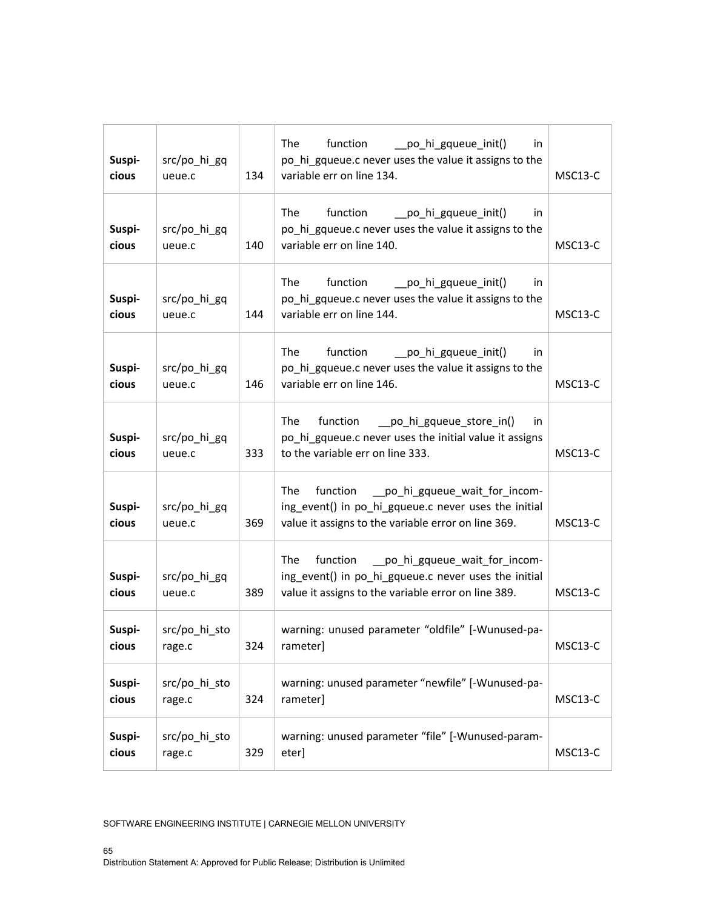| Suspi-<br>cious | src/po_hi_gq<br>ueue.c  | 134 | The<br>function<br>po hi gqueue init()<br>in<br>po_hi_gqueue.c never uses the value it assigns to the<br>variable err on line 134.                                      | MSC13-C              |
|-----------------|-------------------------|-----|-------------------------------------------------------------------------------------------------------------------------------------------------------------------------|----------------------|
| Suspi-<br>cious | src/po_hi_gq<br>ueue.c  | 140 | The<br>function<br>__po_hi_gqueue_init()<br>in<br>po_hi_gqueue.c never uses the value it assigns to the<br>variable err on line 140.                                    | MSC <sub>13</sub> -C |
| Suspi-<br>cious | src/po_hi_gq<br>ueue.c  | 144 | The<br>function<br>__po_hi_gqueue_init()<br>in.<br>po_hi_gqueue.c never uses the value it assigns to the<br>variable err on line 144.                                   | MSC13-C              |
| Suspi-<br>cious | src/po_hi_gq<br>ueue.c  | 146 | The<br>function<br>__po_hi_gqueue_init()<br>in<br>po hi gqueue.c never uses the value it assigns to the<br>variable err on line 146.                                    | MSC <sub>13</sub> -C |
| Suspi-<br>cious | src/po_hi_gq<br>ueue.c  | 333 | The<br>function<br>__po_hi_gqueue_store_in()<br>in<br>po hi gqueue.c never uses the initial value it assigns<br>to the variable err on line 333.                        | MSC13-C              |
| Suspi-<br>cious | src/po_hi_gq<br>ueue.c  | 369 | __po_hi_gqueue_wait_for_incom-<br><b>The</b><br>function<br>ing_event() in po_hi_gqueue.c never uses the initial<br>value it assigns to the variable error on line 369. | MSC <sub>13</sub> -C |
| Suspi-<br>cious | src/po hi gq<br>ueue.c  | 389 | function __po_hi_gqueue_wait_for_incom-<br><b>The</b><br>ing_event() in po_hi_gqueue.c never uses the initial<br>value it assigns to the variable error on line 389.    | MSC <sub>13</sub> -C |
| Suspi-<br>cious | src/po_hi_sto<br>rage.c | 324 | warning: unused parameter "oldfile" [-Wunused-pa-<br>rameter]                                                                                                           | MSC13-C              |
| Suspi-<br>cious | src/po_hi_sto<br>rage.c | 324 | warning: unused parameter "newfile" [-Wunused-pa-<br>rameter]                                                                                                           | MSC13-C              |
| Suspi-<br>cious | src/po_hi_sto<br>rage.c | 329 | warning: unused parameter "file" [-Wunused-param-<br>eter]                                                                                                              | MSC13-C              |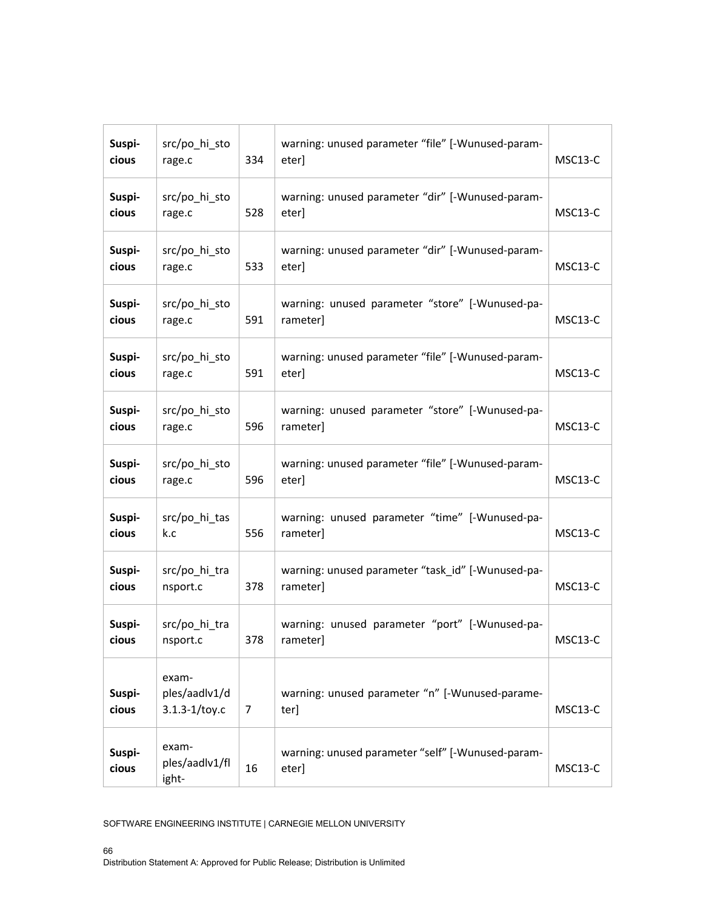| Suspi-<br>cious | src/po_hi_sto<br>rage.c                     | 334 | warning: unused parameter "file" [-Wunused-param-<br>eter]    | MSC13-C |
|-----------------|---------------------------------------------|-----|---------------------------------------------------------------|---------|
| Suspi-<br>cious | src/po_hi_sto<br>rage.c                     | 528 | warning: unused parameter "dir" [-Wunused-param-<br>eter]     | MSC13-C |
| Suspi-<br>cious | src/po_hi_sto<br>rage.c                     | 533 | warning: unused parameter "dir" [-Wunused-param-<br>eter]     | MSC13-C |
| Suspi-<br>cious | src/po_hi_sto<br>rage.c                     | 591 | warning: unused parameter "store" [-Wunused-pa-<br>rameter]   | MSC13-C |
| Suspi-<br>cious | src/po_hi_sto<br>rage.c                     | 591 | warning: unused parameter "file" [-Wunused-param-<br>eter]    | MSC13-C |
| Suspi-<br>cious | src/po_hi_sto<br>rage.c                     | 596 | warning: unused parameter "store" [-Wunused-pa-<br>rameter]   | MSC13-C |
| Suspi-<br>cious | src/po_hi_sto<br>rage.c                     | 596 | warning: unused parameter "file" [-Wunused-param-<br>eter]    | MSC13-C |
| Suspi-<br>cious | src/po_hi_tas<br>k.c                        | 556 | warning: unused parameter "time" [-Wunused-pa-<br>rameter]    | MSC13-C |
| Suspi-<br>cious | src/po_hi_tra<br>nsport.c                   | 378 | warning: unused parameter "task id" [-Wunused-pa-<br>rameter] | MSC13-C |
| Suspi-<br>cious | src/po_hi_tra<br>nsport.c                   | 378 | warning: unused parameter "port" [-Wunused-pa-<br>rameter]    | MSC13-C |
| Suspi-<br>cious | exam-<br>ples/aadlv1/d<br>$3.1.3 - 1/toy.c$ | 7   | warning: unused parameter "n" [-Wunused-parame-<br>ter]       | MSC13-C |
| Suspi-<br>cious | exam-<br>ples/aadlv1/fl<br>ight-            | 16  | warning: unused parameter "self" [-Wunused-param-<br>eter]    | MSC13-C |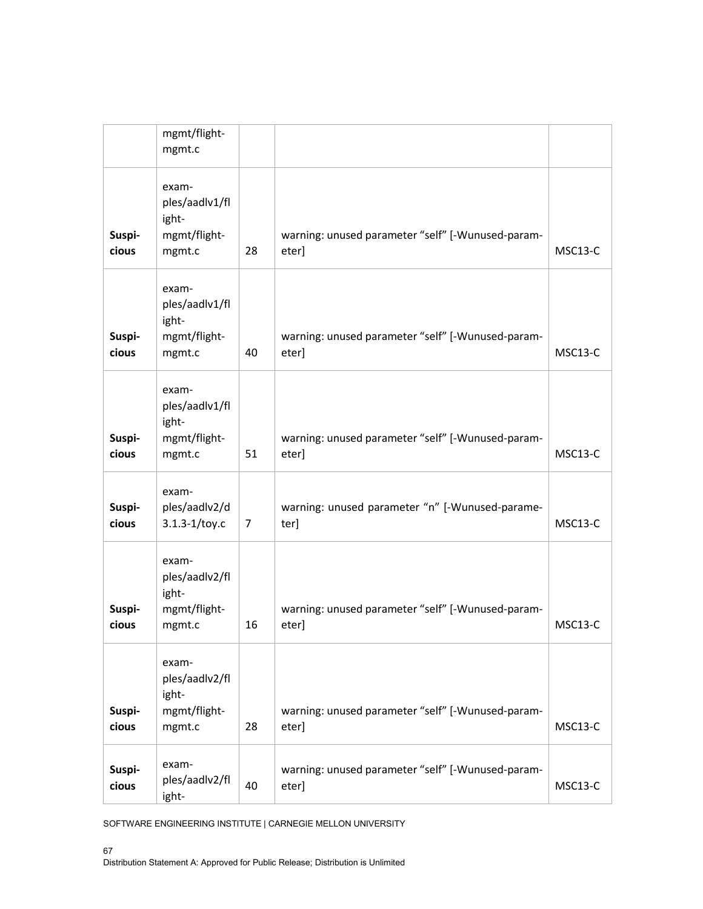|                 | mgmt/flight-<br>mgmt.c                                     |    |                                                            |                      |
|-----------------|------------------------------------------------------------|----|------------------------------------------------------------|----------------------|
| Suspi-<br>cious | exam-<br>ples/aadlv1/fl<br>ight-<br>mgmt/flight-<br>mgmt.c | 28 | warning: unused parameter "self" [-Wunused-param-<br>eter] | MSC <sub>13</sub> -C |
| Suspi-<br>cious | exam-<br>ples/aadlv1/fl<br>ight-<br>mgmt/flight-<br>mgmt.c | 40 | warning: unused parameter "self" [-Wunused-param-<br>eter] | MSC13-C              |
| Suspi-<br>cious | exam-<br>ples/aadlv1/fl<br>ight-<br>mgmt/flight-<br>mgmt.c | 51 | warning: unused parameter "self" [-Wunused-param-<br>eter] | MSC <sub>13</sub> -C |
| Suspi-<br>cious | exam-<br>ples/aadlv2/d<br>$3.1.3 - 1/toy.c$                | 7  | warning: unused parameter "n" [-Wunused-parame-<br>ter]    | MSC13-C              |
| Suspi-<br>cious | exam-<br>ples/aadlv2/fl<br>ight-<br>mgmt/flight-<br>mgmt.c | 16 | warning: unused parameter "self" [-Wunused-param-<br>eter] | MSC13-C              |
| Suspi-<br>cious | exam-<br>ples/aadlv2/fl<br>ight-<br>mgmt/flight-<br>mgmt.c | 28 | warning: unused parameter "self" [-Wunused-param-<br>eter] | MSC13-C              |
| Suspi-<br>cious | exam-<br>ples/aadlv2/fl<br>ight-                           | 40 | warning: unused parameter "self" [-Wunused-param-<br>eter] | MSC13-C              |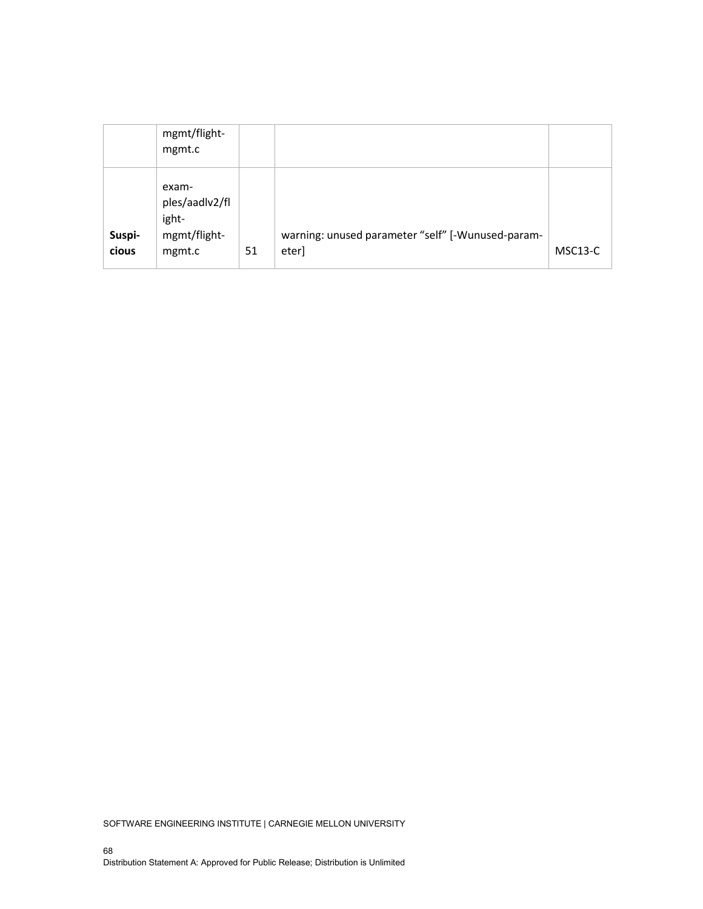|                 | mgmt/flight-<br>mgmt.c                                     |    |                                                            |         |
|-----------------|------------------------------------------------------------|----|------------------------------------------------------------|---------|
| Suspi-<br>cious | exam-<br>ples/aadlv2/fl<br>ight-<br>mgmt/flight-<br>mgmt.c | 51 | warning: unused parameter "self" [-Wunused-param-<br>eter] | MSC13-C |